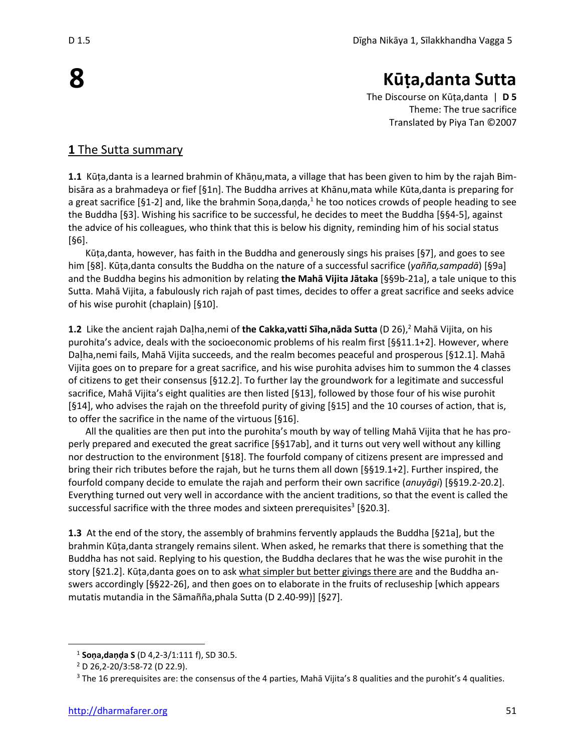# **Kūṭa,danta Sutta**

The Discourse on Kūṭa,danta | **D 5** Theme: The true sacrifice Translated by Piya Tan ©2007

## **1** The Sutta summary

**1.1** Kūṭa,danta is a learned brahmin of Khāṇu,mata, a village that has been given to him by the rajah Bimbisāra as a brahmadeya or fief [§1n]. The Buddha arrives at Khānu,mata while Kūta,danta is preparing for a great sacrifice [§1-2] and, like the brahmin Sona,danda,<sup>1</sup> he too notices crowds of people heading to see the Buddha [§3]. Wishing his sacrifice to be successful, he decides to meet the Buddha [§§4-5], against the advice of his colleagues, who think that this is below his dignity, reminding him of his social status [§6].

Kūṭa,danta, however, has faith in the Buddha and generously sings his praises [§7], and goes to see him [§8]. Kūṭa,danta consults the Buddha on the nature of a successful sacrifice (*yañña,sampadā*) [§9a] and the Buddha begins his admonition by relating **the Mahā Vijita Jātaka** [§§9b-21a], a tale unique to this Sutta. Mahā Vijita, a fabulously rich rajah of past times, decides to offer a great sacrifice and seeks advice of his wise purohit (chaplain) [§10].

1.2 Like the ancient rajah Daļha,nemi of **the Cakka,vatti Sīha,nāda Sutta** (D 26),<sup>2</sup> Mahā Vijita, on his purohita's advice, deals with the socioeconomic problems of his realm first [§§11.1+2]. However, where Daha,nemi fails, Mahā Vijita succeeds, and the realm becomes peaceful and prosperous [§12.1]. Mahā Vijita goes on to prepare for a great sacrifice, and his wise purohita advises him to summon the 4 classes of citizens to get their consensus [§12.2]. To further lay the groundwork for a legitimate and successful sacrifice, Mahā Vijita's eight qualities are then listed [§13], followed by those four of his wise purohit [§14], who advises the rajah on the threefold purity of giving [§15] and the 10 courses of action, that is, to offer the sacrifice in the name of the virtuous [§16].

All the qualities are then put into the purohita's mouth by way of telling Mahā Vijita that he has properly prepared and executed the great sacrifice [§§17ab], and it turns out very well without any killing nor destruction to the environment [§18]. The fourfold company of citizens present are impressed and bring their rich tributes before the rajah, but he turns them all down [§§19.1+2]. Further inspired, the fourfold company decide to emulate the rajah and perform their own sacrifice (*anuyāgi*) [§§19.2-20.2]. Everything turned out very well in accordance with the ancient traditions, so that the event is called the successful sacrifice with the three modes and sixteen prerequisites<sup>3</sup> [§20.3].

**1.3** At the end of the story, the assembly of brahmins fervently applauds the Buddha [§21a], but the brahmin Kūṭa,danta strangely remains silent. When asked, he remarks that there is something that the Buddha has not said. Replying to his question, the Buddha declares that he was the wise purohit in the story [§21.2]. Kūṭa,danta goes on to ask what simpler but better givings there are and the Buddha answers accordingly [§§22-26], and then goes on to elaborate in the fruits of recluseship [which appears mutatis mutandia in the Sāmañña,phala Sutta (D 2.40-99)] [§27].

**8**

<sup>1</sup> **Soṇa,daṇḍa S** (D 4,2-3/1:111 f), SD 30.5.

<sup>2</sup> D 26,2-20/3:58-72 (D 22.9).

<sup>&</sup>lt;sup>3</sup> The 16 prerequisites are: the consensus of the 4 parties, Mahā Vijita's 8 qualities and the purohit's 4 qualities.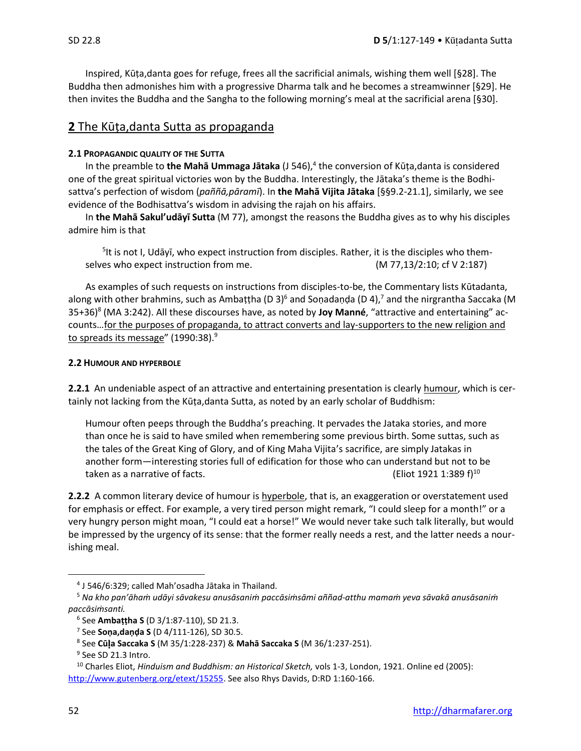Inspired, Kūṭa,danta goes for refuge, frees all the sacrificial animals, wishing them well [§28]. The Buddha then admonishes him with a progressive Dharma talk and he becomes a streamwinner [§29]. He then invites the Buddha and the Sangha to the following morning's meal at the sacrificial arena [§30].

## **2** The Kūṭa,danta Sutta as propaganda

### **2.1 PROPAGANDIC QUALITY OF THE SUTTA**

In the preamble to the Mahā Ummaga Jātaka (J 546),<sup>4</sup> the conversion of Kūṭa,danta is considered one of the great spiritual victories won by the Buddha. Interestingly, the Jātaka's theme is the Bodhisattva's perfection of wisdom (*paññā,pāramī*). In **the Mahā Vijita Jātaka** [§§9.2-21.1], similarly, we see evidence of the Bodhisattva's wisdom in advising the rajah on his affairs.

In **the Mahā Sakul'udāyī Sutta** (M 77), amongst the reasons the Buddha gives as to why his disciples admire him is that

<sup>5</sup>lt is not I, Udāyī, who expect instruction from disciples. Rather, it is the disciples who themselves who expect instruction from me. (M 77,13/2:10; cf V 2:187)

As examples of such requests on instructions from disciples-to-be, the Commentary lists Kūtadanta, along with other brahmins, such as Ambattha (D 3)<sup>6</sup> and Sonadanda (D 4),<sup>7</sup> and the nirgrantha Saccaka (M 35+36)<sup>8</sup> (MA 3:242). All these discourses have, as noted by **Joy Manné**, "attractive and entertaining" accounts…for the purposes of propaganda, to attract converts and lay-supporters to the new religion and to spreads its message" (1990:38).<sup>9</sup>

#### **2.2 HUMOUR AND HYPERBOLE**

**2.2.1** An undeniable aspect of an attractive and entertaining presentation is clearly humour, which is certainly not lacking from the Kūṭa,danta Sutta, as noted by an early scholar of Buddhism:

Humour often peeps through the Buddha's preaching. It pervades the Jataka stories, and more than once he is said to have smiled when remembering some previous birth. Some suttas, such as the tales of the Great King of Glory, and of King Maha Vijita's sacrifice, are simply Jatakas in another form—interesting stories full of edification for those who can understand but not to be taken as a narrative of facts.  $(Eliot 1921 1:389 f)^{10}$ 

**2.2.2** A common literary device of humour is hyperbole, that is, an exaggeration or overstatement used for emphasis or effect. For example, a very tired person might remark, "I could sleep for a month!" or a very hungry person might moan, "I could eat a horse!" We would never take such talk literally, but would be impressed by the urgency of its sense: that the former really needs a rest, and the latter needs a nourishing meal.

<sup>4</sup> J 546/6:329; called Mah'osadha Jātaka in Thailand.

<sup>5</sup> *Na kho pan'āhaṁ udāyi sāvakesu anusāsaniṁ paccāsiṁsāmi aññad-atthu mamaṁ yeva sāvakā anusāsaniṁ paccāsiṁsanti.*

<sup>6</sup> See **Ambaṭṭha S** (D 3/1:87-110), SD 21.3.

<sup>7</sup> See **Soṇa,daṇḍa S** (D 4/111-126), SD 30.5.

<sup>8</sup> See **Cūa Saccaka S** (M 35/1:228-237) & **Mahā Saccaka S** (M 36/1:237-251).

<sup>&</sup>lt;sup>9</sup> See SD 21.3 Intro.

<sup>&</sup>lt;sup>10</sup> Charles Eliot, *Hinduism and Buddhism: an Historical Sketch,* vols 1-3, London, 1921. Online ed (2005): [http://www.gutenberg.org/etext/15255.](http://www.gutenberg.org/etext/15255) See also Rhys Davids, D:RD 1:160-166.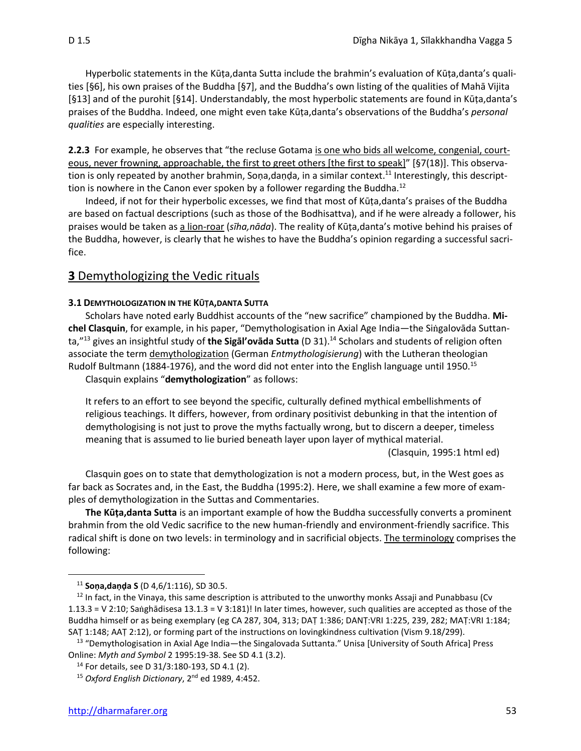Hyperbolic statements in the Kūṭa,danta Sutta include the brahmin's evaluation of Kūṭa,danta's qualities [§6], his own praises of the Buddha [§7], and the Buddha's own listing of the qualities of Mahā Vijita [§13] and of the purohit [§14]. Understandably, the most hyperbolic statements are found in Kūṭa,danta's praises of the Buddha. Indeed, one might even take Kūṭa,danta's observations of the Buddha's *personal qualities* are especially interesting.

**2.2.3** For example, he observes that "the recluse Gotama is one who bids all welcome, congenial, courteous, never frowning, approachable, the first to greet others [the first to speak]" [§7(18)]. This observation is only repeated by another brahmin, Soṇa,daṇḍa, in a similar context.<sup>11</sup> Interestingly, this descripttion is nowhere in the Canon ever spoken by a follower regarding the Buddha.<sup>12</sup>

Indeed, if not for their hyperbolic excesses, we find that most of Kūṭa,danta's praises of the Buddha are based on factual descriptions (such as those of the Bodhisattva), and if he were already a follower, his praises would be taken as a lion-roar (*sīha,nāda*). The reality of Kūṭa,danta's motive behind his praises of the Buddha, however, is clearly that he wishes to have the Buddha's opinion regarding a successful sacrifice.

## **3** Demythologizing the Vedic rituals

#### **3.1 DEMYTHOLOGIZATION IN THE KŪṬA,DANTA SUTTA**

Scholars have noted early Buddhist accounts of the "new sacrifice" championed by the Buddha. **Mi**chel Clasquin, for example, in his paper, "Demythologisation in Axial Age India—the Singalovāda Suttanta,"<sup>13</sup> gives an insightful study of **the Sigāl'ovāda Sutta** (D 31). <sup>14</sup> Scholars and students of religion often associate the term demythologization (German *Entmythologisierung*) with the Lutheran theologian Rudolf Bultmann (1884-1976), and the word did not enter into the English language until 1950.<sup>15</sup> Clasquin explains "**demythologization**" as follows:

It refers to an effort to see beyond the specific, culturally defined mythical embellishments of religious teachings. It differs, however, from ordinary positivist debunking in that the intention of demythologising is not just to prove the myths factually wrong, but to discern a deeper, timeless meaning that is assumed to lie buried beneath layer upon layer of mythical material.

(Clasquin, 1995:1 html ed)

Clasquin goes on to state that demythologization is not a modern process, but, in the West goes as far back as Socrates and, in the East, the Buddha (1995:2). Here, we shall examine a few more of examples of demythologization in the Suttas and Commentaries.

**The Kūṭa,danta Sutta** is an important example of how the Buddha successfully converts a prominent brahmin from the old Vedic sacrifice to the new human-friendly and environment-friendly sacrifice. This radical shift is done on two levels: in terminology and in sacrificial objects. The terminology comprises the following:

<sup>11</sup> **Soṇa,daṇḍa S** (D 4,6/1:116), SD 30.5.

 $12$  In fact, in the Vinaya, this same description is attributed to the unworthy monks Assaji and Punabbasu (Cv 1.13.3 = V 2:10; Saghādisesa 13.1.3 = V 3:181)! In later times, however, such qualities are accepted as those of the Buddha himself or as being exemplary (eg CA 287, 304, 313; DAT 1:386; DANT:VRI 1:225, 239, 282; MAT:VRI 1:184; SAṬ 1:148; AAṬ 2:12), or forming part of the instructions on lovingkindness cultivation (Vism 9.18/299).

<sup>&</sup>lt;sup>13</sup> "Demythologisation in Axial Age India—the Singalovada Suttanta." Unisa [University of South Africa] Press Online: *Myth and Symbol* 2 1995:19-38. See SD 4.1 (3.2).

<sup>14</sup> For details, see D 31/3:180-193, SD 4.1 (2).

<sup>15</sup> *Oxford English Dictionary*, 2nd ed 1989, 4:452.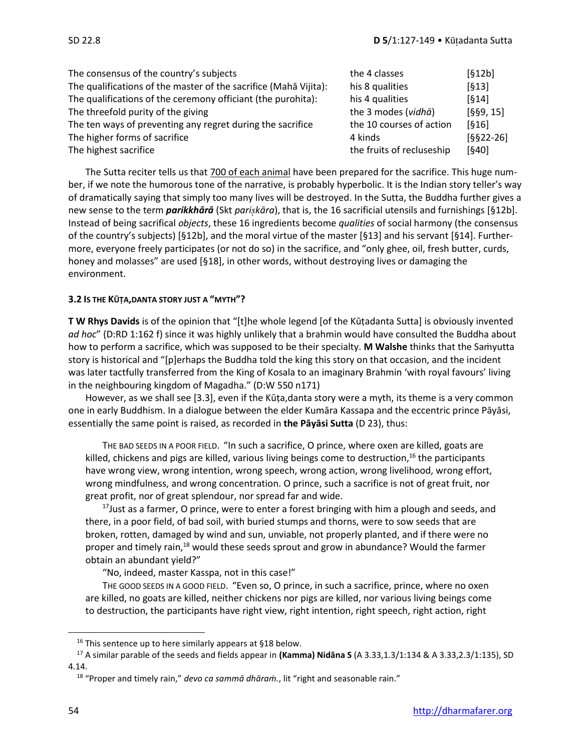| The consensus of the country's subjects                          | the 4 classes             | [612b]      |
|------------------------------------------------------------------|---------------------------|-------------|
| The qualifications of the master of the sacrifice (Maha Vijita): | his 8 qualities           | $[613]$     |
| The qualifications of the ceremony officiant (the purohita):     | his 4 qualities           | [614]       |
| The threefold purity of the giving                               | the 3 modes (vidha)       | [§§9, 15]   |
| The ten ways of preventing any regret during the sacrifice       | the 10 courses of action  | $[616]$     |
| The higher forms of sacrifice                                    | 4 kinds                   | $[§§22-26]$ |
| The highest sacrifice                                            | the fruits of recluseship | $[640]$     |

The Sutta reciter tells us that 700 of each animal have been prepared for the sacrifice. This huge number, if we note the humorous tone of the narrative, is probably hyperbolic. It is the Indian story teller's way of dramatically saying that simply too many lives will be destroyed. In the Sutta, the Buddha further gives a new sense to the term *parikkhārā* (Skt *parikāra*), that is, the 16 sacrificial utensils and furnishings [§12b]. Instead of being sacrifical *objects*, these 16 ingredients become *qualities* of social harmony (the consensus of the country's subjects) [§12b], and the moral virtue of the master [§13] and his servant [§14]. Furthermore, everyone freely participates (or not do so) in the sacrifice, and "only ghee, oil, fresh butter, curds, honey and molasses" are used [§18], in other words, without destroying lives or damaging the environment.

## **3.2 IS THE KŪṬA,DANTA STORY JUST A "MYTH"?**

**T W Rhys Davids** is of the opinion that "[t]he whole legend [of the Kūṭadanta Sutta] is obviously invented *ad hoc*" (D:RD 1:162 f) since it was highly unlikely that a brahmin would have consulted the Buddha about how to perform a sacrifice, which was supposed to be their specialty. **M Walshe** thinks that the Saṁyutta story is historical and "[p]erhaps the Buddha told the king this story on that occasion, and the incident was later tactfully transferred from the King of Kosala to an imaginary Brahmin 'with royal favours' living in the neighbouring kingdom of Magadha." (D:W 550 n171)

However, as we shall see [3.3], even if the Kūṭa,danta story were a myth, its theme is a very common one in early Buddhism. In a dialogue between the elder Kumāra Kassapa and the eccentric prince Pāyāsi, essentially the same point is raised, as recorded in **the Pāyāsi Sutta** (D 23), thus:

THE BAD SEEDS IN A POOR FIELD. "In such a sacrifice, O prince, where oxen are killed, goats are killed, chickens and pigs are killed, various living beings come to destruction, <sup>16</sup> the participants have wrong view, wrong intention, wrong speech, wrong action, wrong livelihood, wrong effort, wrong mindfulness, and wrong concentration. O prince, such a sacrifice is not of great fruit, nor great profit, nor of great splendour, nor spread far and wide.

 $17$  Just as a farmer, O prince, were to enter a forest bringing with him a plough and seeds, and there, in a poor field, of bad soil, with buried stumps and thorns, were to sow seeds that are broken, rotten, damaged by wind and sun, unviable, not properly planted, and if there were no proper and timely rain,<sup>18</sup> would these seeds sprout and grow in abundance? Would the farmer obtain an abundant yield?"

"No, indeed, master Kasspa, not in this case!"

THE GOOD SEEDS IN A GOOD FIELD. "Even so, O prince, in such a sacrifice, prince, where no oxen are killed, no goats are killed, neither chickens nor pigs are killed, nor various living beings come to destruction, the participants have right view, right intention, right speech, right action, right

<sup>&</sup>lt;sup>16</sup> This sentence up to here similarly appears at §18 below.

<sup>17</sup> A similar parable of the seeds and fields appear in **(Kamma) Nidāna S** (A 3.33,1.3/1:134 & A 3.33,2.3/1:135), SD 4.14.

<sup>18</sup> "Proper and timely rain," *devo ca sammā dhāraṁ.*, lit "right and seasonable rain."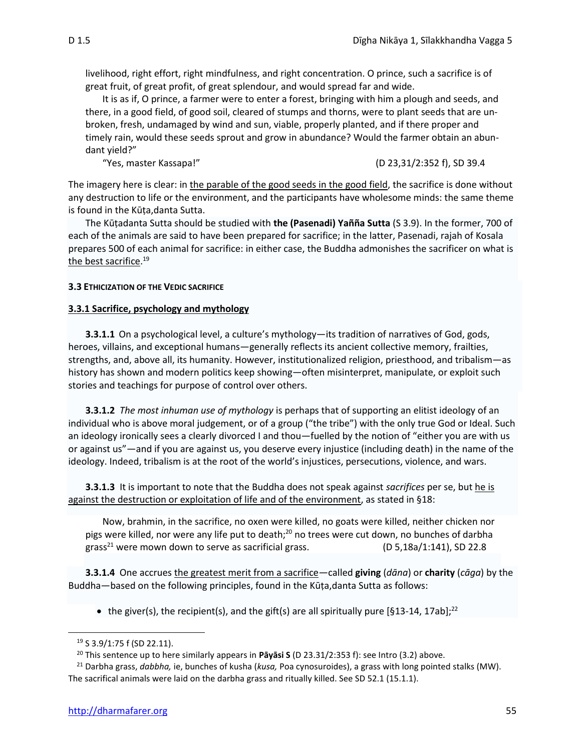livelihood, right effort, right mindfulness, and right concentration. O prince, such a sacrifice is of great fruit, of great profit, of great splendour, and would spread far and wide.

It is as if, O prince, a farmer were to enter a forest, bringing with him a plough and seeds, and there, in a good field, of good soil, cleared of stumps and thorns, were to plant seeds that are unbroken, fresh, undamaged by wind and sun, viable, properly planted, and if there proper and timely rain, would these seeds sprout and grow in abundance? Would the farmer obtain an abundant yield?"

"Yes, master Kassapa!" (D 23,31/2:352 f), SD 39.4

The imagery here is clear: in the parable of the good seeds in the good field, the sacrifice is done without any destruction to life or the environment, and the participants have wholesome minds: the same theme is found in the Kūṭa,danta Sutta.

The Kūṭadanta Sutta should be studied with **the (Pasenadi) Yañña Sutta** (S 3.9). In the former, 700 of each of the animals are said to have been prepared for sacrifice; in the latter, Pasenadi, rajah of Kosala prepares 500 of each animal for sacrifice: in either case, the Buddha admonishes the sacrificer on what is the best sacrifice.<sup>19</sup>

#### **3.3 ETHICIZATION OF THE VEDIC SACRIFICE**

#### **3.3.1 Sacrifice, psychology and mythology**

**3.3.1.1** On a psychological level, a culture's mythology—its tradition of narratives of God, gods, heroes, villains, and exceptional humans—generally reflects its ancient collective memory, frailties, strengths, and, above all, its humanity. However, institutionalized religion, priesthood, and tribalism—as history has shown and modern politics keep showing—often misinterpret, manipulate, or exploit such stories and teachings for purpose of control over others.

**3.3.1.2** *The most inhuman use of mythology* is perhaps that of supporting an elitist ideology of an individual who is above moral judgement, or of a group ("the tribe") with the only true God or Ideal. Such an ideology ironically sees a clearly divorced I and thou—fuelled by the notion of "either you are with us or against us"—and if you are against us, you deserve every injustice (including death) in the name of the ideology. Indeed, tribalism is at the root of the world's injustices, persecutions, violence, and wars.

**3.3.1.3** It is important to note that the Buddha does not speak against *sacrifices* per se, but he is against the destruction or exploitation of life and of the environment, as stated in §18:

Now, brahmin, in the sacrifice, no oxen were killed, no goats were killed, neither chicken nor pigs were killed, nor were any life put to death;<sup>20</sup> no trees were cut down, no bunches of darbha grass<sup>21</sup> were mown down to serve as sacrificial grass.  $(D 5, 18a/1:141)$ , SD 22.8

**3.3.1.4** One accrues the greatest merit from a sacrifice—called **giving** (*dāna*) or **charity** (*cāga*) by the Buddha—based on the following principles, found in the Kūṭa,danta Sutta as follows:

• the giver(s), the recipient(s), and the gift(s) are all spiritually pure [§13-14, 17ab];<sup>22</sup>

<sup>19</sup> S 3.9/1:75 f (SD 22.11).

<sup>20</sup> This sentence up to here similarly appears in **Pāyāsi S** (D 23.31/2:353 f): see Intro (3.2) above.

<sup>21</sup> Darbha grass, *dabbha,* ie, bunches of kusha (*kusa,* Poa cynosuroides), a grass with long pointed stalks (MW). The sacrifical animals were laid on the darbha grass and ritually killed. See SD 52.1 (15.1.1).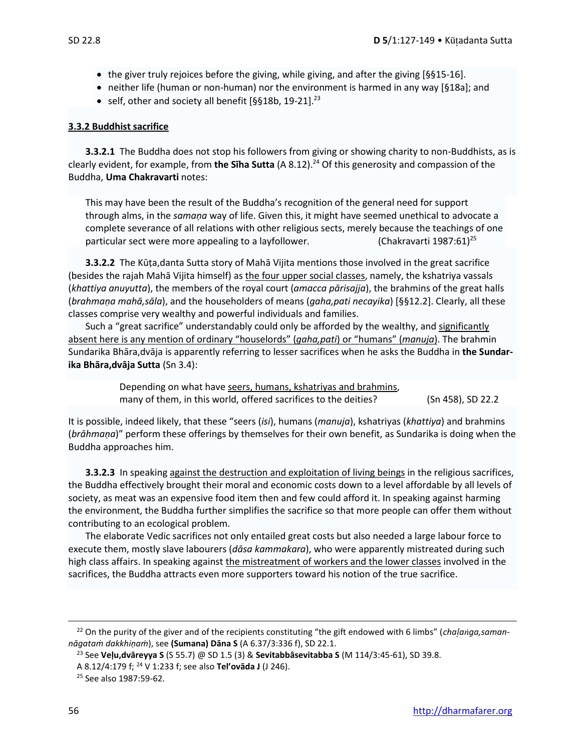- the giver truly rejoices before the giving, while giving, and after the giving  $[§§15-16]$ .
- neither life (human or non-human) nor the environment is harmed in any way [§18a]; and
- self, other and society all benefit [§§18b, 19-21].<sup>23</sup>

#### **3.3.2 Buddhist sacrifice**

**3.3.2.1** The Buddha does not stop his followers from giving or showing charity to non-Buddhists, as is clearly evident, for example, from **the Sīha Sutta** (A 8.12). <sup>24</sup> Of this generosity and compassion of the Buddha, **Uma Chakravarti** notes:

This may have been the result of the Buddha's recognition of the general need for support through alms, in the *samaṇa* way of life. Given this, it might have seemed unethical to advocate a complete severance of all relations with other religious sects, merely because the teachings of one particular sect were more appealing to a layfollower.  $(Chakravarti 1987:61)^{25}$ 

**3.3.2.2** The Kūṭa,danta Sutta story of Mahā Vijita mentions those involved in the great sacrifice (besides the rajah Mahā Vijita himself) as the four upper social classes, namely, the kshatriya vassals (*khattiya anuyutta*), the members of the royal court (*amacca pārisajja*), the brahmins of the great halls (*brahmaṇa mahā,sāla*), and the householders of means (*gaha,pati necayika*) [§§12.2]. Clearly, all these classes comprise very wealthy and powerful individuals and families.

Such a "great sacrifice" understandably could only be afforded by the wealthy, and significantly absent here is any mention of ordinary "houselords" (*gaha,pati*) or "humans" (*manuja*). The brahmin Sundarika Bhāra,dvāja is apparently referring to lesser sacrifices when he asks the Buddha in **the Sundarika Bhāra,dvāja Sutta** (Sn 3.4):

> Depending on what have seers, humans, kshatriyas and brahmins, many of them, in this world, offered sacrifices to the deities? (Sn 458), SD 22.2

It is possible, indeed likely, that these "seers (*isi*), humans (*manuja*), kshatriyas (*khattiya*) and brahmins (*brāhmaṇa*)" perform these offerings by themselves for their own benefit, as Sundarika is doing when the Buddha approaches him.

**3.3.2.3** In speaking against the destruction and exploitation of living beings in the religious sacrifices, the Buddha effectively brought their moral and economic costs down to a level affordable by all levels of society, as meat was an expensive food item then and few could afford it. In speaking against harming the environment, the Buddha further simplifies the sacrifice so that more people can offer them without contributing to an ecological problem.

The elaborate Vedic sacrifices not only entailed great costs but also needed a large labour force to execute them, mostly slave labourers (*dāsa kammakara*), who were apparently mistreated during such high class affairs. In speaking against the mistreatment of workers and the lower classes involved in the sacrifices, the Buddha attracts even more supporters toward his notion of the true sacrifice.

<sup>22</sup> On the purity of the giver and of the recipients constituting "the gift endowed with 6 limbs" (*chaaga,samannāgataṁ dakkhiṇaṁ*), see **(Sumana) Dāna S** (A 6.37/3:336 f), SD 22.1.

<sup>23</sup> See **Veḷu,dvāreyya S** (S 55.7) @ SD 1.5 (3) & **Sevitabbâsevitabba S** (M 114/3:45-61), SD 39.8.

A 8.12/4:179 f; <sup>24</sup> V 1:233 f; see also **Tel'ovāda J** (J 246).

<sup>25</sup> See also 1987:59-62.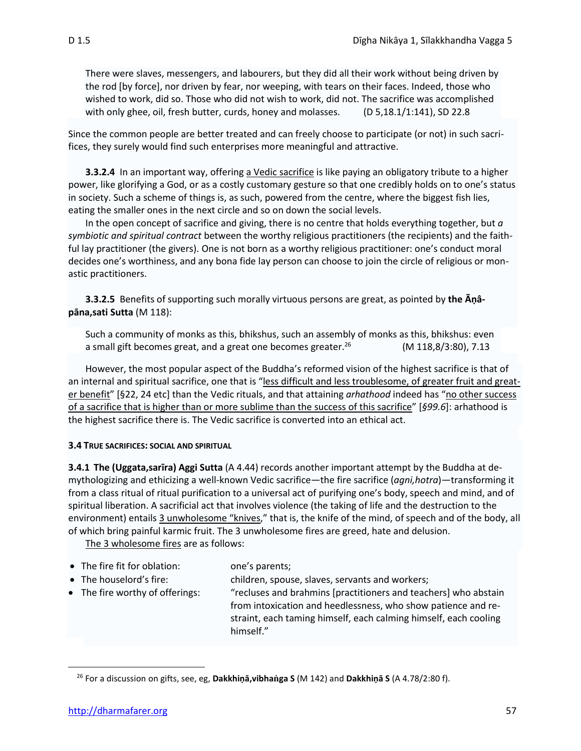There were slaves, messengers, and labourers, but they did all their work without being driven by the rod [by force], nor driven by fear, nor weeping, with tears on their faces. Indeed, those who wished to work, did so. Those who did not wish to work, did not. The sacrifice was accomplished with only ghee, oil, fresh butter, curds, honey and molasses.  $(D 5,18.1/1:141)$ , SD 22.8

Since the common people are better treated and can freely choose to participate (or not) in such sacrifices, they surely would find such enterprises more meaningful and attractive.

**3.3.2.4** In an important way, offering a Vedic sacrifice is like paying an obligatory tribute to a higher power, like glorifying a God, or as a costly customary gesture so that one credibly holds on to one's status in society. Such a scheme of things is, as such, powered from the centre, where the biggest fish lies, eating the smaller ones in the next circle and so on down the social levels.

In the open concept of sacrifice and giving, there is no centre that holds everything together, but *a symbiotic and spiritual contract* between the worthy religious practitioners (the recipients) and the faithful lay practitioner (the givers). One is not born as a worthy religious practitioner: one's conduct moral decides one's worthiness, and any bona fide lay person can choose to join the circle of religious or monastic practitioners.

**3.3.2.5** Benefits of supporting such morally virtuous persons are great, as pointed by **the Āṇâpāna,sati Sutta** (M 118):

Such a community of monks as this, bhikshus, such an assembly of monks as this, bhikshus: even a small gift becomes great, and a great one becomes greater.<sup>26</sup> (M 118,8/3:80), 7.13

However, the most popular aspect of the Buddha's reformed vision of the highest sacrifice is that of an internal and spiritual sacrifice, one that is "less difficult and less troublesome, of greater fruit and greater benefit" [§22, 24 etc] than the Vedic rituals, and that attaining *arhathood* indeed has "no other success of a sacrifice that is higher than or more sublime than the success of this sacrifice" [*§99.6*]: arhathood is the highest sacrifice there is. The Vedic sacrifice is converted into an ethical act.

#### **3.4 TRUE SACRIFICES: SOCIAL AND SPIRITUAL**

**3.4.1 The (Uggata,sarīra) Aggi Sutta** (A 4.44) records another important attempt by the Buddha at demythologizing and ethicizing a well-known Vedic sacrifice—the fire sacrifice (*agni,hotra*)—transforming it from a class ritual of ritual purification to a universal act of purifying one's body, speech and mind, and of spiritual liberation. A sacrificial act that involves violence (the taking of life and the destruction to the environment) entails 3 unwholesome "knives," that is, the knife of the mind, of speech and of the body, all of which bring painful karmic fruit. The 3 unwholesome fires are greed, hate and delusion.

The 3 wholesome fires are as follows:

- The fire fit for oblation: one's parents;
- The houselord's fire: children, spouse, slaves, servants and workers;
- 

• The fire worthy of offerings: "recluses and brahmins [practitioners and teachers] who abstain from intoxication and heedlessness, who show patience and re-

straint, each taming himself, each calming himself, each cooling himself."

<sup>26</sup> For a discussion on gifts, see, eg, **Dakkhiṇā,vibhaga S** (M 142) and **Dakkhiṇā S** (A 4.78/2:80 f).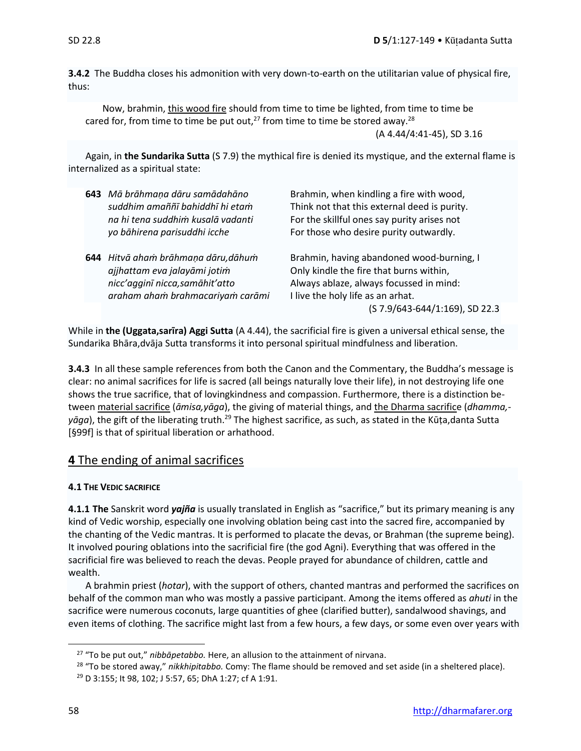**3.4.2** The Buddha closes his admonition with very down-to-earth on the utilitarian value of physical fire, thus:

Now, brahmin, this wood fire should from time to time be lighted, from time to time be cared for, from time to time be put out, $^{27}$  from time to time be stored away.<sup>28</sup> (A 4.44/4:41-45), SD 3.16

Again, in **the Sundarika Sutta** (S 7.9) the mythical fire is denied its mystique, and the external flame is internalized as a spiritual state:

| 643 Mā brāhmaņa dāru samādahāno<br>suddhim amaññī bahiddhī hi etam<br>na hi tena suddhim kusalā vadanti<br>yo bāhirena parisuddhi icche    | Brahmin, when kindling a fire with wood,<br>Think not that this external deed is purity.<br>For the skillful ones say purity arises not<br>For those who desire purity outwardly.                      |
|--------------------------------------------------------------------------------------------------------------------------------------------|--------------------------------------------------------------------------------------------------------------------------------------------------------------------------------------------------------|
| 644 Hitvā aham brāhmaņa dāru, dāhum<br>ajjhattam eva jalayāmi jotim<br>nicc'agginī nicca, samāhit'atto<br>araham aham brahmacariyam carāmi | Brahmin, having abandoned wood-burning, I<br>Only kindle the fire that burns within,<br>Always ablaze, always focussed in mind:<br>I live the holy life as an arhat.<br>(S 7.9/643-644/1:169), SD 22.3 |

While in **the (Uggata,sarīra) Aggi Sutta** (A 4.44), the sacrificial fire is given a universal ethical sense, the Sundarika Bhāra,dvāja Sutta transforms it into personal spiritual mindfulness and liberation.

**3.4.3** In all these sample references from both the Canon and the Commentary, the Buddha's message is clear: no animal sacrifices for life is sacred (all beings naturally love their life), in not destroying life one shows the true sacrifice, that of lovingkindness and compassion. Furthermore, there is a distinction between material sacrifice (*āmisa,yāga*), the giving of material things, and the Dharma sacrifice (*dhamma, yāga*), the gift of the liberating truth.<sup>29</sup> The highest sacrifice, as such, as stated in the Kūṭa,danta Sutta [§99f] is that of spiritual liberation or arhathood.

## **4** The ending of animal sacrifices

## **4.1 THE VEDIC SACRIFICE**

**4.1.1 The** Sanskrit word *yajña* is usually translated in English as "sacrifice," but its primary meaning is any kind of Vedic worship, especially one involving oblation being cast into the sacred fire, accompanied by the chanting of the Vedic mantras. It is performed to placate the devas, or Brahman (the supreme being). It involved pouring oblations into the sacrificial fire (the god Agni). Everything that was offered in the sacrificial fire was believed to reach the devas. People prayed for abundance of children, cattle and wealth.

A brahmin priest (*hotar*), with the support of others, chanted mantras and performed the sacrifices on behalf of the common man who was mostly a passive participant. Among the items offered as *ahuti* in the sacrifice were numerous coconuts, large quantities of ghee (clarified butter), sandalwood shavings, and even items of clothing. The sacrifice might last from a few hours, a few days, or some even over years with

<sup>27</sup> "To be put out," *nibbāpetabbo.* Here, an allusion to the attainment of nirvana.

<sup>28</sup> "To be stored away," *nikkhipitabbo.* Comy: The flame should be removed and set aside (in a sheltered place).

<sup>29</sup> D 3:155; It 98, 102; J 5:57, 65; DhA 1:27; cf A 1:91.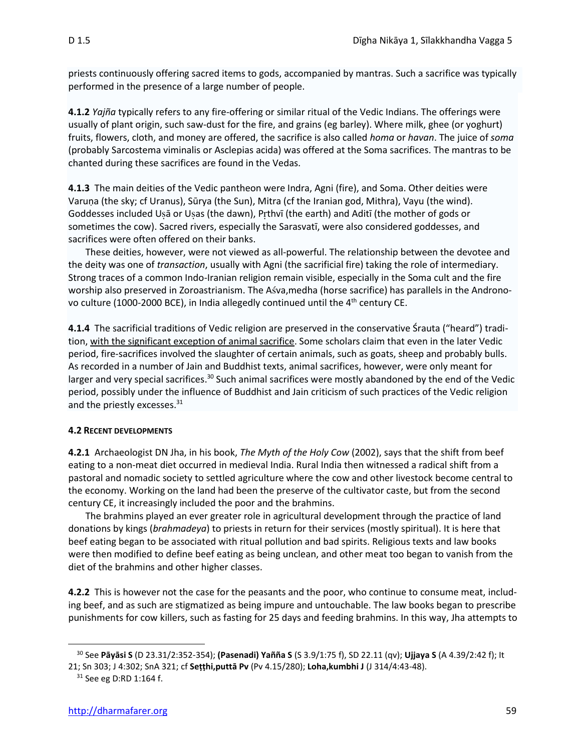priests continuously offering sacred items to gods, accompanied by mantras. Such a sacrifice was typically performed in the presence of a large number of people.

**4.1.2** *Yajña* typically refers to any fire-offering or similar ritual of the Vedic Indians. The offerings were usually of plant origin, such saw-dust for the fire, and grains (eg barley). Where milk, ghee (or yoghurt) fruits, flowers, cloth, and money are offered, the sacrifice is also called *homa* or *havan*. The juice of *soma* (probably Sarcostema viminalis or Asclepias acida) was offered at the Soma sacrifices. The mantras to be chanted during these sacrifices are found in the Vedas.

**4.1.3** The main deities of the Vedic pantheon were Indra, Agni (fire), and Soma. Other deities were Varuṇa (the sky; cf Uranus), Sūrya (the Sun), Mitra (cf the Iranian god, Mithra), Vayu (the wind). Goddesses included Usā or Usas (the dawn), Prthvī (the earth) and Aditī (the mother of gods or sometimes the cow). Sacred rivers, especially the Sarasvatī, were also considered goddesses, and sacrifices were often offered on their banks.

These deities, however, were not viewed as all-powerful. The relationship between the devotee and the deity was one of *transaction*, usually with Agni (the sacrificial fire) taking the role of intermediary. Strong traces of a common Indo-Iranian religion remain visible, especially in the Soma cult and the fire worship also preserved in Zoroastrianism. The Asva, medha (horse sacrifice) has parallels in the Andronovo culture (1000-2000 BCE), in India allegedly continued until the 4<sup>th</sup> century CE.

**4.1.4** The sacrificial traditions of Vedic religion are preserved in the conservative Śrauta ("heard") tradition, with the significant exception of animal sacrifice. Some scholars claim that even in the later Vedic period, fire-sacrifices involved the slaughter of certain animals, such as goats, sheep and probably bulls. As recorded in a number of Jain and Buddhist texts, animal sacrifices, however, were only meant for larger and very special sacrifices.<sup>30</sup> Such animal sacrifices were mostly abandoned by the end of the Vedic period, possibly under the influence of Buddhist and Jain criticism of such practices of the Vedic religion and the priestly excesses.<sup>31</sup>

#### **4.2 RECENT DEVELOPMENTS**

**4.2.1** Archaeologist DN Jha, in his book, *The Myth of the Holy Cow* (2002), says that the shift from beef eating to a non-meat diet occurred in medieval India. Rural India then witnessed a radical shift from a pastoral and nomadic society to settled agriculture where the cow and other livestock become central to the economy. Working on the land had been the preserve of the cultivator caste, but from the second century CE, it increasingly included the poor and the brahmins.

The brahmins played an ever greater role in agricultural development through the practice of land donations by kings (*brahmadeya*) to priests in return for their services (mostly spiritual). It is here that beef eating began to be associated with ritual pollution and bad spirits. Religious texts and law books were then modified to define beef eating as being unclean, and other meat too began to vanish from the diet of the brahmins and other higher classes.

**4.2.2** This is however not the case for the peasants and the poor, who continue to consume meat, including beef, and as such are stigmatized as being impure and untouchable. The law books began to prescribe punishments for cow killers, such as fasting for 25 days and feeding brahmins. In this way, Jha attempts to

<sup>30</sup> See **Pāyāsi S** (D 23.31/2:352-354); **(Pasenadi) Yañña S** (S 3.9/1:75 f), SD 22.11 (qv); **Ujjaya S** (A 4.39/2:42 f); It 21; Sn 303; J 4:302; SnA 321; cf **Seṭṭhi,puttā Pv** (Pv 4.15/280); **Loha,kumbhi J** (J 314/4:43-48).

<sup>&</sup>lt;sup>31</sup> See eg D:RD 1:164 f.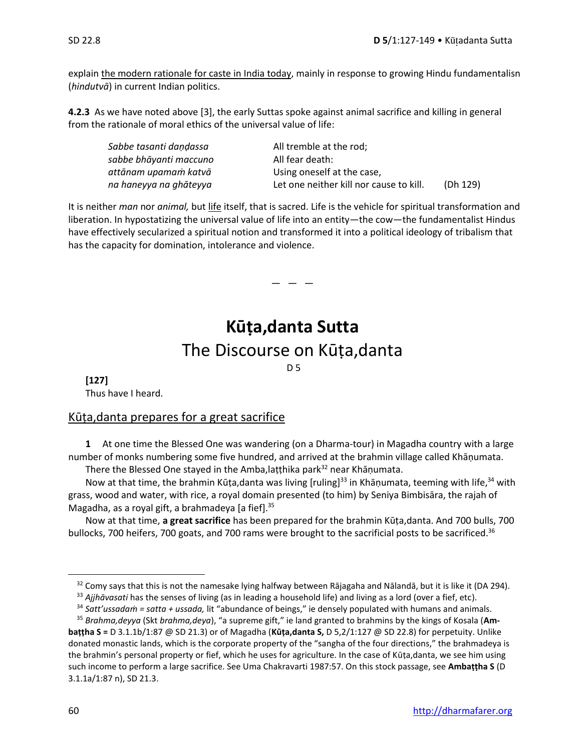explain the modern rationale for caste in India today, mainly in response to growing Hindu fundamentalisn (*hindutvā*) in current Indian politics.

**4.2.3** As we have noted above [3], the early Suttas spoke against animal sacrifice and killing in general from the rationale of moral ethics of the universal value of life:

| Sabbe tasanti dandassa | All tremble at the rod;                 |          |
|------------------------|-----------------------------------------|----------|
| sabbe bhāyanti maccuno | All fear death:                         |          |
| attānam upamam katvā   | Using oneself at the case,              |          |
| na haneyya na ghāteyya | Let one neither kill nor cause to kill. | (Dh 129) |

It is neither *man* nor *animal,* but life itself, that is sacred. Life is the vehicle for spiritual transformation and liberation. In hypostatizing the universal value of life into an entity—the cow—the fundamentalist Hindus have effectively secularized a spiritual notion and transformed it into a political ideology of tribalism that has the capacity for domination, intolerance and violence.

 $-$ 

# **Kūṭa,danta Sutta** The Discourse on Kūṭa,danta

D 5

**[127]** Thus have I heard.

## Kūṭa,danta prepares for a great sacrifice

**1** At one time the Blessed One was wandering (on a Dharma-tour) in Magadha country with a large number of monks numbering some five hundred, and arrived at the brahmin village called Khāṇumata.

There the Blessed One stayed in the Amba, laṭṭhika park<sup>32</sup> near Khāṇumata.

Now at that time, the brahmin Kūṭa,danta was living [ruling]<sup>33</sup> in Khāṇumata, teeming with life,<sup>34</sup> with grass, wood and water, with rice, a royal domain presented (to him) by Seniya Bimbisāra, the rajah of Magadha, as a royal gift, a brahmadeya [a fief].<sup>35</sup>

Now at that time, **a great sacrifice** has been prepared for the brahmin Kūṭa,danta. And 700 bulls, 700 bullocks, 700 heifers, 700 goats, and 700 rams were brought to the sacrificial posts to be sacrificed.<sup>36</sup>

<sup>32</sup> Comy says that this is not the namesake lying halfway between Rājagaha and Nālandā, but it is like it (DA 294).

<sup>&</sup>lt;sup>33</sup> Ajjhāvasati has the senses of living (as in leading a household life) and living as a lord (over a fief, etc).

<sup>34</sup> *Satt'ussadaṁ = satta + ussada,* lit "abundance of beings," ie densely populated with humans and animals.

<sup>35</sup> *Brahma,deyya* (Skt *brahma,deya*), "a supreme gift," ie land granted to brahmins by the kings of Kosala (**Ambaṭṭha S =** D 3.1.1b/1:87 @ SD 21.3) or of Magadha (**Kūṭa,danta S,** D 5,2/1:127 @ SD 22.8) for perpetuity. Unlike donated monastic lands, which is the corporate property of the "sangha of the four directions," the brahmadeya is the brahmin's personal property or fief, which he uses for agriculture. In the case of Kūṭa,danta, we see him using such income to perform a large sacrifice. See Uma Chakravarti 1987:57. On this stock passage, see **Ambaṭṭha S** (D 3.1.1a/1:87 n), SD 21.3.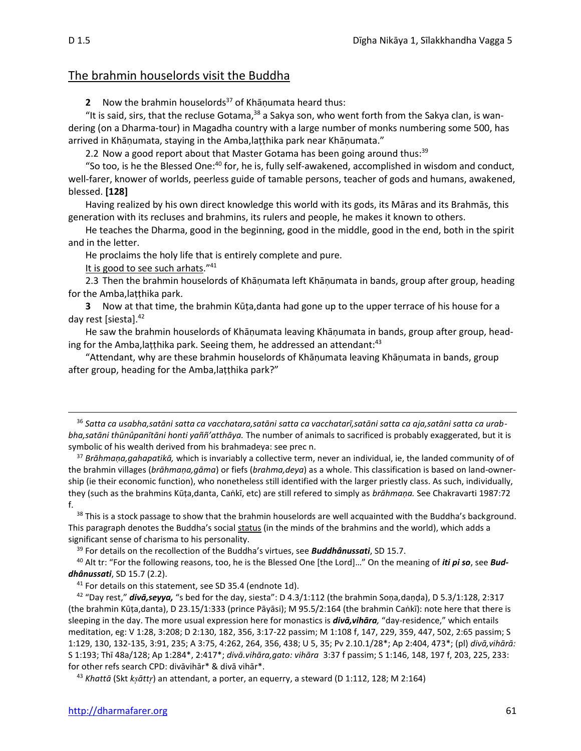## The brahmin houselords visit the Buddha

**2** Now the brahmin houselords <sup>37</sup> of Khāṇumata heard thus:

"It is said, sirs, that the recluse Gotama, $38$  a Sakya son, who went forth from the Sakya clan, is wandering (on a Dharma-tour) in Magadha country with a large number of monks numbering some 500, has arrived in Khāṇumata, staying in the Amba,laṭṭhika park near Khāṇumata."

2.2 Now a good report about that Master Gotama has been going around thus:<sup>39</sup>

"So too, is he the Blessed One:<sup>40</sup> for, he is, fully self-awakened, accomplished in wisdom and conduct, well-farer, knower of worlds, peerless guide of tamable persons, teacher of gods and humans, awakened, blessed. **[128]**

Having realized by his own direct knowledge this world with its gods, its Māras and its Brahmās, this generation with its recluses and brahmins, its rulers and people, he makes it known to others.

He teaches the Dharma, good in the beginning, good in the middle, good in the end, both in the spirit and in the letter.

He proclaims the holy life that is entirely complete and pure.

It is good to see such arhats."<sup>41</sup>

2.3 Then the brahmin houselords of Khāṇumata left Khāṇumata in bands, group after group, heading for the Amba,laṭṭhika park.

**3** Now at that time, the brahmin Kūṭa,danta had gone up to the upper terrace of his house for a day rest [siesta]. $42$ 

He saw the brahmin houselords of Khāṇumata leaving Khāṇumata in bands, group after group, heading for the Amba, laṭṭhika park. Seeing them, he addressed an attendant:<sup>43</sup>

"Attendant, why are these brahmin houselords of Khāṇumata leaving Khāṇumata in bands, group after group, heading for the Amba,laṭṭhika park?"

<sup>36</sup> *Satta ca usabha,satāni satta ca vacchatara,satāni satta ca vacchatarī,satāni satta ca aja,satāni satta ca urabbha,satāni thūnûpanītāni honti yaññ'atthāya.* The number of animals to sacrificed is probably exaggerated, but it is symbolic of his wealth derived from his brahmadeya: see prec n.

<sup>37</sup> *Brāhmaṇa,gahapatikā,* which is invariably a collective term, never an individual, ie, the landed community of of the brahmin villages (*brāhmaṇa,gāma*) or fiefs (*brahma,deya*) as a whole. This classification is based on land-ownership (ie their economic function), who nonetheless still identified with the larger priestly class. As such, individually, they (such as the brahmins Kūṭa,danta, Caṅkī, etc) are still refered to simply as *brāhmaṇa.* See Chakravarti 1987:72 f.

<sup>38</sup> This is a stock passage to show that the brahmin houselords are well acquainted with the Buddha's background. This paragraph denotes the Buddha's social status (in the minds of the brahmins and the world), which adds a significant sense of charisma to his personality.

<sup>39</sup> For details on the recollection of the Buddha's virtues, see *Buddhânussati*, SD 15.7.

<sup>40</sup> Alt tr: "For the following reasons, too, he is the Blessed One [the Lord]…" On the meaning of *iti pi so*, see *Buddhânussati*, SD 15.7 (2.2).

<sup>42</sup> "Day rest," *divā,seyya,* "s bed for the day, siesta": D 4.3/1:112 (the brahmin Soṇa*,*daṇḍa), D 5.3/1:128, 2:317 (the brahmin Kūṭa,danta), D 23.15/1:333 (prince Pāyāsi); M 95.5/2:164 (the brahmin Caṅkī): note here that there is sleeping in the day. The more usual expression here for monastics is *divā,vihāra,* "day-residence," which entails meditation, eg: V 1:28, 3:208; D 2:130, 182, 356, 3:17-22 passim; M 1:108 f, 147, 229, 359, 447, 502, 2:65 passim; S 1:129, 130, 132-135, 3:91, 235; A 3:75, 4:262, 264, 356, 438; U 5, 35; Pv 2.10.1/28\*; Ap 2:404, 473\*; (pl) *divā,vihārā:*  S 1:193; Thī 48a/128; Ap 1:284\*, 2:417\*; *divā.vihāra,gato: vihāra* 3:37 f passim; S 1:146, 148, 197 f, 203, 225, 233: for other refs search CPD: divāvihār\* & divā vihār\*.

<sup>43</sup> *Khattā* (Skt *kātt*) an attendant, a porter, an equerry, a steward (D 1:112, 128; M 2:164)

<sup>&</sup>lt;sup>41</sup> For details on this statement, see SD 35.4 (endnote 1d).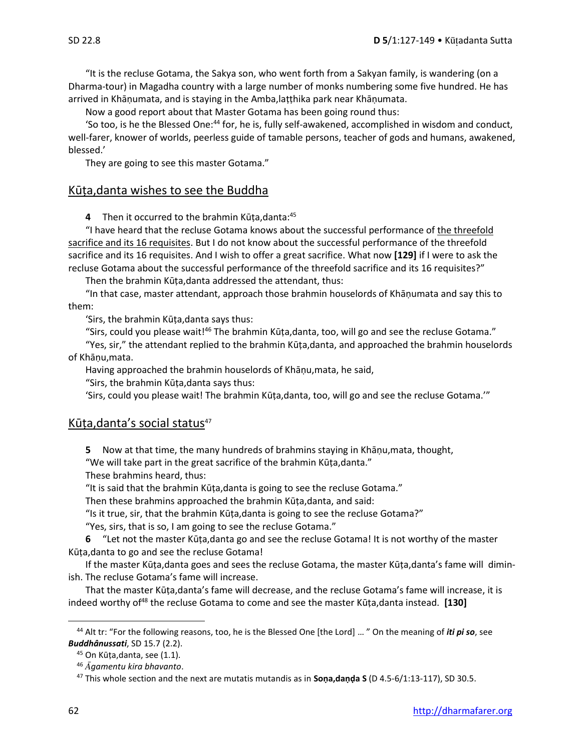"It is the recluse Gotama, the Sakya son, who went forth from a Sakyan family, is wandering (on a Dharma-tour) in Magadha country with a large number of monks numbering some five hundred. He has arrived in Khāṇumata, and is staying in the Amba,laṭṭhika park near Khāṇumata.

Now a good report about that Master Gotama has been going round thus:

'So too, is he the Blessed One:<sup>44</sup> for, he is, fully self-awakened, accomplished in wisdom and conduct, well-farer, knower of worlds, peerless guide of tamable persons, teacher of gods and humans, awakened, blessed.'

They are going to see this master Gotama."

## Kūṭa,danta wishes to see the Buddha

**4** Then it occurred to the brahmin Kūṭa,danta:<sup>45</sup>

"I have heard that the recluse Gotama knows about the successful performance of the threefold sacrifice and its 16 requisites. But I do not know about the successful performance of the threefold sacrifice and its 16 requisites. And I wish to offer a great sacrifice. What now **[129]** if I were to ask the recluse Gotama about the successful performance of the threefold sacrifice and its 16 requisites?"

Then the brahmin Kūṭa,danta addressed the attendant, thus:

"In that case, master attendant, approach those brahmin houselords of Khāṇumata and say this to them:

'Sirs, the brahmin Kūṭa,danta says thus:

"Sirs, could you please wait!<sup>46</sup> The brahmin Kūṭa,danta, too, will go and see the recluse Gotama."

"Yes, sir," the attendant replied to the brahmin Kūṭa,danta, and approached the brahmin houselords of Khāṇu,mata.

Having approached the brahmin houselords of Khāṇu,mata, he said,

"Sirs, the brahmin Kūṭa,danta says thus:

'Sirs, could you please wait! The brahmin Kūṭa,danta, too, will go and see the recluse Gotama.'"

## Kūṭa,danta's social status<sup>47</sup>

**5** Now at that time, the many hundreds of brahmins staying in Khāṇu,mata, thought,

"We will take part in the great sacrifice of the brahmin Kūṭa,danta."

These brahmins heard, thus:

"It is said that the brahmin Kūṭa,danta is going to see the recluse Gotama."

Then these brahmins approached the brahmin Kūṭa,danta, and said:

"Is it true, sir, that the brahmin Kūṭa,danta is going to see the recluse Gotama?"

"Yes, sirs, that is so, I am going to see the recluse Gotama."

**6** "Let not the master Kūṭa,danta go and see the recluse Gotama! It is not worthy of the master Kūṭa,danta to go and see the recluse Gotama!

If the master Kūṭa,danta goes and sees the recluse Gotama, the master Kūṭa,danta's fame will diminish. The recluse Gotama's fame will increase.

That the master Kūṭa,danta's fame will decrease, and the recluse Gotama's fame will increase, it is indeed worthy of<sup>48</sup> the recluse Gotama to come and see the master Kūṭa,danta instead. **[130]**

<sup>44</sup> Alt tr: "For the following reasons, too, he is the Blessed One [the Lord] … " On the meaning of *iti pi so*, see *Buddhânussati*, SD 15.7 (2.2).

<sup>&</sup>lt;sup>45</sup> On Kūța, danta, see (1.1).

<sup>46</sup> *gamentu kira bhavanto*.

<sup>47</sup> This whole section and the next are mutatis mutandis as in **Soṇa,daṇḍa S** (D 4.5-6/1:13-117), SD 30.5.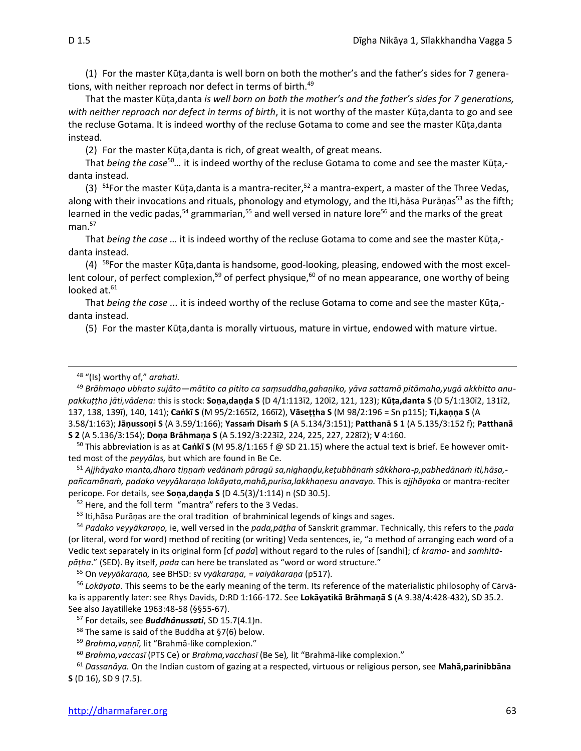(1) For the master Kūṭa,danta is well born on both the mother's and the father's sides for 7 generations, with neither reproach nor defect in terms of birth.<sup>49</sup>

That the master Kūṭa,danta *is well born on both the mother's and the father's sides for 7 generations, with neither reproach nor defect in terms of birth*, it is not worthy of the master Kūṭa,danta to go and see the recluse Gotama. It is indeed worthy of the recluse Gotama to come and see the master Kūṭa,danta instead.

(2) For the master Kūṭa,danta is rich, of great wealth, of great means.

That *being the case*<sup>50</sup>*…* it is indeed worthy of the recluse Gotama to come and see the master Kūṭa, danta instead.

(3)  $51$ For the master Kūṭa,danta is a mantra-reciter,<sup>52</sup> a mantra-expert, a master of the Three Vedas, along with their invocations and rituals, phonology and etymology, and the Iti,hāsa Purāṇas<sup>53</sup> as the fifth; learned in the vedic padas,<sup>54</sup> grammarian,<sup>55</sup> and well versed in nature lore<sup>56</sup> and the marks of the great man. 57

That *being the case …* it is indeed worthy of the recluse Gotama to come and see the master Kūṭa, danta instead.

 $(4)$ <sup>58</sup>For the master Kūṭa,danta is handsome, good-looking, pleasing, endowed with the most excellent colour, of perfect complexion,<sup>59</sup> of perfect physique,<sup>60</sup> of no mean appearance, one worthy of being looked at.<sup>61</sup>

That *being the case ...* it is indeed worthy of the recluse Gotama to come and see the master Kūṭa, danta instead.

(5) For the master Kūṭa,danta is morally virtuous, mature in virtue, endowed with mature virtue.

<sup>49</sup> *Brāhmaṇo ubhato sujāto—mātito ca pitito ca saṃsuddha,gahaṇiko, yāva sattamā pitāmaha,yugā akkhitto anupakkuṭṭho jāti,vādena:* this is stock: **Soṇa,daṇḍa S** (D 4/1:113ī2, 120ī2, 121, 123); **Kūṭa,danta S** (D 5/1:130ī2, 131ī2, 137, 138, 139ī), 140, 141); **Caṅkī S** (M 95/2:165ī2, 166ī2), **Vāseṭṭha S** (M 98/2:196 = Sn p115); **Ti,kaṇṇa S** (A 3.58/1:163); **Jāṇussoṇi S** (A 3.59/1:166); **Yassaṁ Disaṁ S** (A 5.134/3:151); **Patthanā S 1** (A 5.135/3:152 f); **Patthanā S 2** (A 5.136/3:154); **Doṇa Brāhmaṇa S** (A 5.192/3:223ī2, 224, 225, 227, 228ī2); **V** 4:160.

<sup>50</sup> This abbreviation is as at **Caṅkī S** (M 95.8/1:165 f @ SD 21.15) where the actual text is brief. Ee however omitted most of the *peyyālas,* but which are found in Be Ce.

<sup>51</sup> *Ajjhāyako manta,dharo tiṇṇaṁ vedānaṁ pāragū sa,nighaṇḍu,keṭubhānaṁ sâkkhara-p,pabhedānaṁ iti,hāsa, pañcamānaṁ, padako veyyākaraṇo lokāyata,mahā,purisa,lakkhaṇesu anavayo.* This is *ajjhāyaka* or mantra-reciter pericope. For details, see **Soṇa,daṇḍa S** (D 4.5(3)/1:114) n (SD 30.5).

<sup>52</sup> Here, and the foll term "mantra" refers to the 3 Vedas.

53 Iti, hasa Puraņas are the oral tradition of brahminical legends of kings and sages.

<sup>54</sup> *Padako veyyākaraṇo,* ie, well versed in the *pada,pāṭha* of Sanskrit grammar. Technically, this refers to the *pada* (or literal, word for word) method of reciting (or writing) Veda sentences, ie, "a method of arranging each word of a Vedic text separately in its original form [cf *pada*] without regard to the rules of [sandhi]; cf *krama-* and *saṁhitāpāṭha*." (SED). By itself, *pada* can here be translated as "word or word structure."

<sup>55</sup> On *veyyākaraṇa,* see BHSD: sv *vyākaraṇa, = vaiyākaraṇa* (p517).

<sup>56</sup> *Lokāyata*. This seems to be the early meaning of the term. Its reference of the materialistic philosophy of Cārvāka is apparently later: see Rhys Davids, D:RD 1:166-172. See **Lokāyatikā Brāhmaṇā S** (A 9.38/4:428-432), SD 35.2. See also Jayatilleke 1963:48-58 (§§55-67).

<sup>57</sup> For details, see *Buddhânussati*, SD 15.7(4.1)n.

 $58$  The same is said of the Buddha at §7(6) below.

<sup>59</sup> *Brahma,vaṇṇī,* lit "Brahmā-like complexion."

<sup>60</sup> *Brahma,vaccasī* (PTS Ce) or *Brahma,vacchasī* (Be Se)*,* lit "Brahmā-like complexion."

<sup>61</sup> *Dassanāya.* On the Indian custom of gazing at a respected, virtuous or religious person, see **Mahā,parinibbāna S** (D 16), SD 9 (7.5).

<sup>48</sup> "(Is) worthy of," *arahati.*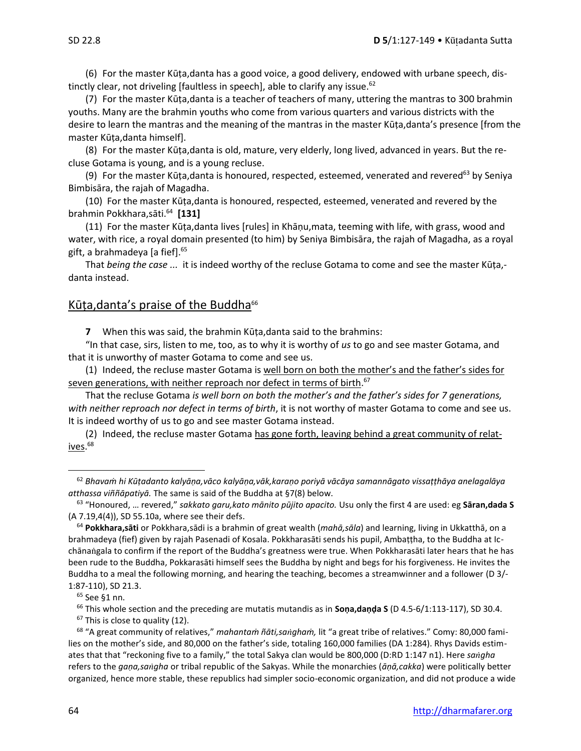(6) For the master Kūṭa,danta has a good voice, a good delivery, endowed with urbane speech, distinctly clear, not driveling [faultless in speech], able to clarify any issue.<sup>62</sup>

(7) For the master Kūṭa,danta is a teacher of teachers of many, uttering the mantras to 300 brahmin youths. Many are the brahmin youths who come from various quarters and various districts with the desire to learn the mantras and the meaning of the mantras in the master Kūṭa,danta's presence [from the master Kūṭa,danta himself].

(8) For the master Kūṭa,danta is old, mature, very elderly, long lived, advanced in years. But the recluse Gotama is young, and is a young recluse.

(9) For the master Kūṭa,danta is honoured, respected, esteemed, venerated and revered<sup>63</sup> by Seniya Bimbisāra, the rajah of Magadha.

(10) For the master Kūṭa,danta is honoured, respected, esteemed, venerated and revered by the brahmin Pokkhara,sāti. <sup>64</sup> **[131]**

(11) For the master Kūṭa,danta lives [rules] in Khāṇu,mata, teeming with life, with grass, wood and water, with rice, a royal domain presented (to him) by Seniya Bimbisāra, the rajah of Magadha, as a royal gift, a brahmadeya [a fief].<sup>65</sup>

That *being the case ...* it is indeed worthy of the recluse Gotama to come and see the master Kūṭa, danta instead.

## Kūṭa,danta's praise of the Buddha $66$

**7** When this was said, the brahmin Kūṭa,danta said to the brahmins:

"In that case, sirs, listen to me, too, as to why it is worthy of *us* to go and see master Gotama, and that it is unworthy of master Gotama to come and see us.

(1) Indeed, the recluse master Gotama is well born on both the mother's and the father's sides for seven generations, with neither reproach nor defect in terms of birth.<sup>67</sup>

That the recluse Gotama *is well born on both the mother's and the father's sides for 7 generations, with neither reproach nor defect in terms of birth*, it is not worthy of master Gotama to come and see us. It is indeed worthy of us to go and see master Gotama instead.

(2) Indeed, the recluse master Gotama has gone forth, leaving behind a great community of relatives. 68

<sup>62</sup> *Bhavaṁ hi Kūṭadanto kalyāṇa,vāco kalyāṇa,vāk,karaṇo poriyā vācāya samannāgato vissaṭṭhāya anelagalāya atthassa viññāpatiyā.* The same is said of the Buddha at §7(8) below.

<sup>63</sup> "Honoured, … revered," *sakkato garu,kato mānito pūjito apacito.* Usu only the first 4 are used: eg **Sāran,dada S**  (A 7.19,4(4)), SD 55.10a, where see their defs.

<sup>64</sup> **Pokkhara,sāti** or Pokkhara,sādi is a brahmin of great wealth (*mahā,sāla*) and learning, living in Ukkatthā, on a brahmadeya (fief) given by rajah Pasenadi of Kosala. Pokkharasāti sends his pupil, Ambaṭṭha, to the Buddha at Icchānagala to confirm if the report of the Buddha's greatness were true. When Pokkharasāti later hears that he has been rude to the Buddha, Pokkarasāti himself sees the Buddha by night and begs for his forgiveness. He invites the Buddha to a meal the following morning, and hearing the teaching, becomes a streamwinner and a follower (D 3/- 1:87-110), SD 21.3.

 $65$  See §1 nn.

<sup>66</sup> This whole section and the preceding are mutatis mutandis as in **Soṇa,daṇḍa S** (D 4.5-6/1:113-117), SD 30.4.

 $67$  This is close to quality (12).

<sup>68</sup> "A great community of relatives," *mahantaṁ ñāti,saghaṁ,* lit "a great tribe of relatives." Comy: 80,000 families on the mother's side, and 80,000 on the father's side, totaling 160,000 families (DA 1:284). Rhys Davids estimates that that "reckoning five to a family," the total Sakya clan would be 800,000 (D:RD 1:147 n1). Here *sagha*  refers to the *gaṇa,sagha* or tribal republic of the Sakyas. While the monarchies (*āṇā,cakka*) were politically better organized, hence more stable, these republics had simpler socio-economic organization, and did not produce a wide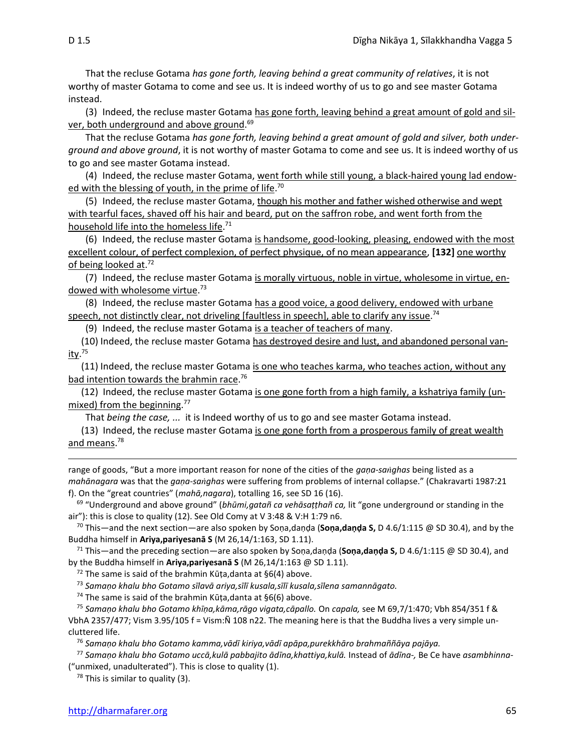That the recluse Gotama *has gone forth, leaving behind a great community of relatives*, it is not worthy of master Gotama to come and see us. It is indeed worthy of us to go and see master Gotama instead.

(3) Indeed, the recluse master Gotama has gone forth, leaving behind a great amount of gold and silver, both underground and above ground. 69

That the recluse Gotama *has gone forth, leaving behind a great amount of gold and silver, both underground and above ground*, it is not worthy of master Gotama to come and see us. It is indeed worthy of us to go and see master Gotama instead.

(4) Indeed, the recluse master Gotama, went forth while still young, a black-haired young lad endowed with the blessing of youth, in the prime of life.<sup>70</sup>

(5) Indeed, the recluse master Gotama, though his mother and father wished otherwise and wept with tearful faces, shaved off his hair and beard, put on the saffron robe, and went forth from the household life into the homeless life. 71

(6) Indeed, the recluse master Gotama is handsome, good-looking, pleasing, endowed with the most excellent colour, of perfect complexion, of perfect physique, of no mean appearance, **[132]** one worthy of being looked at.<sup>72</sup>

(7) Indeed, the recluse master Gotama is morally virtuous, noble in virtue, wholesome in virtue, endowed with wholesome virtue.<sup>73</sup>

(8) Indeed, the recluse master Gotama has a good voice, a good delivery, endowed with urbane speech, not distinctly clear, not driveling [faultless in speech], able to clarify any issue.<sup>74</sup>

(9) Indeed, the recluse master Gotama is a teacher of teachers of many.

(10) Indeed, the recluse master Gotama has destroyed desire and lust, and abandoned personal van-<u>ity</u>.<sup>75</sup>

(11) Indeed, the recluse master Gotama is one who teaches karma, who teaches action, without any bad intention towards the brahmin race.<sup>76</sup>

(12) Indeed, the recluse master Gotama is one gone forth from a high family, a kshatriya family (unmixed) from the beginning.<sup>77</sup>

That *being the case, ...* it is Indeed worthy of us to go and see master Gotama instead.

(13) Indeed, the recluse master Gotama is one gone forth from a prosperous family of great wealth and means.<sup>78</sup>

range of goods, "But a more important reason for none of the cities of the *gaṇa-saghas* being listed as a *mahānagara* was that the *gaṇa-saghas* were suffering from problems of internal collapse." (Chakravarti 1987:21 f). On the "great countries" (*mahā,nagara*), totalling 16, see SD 16 (16).

<sup>69</sup> "Underground and above ground" (*bhūmi,gatañ ca vehāsaṭṭhañ ca,* lit "gone underground or standing in the air"): this is close to quality (12). See Old Comy at V 3:48 & V:H 1:79 n6.

<sup>70</sup> This—and the next section—are also spoken by Soṇa,daṇḍa (**Soṇa,daṇḍa S,** D 4.6/1:115 @ SD 30.4), and by the Buddha himself in **Ariya,pariyesanā S** (M 26,14/1:163, SD 1.11).

<sup>71</sup> This—and the preceding section—are also spoken by Soṇa,daṇḍa (**Soṇa,daṇḍa S,** D 4.6/1:115 @ SD 30.4), and by the Buddha himself in **Ariya,pariyesanā S** (M 26,14/1:163 @ SD 1.11).

 $72$  The same is said of the brahmin Kūṭa, danta at §6(4) above.

<sup>73</sup> *Samaṇo khalu bho Gotamo sīlavā ariya,sīlī kusala,sīlī kusala,sīlena samannāgato.*

<sup>74</sup> The same is said of the brahmin Kūṭa,danta at §6(6) above.

<sup>75</sup> *Samaṇo khalu bho Gotamo khīṇa,kāma,rāgo vigata,cāpallo.* On *capala,* see M 69,7/1:470; Vbh 854/351 f & VbhA 2357/477; Vism 3.95/105 f = Vism:Ñ 108 n22. The meaning here is that the Buddha lives a very simple uncluttered life.

<sup>76</sup> *Samaṇo khalu bho Gotamo kamma,vādī kiriya,vādī apāpa,purekkhāro brahmaññāya pajāya.*

<sup>77</sup> *Samaṇo khalu bho Gotamo uccā,kulā pabbajito ādīna,khattiya,kulā.* Instead of *ādīna-,* Be Ce have *asambhinna-* ("unmixed, unadulterated"). This is close to quality (1).

 $78$  This is similar to quality (3).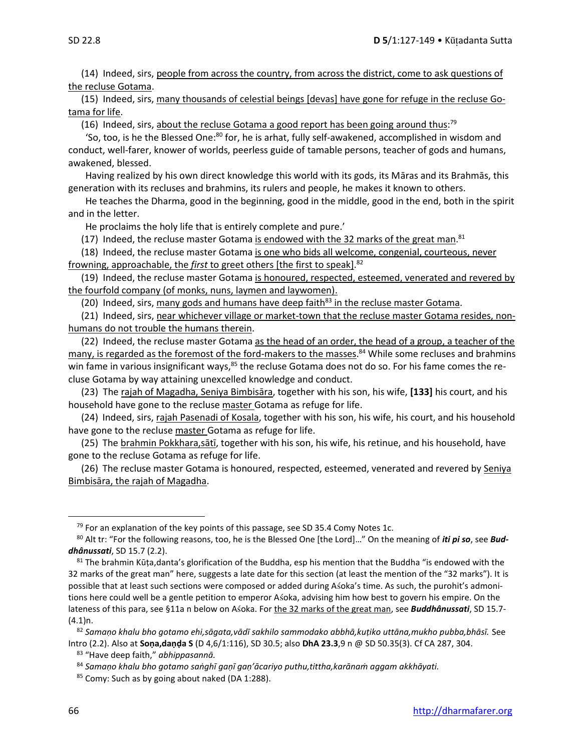(14) Indeed, sirs, people from across the country, from across the district, come to ask questions of the recluse Gotama.

(15) Indeed, sirs, many thousands of celestial beings [devas] have gone for refuge in the recluse Gotama for life.

(16) Indeed, sirs, about the recluse Gotama a good report has been going around thus:<sup>79</sup>

'So, too, is he the Blessed One:<sup>80</sup> for, he is arhat, fully self-awakened, accomplished in wisdom and conduct, well-farer, knower of worlds, peerless guide of tamable persons, teacher of gods and humans, awakened, blessed.

Having realized by his own direct knowledge this world with its gods, its Māras and its Brahmās, this generation with its recluses and brahmins, its rulers and people, he makes it known to others.

He teaches the Dharma, good in the beginning, good in the middle, good in the end, both in the spirit and in the letter.

He proclaims the holy life that is entirely complete and pure.'

(17) Indeed, the recluse master Gotama is endowed with the 32 marks of the great man.<sup>81</sup>

(18) Indeed, the recluse master Gotama is one who bids all welcome, congenial, courteous, never frowning, approachable, the *first* to greet others [the first to speak]. 82

(19) Indeed, the recluse master Gotama is honoured, respected, esteemed, venerated and revered by the fourfold company (of monks, nuns, laymen and laywomen).

(20) Indeed, sirs, many gods and humans have deep faith $83$  in the recluse master Gotama.

(21) Indeed, sirs, near whichever village or market-town that the recluse master Gotama resides, nonhumans do not trouble the humans therein.

(22) Indeed, the recluse master Gotama as the head of an order, the head of a group, a teacher of the many, is regarded as the foremost of the ford-makers to the masses.<sup>84</sup> While some recluses and brahmins win fame in various insignificant ways, $85$  the recluse Gotama does not do so. For his fame comes the recluse Gotama by way attaining unexcelled knowledge and conduct.

(23) The rajah of Magadha, Seniya Bimbisāra, together with his son, his wife, **[133]** his court, and his household have gone to the recluse master Gotama as refuge for life.

(24) Indeed, sirs, rajah Pasenadi of Kosala, together with his son, his wife, his court, and his household have gone to the recluse master Gotama as refuge for life.

(25) The brahmin Pokkhara,sātī, together with his son, his wife, his retinue, and his household, have gone to the recluse Gotama as refuge for life.

(26) The recluse master Gotama is honoured, respected, esteemed, venerated and revered by Seniya Bimbisāra, the rajah of Magadha.

 $79$  For an explanation of the key points of this passage, see SD 35.4 Comy Notes 1c.

<sup>80</sup> Alt tr: "For the following reasons, too, he is the Blessed One [the Lord]…" On the meaning of *iti pi so*, see *Buddhânussati*, SD 15.7 (2.2).

 $81$  The brahmin Kūṭa,danta's glorification of the Buddha, esp his mention that the Buddha "is endowed with the 32 marks of the great man" here, suggests a late date for this section (at least the mention of the "32 marks"). It is possible that at least such sections were composed or added during Asoka's time. As such, the purohit's admonitions here could well be a gentle petition to emperor Asoka, advising him how best to govern his empire. On the lateness of this para, see §11a n below on Asoka. For the 32 marks of the great man, see **Buddhânussati**, SD 15.7- $(4.1)$ n.

<sup>82</sup> *Samaṇo khalu bho gotamo ehi,sāgata,vādī sakhilo sammodako abbhā,kuṭiko uttāna,mukho pubba,bhāsī.* See Intro (2.2). Also at **Soṇa,daṇḍa S** (D 4,6/1:116), SD 30.5; also **DhA 23.3**,9 n @ SD 50.35(3). Cf CA 287, 304.

<sup>83</sup> "Have deep faith," *abhippasannā.*

<sup>84</sup> *Samaṇo khalu bho gotamo saṅghī gaṇī gaṇ'ācariyo puthu,tittha,karānaṁ aggam akkhāyati.*

<sup>85</sup> Comy: Such as by going about naked (DA 1:288).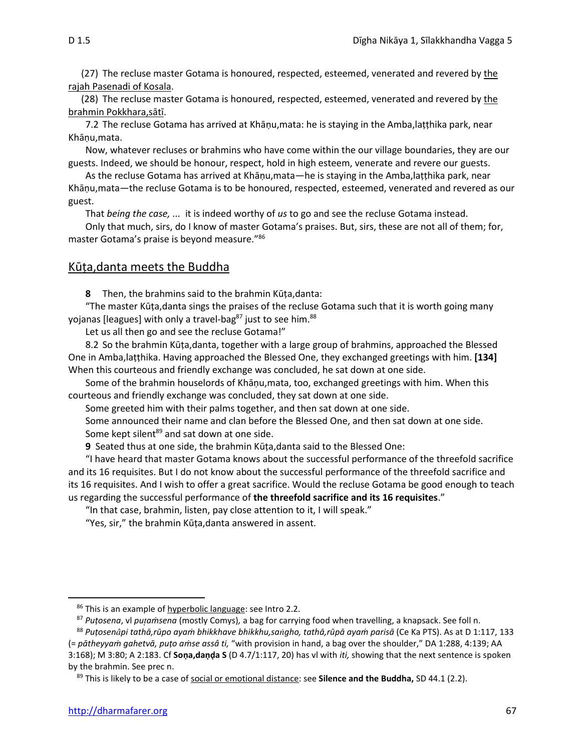(27) The recluse master Gotama is honoured, respected, esteemed, venerated and revered by the rajah Pasenadi of Kosala.

(28) The recluse master Gotama is honoured, respected, esteemed, venerated and revered by the brahmin Pokkhara,sātī.

7.2 The recluse Gotama has arrived at Khāṇu,mata: he is staying in the Amba,laṭṭhika park, near Khānu, mata.

Now, whatever recluses or brahmins who have come within the our village boundaries, they are our guests. Indeed, we should be honour, respect, hold in high esteem, venerate and revere our guests.

As the recluse Gotama has arrived at Khāṇu,mata—he is staying in the Amba,laṭṭhika park, near Khāṇu,mata—the recluse Gotama is to be honoured, respected, esteemed, venerated and revered as our guest.

That *being the case, ...* it is indeed worthy of *us* to go and see the recluse Gotama instead.

Only that much, sirs, do I know of master Gotama's praises. But, sirs, these are not all of them; for, master Gotama's praise is beyond measure."<sup>86</sup>

#### Kūṭa,danta meets the Buddha

**8** Then, the brahmins said to the brahmin Kūṭa,danta:

"The master Kūṭa,danta sings the praises of the recluse Gotama such that it is worth going many yojanas [leagues] with only a travel-bag $87$  just to see him. $88$ 

Let us all then go and see the recluse Gotama!"

8.2 So the brahmin Kūṭa,danta, together with a large group of brahmins, approached the Blessed One in Amba,laṭṭhika. Having approached the Blessed One, they exchanged greetings with him. **[134]**  When this courteous and friendly exchange was concluded, he sat down at one side.

Some of the brahmin houselords of Khāṇu,mata, too, exchanged greetings with him. When this courteous and friendly exchange was concluded, they sat down at one side.

Some greeted him with their palms together, and then sat down at one side.

Some announced their name and clan before the Blessed One, and then sat down at one side. Some kept silent<sup>89</sup> and sat down at one side.

**9** Seated thus at one side, the brahmin Kūṭa,danta said to the Blessed One:

"I have heard that master Gotama knows about the successful performance of the threefold sacrifice and its 16 requisites. But I do not know about the successful performance of the threefold sacrifice and its 16 requisites. And I wish to offer a great sacrifice. Would the recluse Gotama be good enough to teach us regarding the successful performance of **the threefold sacrifice and its 16 requisites**."

"In that case, brahmin, listen, pay close attention to it, I will speak."

"Yes, sir," the brahmin Kūṭa,danta answered in assent.

<sup>86</sup> This is an example of hyperbolic language: see Intro 2.2.

<sup>87</sup> *Puṭosena*, vl *puaṁsena* (mostly Comys)*,* a bag for carrying food when travelling, a knapsack. See foll n.

<sup>&</sup>lt;sup>88</sup> Putosenâpi tathā, rūpo ayam bhikkhave bhikkhu, sangho, tathā, rūpā ayam parisā (Ce Ka PTS). As at D 1:117, 133 (= *pātheyyaṁ gahetvā, puṭo aṁse assâ ti,* "with provision in hand, a bag over the shoulder," DA 1:288, 4:139; AA 3:168); M 3:80; A 2:183. Cf **Soṇa,daṇḍa S** (D 4.7/1:117, 20) has vl with *iti,* showing that the next sentence is spoken by the brahmin. See prec n.

<sup>89</sup> This is likely to be a case of social or emotional distance: see **Silence and the Buddha,** SD 44.1 (2.2).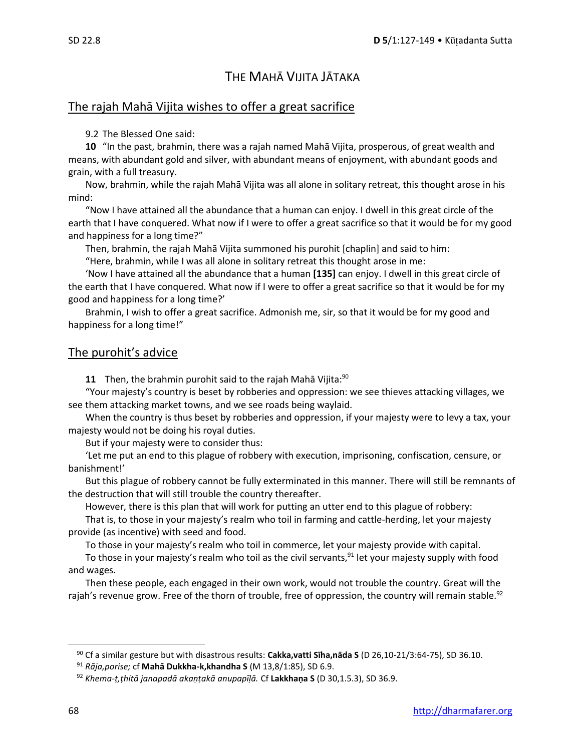## THE MAHĀ VIJITA JĀTAKA

## The rajah Mahā Vijita wishes to offer a great sacrifice

#### 9.2 The Blessed One said:

**10** "In the past, brahmin, there was a rajah named Mahā Vijita, prosperous, of great wealth and means, with abundant gold and silver, with abundant means of enjoyment, with abundant goods and grain, with a full treasury.

Now, brahmin, while the rajah Mahā Vijita was all alone in solitary retreat, this thought arose in his mind:

"Now I have attained all the abundance that a human can enjoy. I dwell in this great circle of the earth that I have conquered. What now if I were to offer a great sacrifice so that it would be for my good and happiness for a long time?"

Then, brahmin, the rajah Mahā Vijita summoned his purohit [chaplin] and said to him:

"Here, brahmin, while I was all alone in solitary retreat this thought arose in me:

'Now I have attained all the abundance that a human **[135]** can enjoy. I dwell in this great circle of the earth that I have conquered. What now if I were to offer a great sacrifice so that it would be for my good and happiness for a long time?'

Brahmin, I wish to offer a great sacrifice. Admonish me, sir, so that it would be for my good and happiness for a long time!"

## The purohit's advice

**11** Then, the brahmin purohit said to the rajah Mahā Vijita:<sup>90</sup>

"Your majesty's country is beset by robberies and oppression: we see thieves attacking villages, we see them attacking market towns, and we see roads being waylaid.

When the country is thus beset by robberies and oppression, if your majesty were to levy a tax, your majesty would not be doing his royal duties.

But if your majesty were to consider thus:

'Let me put an end to this plague of robbery with execution, imprisoning, confiscation, censure, or banishment!'

But this plague of robbery cannot be fully exterminated in this manner. There will still be remnants of the destruction that will still trouble the country thereafter.

However, there is this plan that will work for putting an utter end to this plague of robbery:

That is, to those in your majesty's realm who toil in farming and cattle-herding, let your majesty provide (as incentive) with seed and food.

To those in your majesty's realm who toil in commerce, let your majesty provide with capital.

To those in your majesty's realm who toil as the civil servants,  $91$  let your majesty supply with food and wages.

Then these people, each engaged in their own work, would not trouble the country. Great will the rajah's revenue grow. Free of the thorn of trouble, free of oppression, the country will remain stable.<sup>92</sup>

<sup>90</sup> Cf a similar gesture but with disastrous results: **Cakka,vatti Sīha,nāda S** (D 26,10-21/3:64-75), SD 36.10.

<sup>91</sup> *Rāja,porise;* cf **Mahā Dukkha-k,khandha S** (M 13,8/1:85), SD 6.9.

<sup>92</sup> *Khema-ṭ,ṭhitā janapadā akaṇṭakā anupapīḷā.* Cf **Lakkhaṇa S** (D 30,1.5.3), SD 36.9.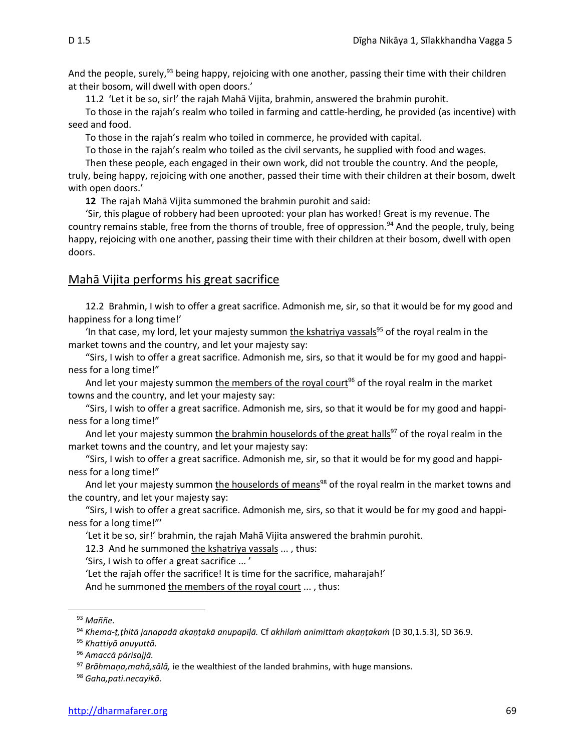And the people, surely,<sup>93</sup> being happy, rejoicing with one another, passing their time with their children at their bosom, will dwell with open doors.'

11.2 'Let it be so, sir!' the rajah Mahā Vijita, brahmin, answered the brahmin purohit.

To those in the rajah's realm who toiled in farming and cattle-herding, he provided (as incentive) with seed and food.

To those in the rajah's realm who toiled in commerce, he provided with capital.

To those in the rajah's realm who toiled as the civil servants, he supplied with food and wages.

Then these people, each engaged in their own work, did not trouble the country. And the people, truly, being happy, rejoicing with one another, passed their time with their children at their bosom, dwelt with open doors.'

**12** The rajah Mahā Vijita summoned the brahmin purohit and said:

'Sir, this plague of robbery had been uprooted: your plan has worked! Great is my revenue. The country remains stable, free from the thorns of trouble, free of oppression.<sup>94</sup> And the people, truly, being happy, rejoicing with one another, passing their time with their children at their bosom, dwell with open doors.

## Mahā Vijita performs his great sacrifice

12.2Brahmin, I wish to offer a great sacrifice. Admonish me, sir, so that it would be for my good and happiness for a long time!'

'In that case, my lord, let your majesty summon <u>the kshatriya vassals<sup>95</sup> of the royal realm in the</u> market towns and the country, and let your majesty say:

"Sirs, I wish to offer a great sacrifice. Admonish me, sirs, so that it would be for my good and happiness for a long time!"

And let your majesty summon the members of the royal court<sup>96</sup> of the royal realm in the market towns and the country, and let your majesty say:

"Sirs, I wish to offer a great sacrifice. Admonish me, sirs, so that it would be for my good and happiness for a long time!"

And let your majesty summon the brahmin houselords of the great halls<sup>97</sup> of the royal realm in the market towns and the country, and let your majesty say:

"Sirs, I wish to offer a great sacrifice. Admonish me, sir, so that it would be for my good and happiness for a long time!"

And let your majesty summon the houselords of means<sup>98</sup> of the royal realm in the market towns and the country, and let your majesty say:

"Sirs, I wish to offer a great sacrifice. Admonish me, sirs, so that it would be for my good and happiness for a long time!"'

'Let it be so, sir!' brahmin, the rajah Mahā Vijita answered the brahmin purohit.

12.3 And he summoned the kshatriya vassals ..., thus:

'Sirs, I wish to offer a great sacrifice ... '

'Let the rajah offer the sacrifice! It is time for the sacrifice, maharajah!'

And he summoned the members of the royal court ..., thus:

<sup>93</sup> *Maññe.*

<sup>94</sup> *Khema-ṭ,ṭhitā janapadā akaṇṭakā anupapīḷā.* Cf *akhilaṁ animittaṁ akaṇṭakaṁ* (D 30,1.5.3), SD 36.9.

<sup>95</sup> *Khattiyā anuyuttā.*

<sup>96</sup> *Amaccā pārisajjā.*

<sup>97</sup> *Brāhmaṇa,mahā,sālā,* ie the wealthiest of the landed brahmins, with huge mansions.

<sup>98</sup> *Gaha,pati.necayikā.*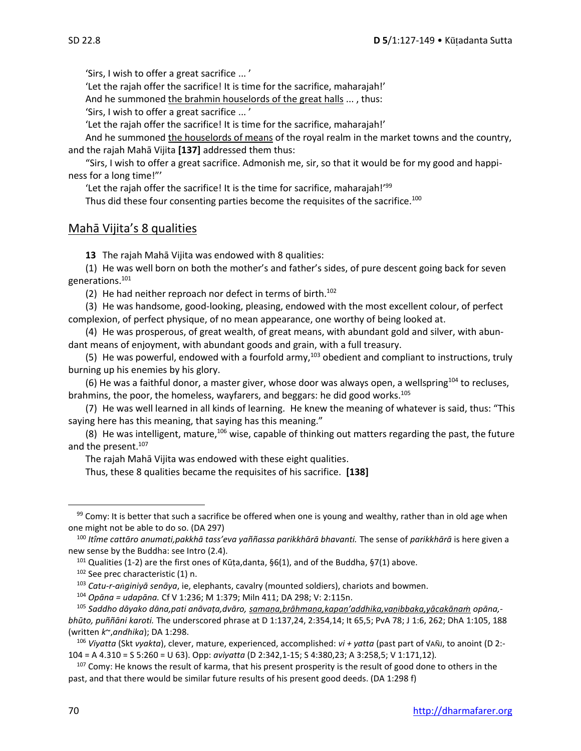'Sirs, I wish to offer a great sacrifice ... '

'Let the rajah offer the sacrifice! It is time for the sacrifice, maharajah!'

And he summoned the brahmin houselords of the great halls ... , thus:

'Sirs, I wish to offer a great sacrifice ... '

'Let the rajah offer the sacrifice! It is time for the sacrifice, maharajah!'

And he summoned the houselords of means of the royal realm in the market towns and the country, and the rajah Mahā Vijita **[137]** addressed them thus:

"Sirs, I wish to offer a great sacrifice. Admonish me, sir, so that it would be for my good and happiness for a long time!"'

'Let the rajah offer the sacrifice! It is the time for sacrifice, maharajah!'<sup>99</sup>

Thus did these four consenting parties become the requisites of the sacrifice.<sup>100</sup>

## Mahā Vijita's 8 qualities

**13** The rajah Mahā Vijita was endowed with 8 qualities:

(1) He was well born on both the mother's and father's sides, of pure descent going back for seven generations.<sup>101</sup>

(2) He had neither reproach nor defect in terms of birth. $102$ 

(3) He was handsome, good-looking, pleasing, endowed with the most excellent colour, of perfect complexion, of perfect physique, of no mean appearance, one worthy of being looked at.

(4) He was prosperous, of great wealth, of great means, with abundant gold and silver, with abundant means of enjoyment, with abundant goods and grain, with a full treasury.

(5) He was powerful, endowed with a fourfold army,<sup>103</sup> obedient and compliant to instructions, truly burning up his enemies by his glory.

(6) He was a faithful donor, a master giver, whose door was always open, a wellspring<sup>104</sup> to recluses, brahmins, the poor, the homeless, wayfarers, and beggars: he did good works.<sup>105</sup>

(7) He was well learned in all kinds of learning. He knew the meaning of whatever is said, thus: "This saying here has this meaning, that saying has this meaning."

(8) He was intelligent, mature,<sup>106</sup> wise, capable of thinking out matters regarding the past, the future and the present.<sup>107</sup>

The rajah Mahā Vijita was endowed with these eight qualities.

Thus, these 8 qualities became the requisites of his sacrifice. **[138]**

<sup>106</sup> *Viyatta* (Skt *vyakta*), clever, mature, experienced, accomplished: *vi + yatta* (past part of √AÑJ, to anoint (D 2:- 104 = A 4.310 = S 5:260 = U 63). Opp: *aviyatta* (D 2:342,1-15; S 4:380,23; A 3:258,5; V 1:171,12)*.*

 $107$  Comy: He knows the result of karma, that his present prosperity is the result of good done to others in the past, and that there would be similar future results of his present good deeds. (DA 1:298 f)

 $99$  Comy: It is better that such a sacrifice be offered when one is young and wealthy, rather than in old age when one might not be able to do so. (DA 297)

<sup>100</sup> *Itîme cattāro anumati,pakkhā tass'eva yaññassa parikkhārā bhavanti.* The sense of *parikkhārā* is here given a new sense by the Buddha: see Intro (2.4).

 $101$  Qualities (1-2) are the first ones of Kūṭa,danta, §6(1), and of the Buddha, §7(1) above.

<sup>102</sup> See prec characteristic (1) n.

<sup>103</sup> *Catu-r-aginiyā senāya*, ie, elephants, cavalry (mounted soldiers), chariots and bowmen.

<sup>104</sup> *Opāna = udapāna.* Cf V 1:236; M 1:379; Miln 411; DA 298; V: 2:115n.

<sup>105</sup> *Saddho dāyako dāna,pati anāvaṭa,dvāro, samaṇa,brāhmaṇa,kapaṇ'addhika,vaṇibbaka,yācakānaṁ opāna, bhūto, puññāni karoti.* The underscored phrase at D 1:137,24, 2:354,14; It 65,5; PvA 78; J 1:6, 262; DhA 1:105, 188 (written *k*~,*andhika*); DA 1:298.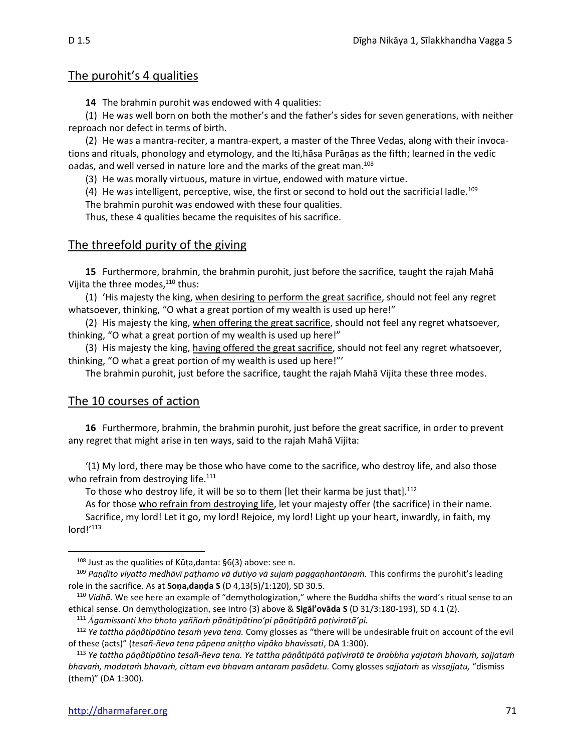## The purohit's 4 qualities

**14** The brahmin purohit was endowed with 4 qualities:

(1) He was well born on both the mother's and the father's sides for seven generations, with neither reproach nor defect in terms of birth.

(2) He was a mantra-reciter, a mantra-expert, a master of the Three Vedas, along with their invocations and rituals, phonology and etymology, and the Iti,hāsa Purāṇas as the fifth; learned in the vedic oadas, and well versed in nature lore and the marks of the great man.<sup>108</sup>

(3) He was morally virtuous, mature in virtue, endowed with mature virtue.

(4) He was intelligent, perceptive, wise, the first or second to hold out the sacrificial ladle.<sup>109</sup> The brahmin purohit was endowed with these four qualities.

Thus, these 4 qualities became the requisites of his sacrifice.

## The threefold purity of the giving

**15** Furthermore, brahmin, the brahmin purohit, just before the sacrifice, taught the rajah Mahā Vijita the three modes,<sup>110</sup> thus:

(1) 'His majesty the king, when desiring to perform the great sacrifice, should not feel any regret whatsoever, thinking, "O what a great portion of my wealth is used up here!"

(2) His majesty the king, when offering the great sacrifice, should not feel any regret whatsoever, thinking, "O what a great portion of my wealth is used up here!"

(3) His majesty the king, having offered the great sacrifice, should not feel any regret whatsoever, thinking, "O what a great portion of my wealth is used up here!"'

The brahmin purohit, just before the sacrifice, taught the rajah Mahā Vijita these three modes.

#### The 10 courses of action

**16** Furthermore, brahmin, the brahmin purohit, just before the great sacrifice, in order to prevent any regret that might arise in ten ways, said to the rajah Mahā Vijita:

'(1) My lord, there may be those who have come to the sacrifice, who destroy life, and also those who refrain from destroying life.<sup>111</sup>

To those who destroy life, it will be so to them [let their karma be just that].<sup>112</sup>

As for those who refrain from destroying life, let your majesty offer (the sacrifice) in their name.

Sacrifice, my lord! Let it go, my lord! Rejoice, my lord! Light up your heart, inwardly, in faith, my lord!'<sup>113</sup>

 $108$  Just as the qualities of Kūta,danta: §6(3) above: see n.

<sup>109</sup> *Paṇḍito viyatto medhāvī paṭhamo vā dutiyo vā sujaṁ paggaṇhantānaṁ.* This confirms the purohit's leading role in the sacrifice. As at **Soṇa,daṇḍa S** (D 4,13(5)/1:120), SD 30.5.

<sup>110</sup> *Vidhā.* We see here an example of "demythologization," where the Buddha shifts the word's ritual sense to an ethical sense. On demythologization, see Intro (3) above & **Sigāl'ovāda S** (D 31/3:180-193), SD 4.1 (2).

<sup>111</sup> *gamissanti kho bhoto yaññaṁ pāṇâtipātino'pi pāṇâtipātā paṭiviratā'pi.* 

<sup>112</sup> *Ye tattha pāṇâtipātino tesaṁ yeva tena.* Comy glosses as "there will be undesirable fruit on account of the evil of these (acts)" (*tesañ-ñeva tena pāpena aniṭṭho vipāko bhavissati*, DA 1:300).

<sup>113</sup> *Ye tattha pāṇâtipātino tesañ-ñeva tena. Ye tattha pāṇâtipātā paṭiviratā te ārabbha yajataṁ bhavaṁ, sajjataṁ bhavaṁ, modataṁ bhavaṁ, cittam eva bhavam antaram pasādetu.* Comy glosses *sajjataṁ* as *vissajjatu,* "dismiss (them)" (DA 1:300).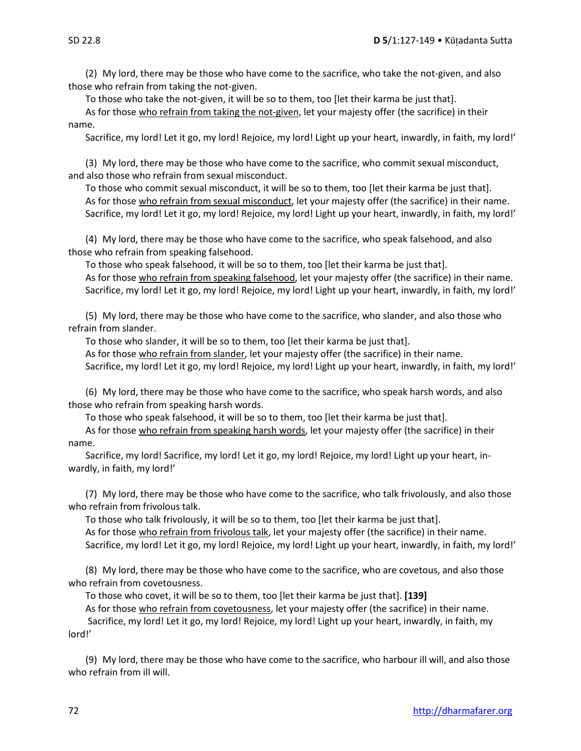(2) My lord, there may be those who have come to the sacrifice, who take the not-given, and also those who refrain from taking the not-given.

To those who take the not-given, it will be so to them, too [let their karma be just that].

As for those who refrain from taking the not-given, let your majesty offer (the sacrifice) in their name.

Sacrifice, my lord! Let it go, my lord! Rejoice, my lord! Light up your heart, inwardly, in faith, my lord!'

(3) My lord, there may be those who have come to the sacrifice, who commit sexual misconduct, and also those who refrain from sexual misconduct.

To those who commit sexual misconduct, it will be so to them, too [let their karma be just that]. As for those who refrain from sexual misconduct, let your majesty offer (the sacrifice) in their name. Sacrifice, my lord! Let it go, my lord! Rejoice, my lord! Light up your heart, inwardly, in faith, my lord!'

(4) My lord, there may be those who have come to the sacrifice, who speak falsehood, and also those who refrain from speaking falsehood.

To those who speak falsehood, it will be so to them, too [let their karma be just that]. As for those who refrain from speaking falsehood, let your majesty offer (the sacrifice) in their name. Sacrifice, my lord! Let it go, my lord! Rejoice, my lord! Light up your heart, inwardly, in faith, my lord!'

(5) My lord, there may be those who have come to the sacrifice, who slander, and also those who refrain from slander.

To those who slander, it will be so to them, too [let their karma be just that].

As for those who refrain from slander, let your majesty offer (the sacrifice) in their name.

Sacrifice, my lord! Let it go, my lord! Rejoice, my lord! Light up your heart, inwardly, in faith, my lord!'

(6) My lord, there may be those who have come to the sacrifice, who speak harsh words, and also those who refrain from speaking harsh words.

To those who speak falsehood, it will be so to them, too [let their karma be just that].

As for those who refrain from speaking harsh words, let your majesty offer (the sacrifice) in their name.

Sacrifice, my lord! Sacrifice, my lord! Let it go, my lord! Rejoice, my lord! Light up your heart, inwardly, in faith, my lord!'

(7) My lord, there may be those who have come to the sacrifice, who talk frivolously, and also those who refrain from frivolous talk.

To those who talk frivolously, it will be so to them, too [let their karma be just that].

As for those who refrain from frivolous talk, let your majesty offer (the sacrifice) in their name. Sacrifice, my lord! Let it go, my lord! Rejoice, my lord! Light up your heart, inwardly, in faith, my lord!'

(8) My lord, there may be those who have come to the sacrifice, who are covetous, and also those who refrain from covetousness.

To those who covet, it will be so to them, too [let their karma be just that]. **[139]**

As for those who refrain from covetousness, let your majesty offer (the sacrifice) in their name. Sacrifice, my lord! Let it go, my lord! Rejoice, my lord! Light up your heart, inwardly, in faith, my lord!'

(9) My lord, there may be those who have come to the sacrifice, who harbour ill will, and also those who refrain from ill will.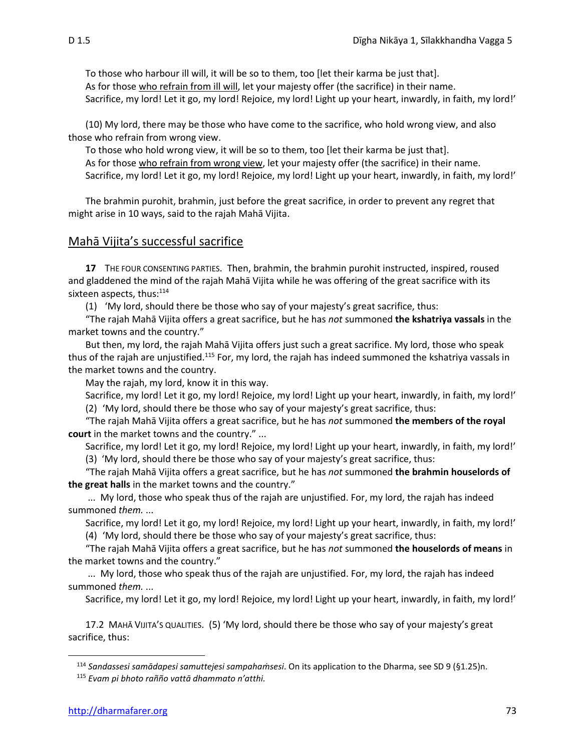To those who harbour ill will, it will be so to them, too [let their karma be just that]. As for those who refrain from ill will, let your majesty offer (the sacrifice) in their name. Sacrifice, my lord! Let it go, my lord! Rejoice, my lord! Light up your heart, inwardly, in faith, my lord!'

(10) My lord, there may be those who have come to the sacrifice, who hold wrong view, and also those who refrain from wrong view.

To those who hold wrong view, it will be so to them, too [let their karma be just that]. As for those who refrain from wrong view, let your majesty offer (the sacrifice) in their name. Sacrifice, my lord! Let it go, my lord! Rejoice, my lord! Light up your heart, inwardly, in faith, my lord!'

The brahmin purohit, brahmin, just before the great sacrifice, in order to prevent any regret that might arise in 10 ways, said to the rajah Mahā Vijita.

## Mahā Vijita's successful sacrifice

**17** THE FOUR CONSENTING PARTIES. Then, brahmin, the brahmin purohit instructed, inspired, roused and gladdened the mind of the rajah Mahā Vijita while he was offering of the great sacrifice with its sixteen aspects, thus:<sup>114</sup>

(1) 'My lord, should there be those who say of your majesty's great sacrifice, thus:

"The rajah Mahā Vijita offers a great sacrifice, but he has *not* summoned **the kshatriya vassals** in the market towns and the country."

But then, my lord, the rajah Mahā Vijita offers just such a great sacrifice. My lord, those who speak thus of the rajah are unjustified.<sup>115</sup> For, my lord, the rajah has indeed summoned the kshatriya vassals in the market towns and the country.

May the rajah, my lord, know it in this way.

Sacrifice, my lord! Let it go, my lord! Rejoice, my lord! Light up your heart, inwardly, in faith, my lord!' (2) 'My lord, should there be those who say of your majesty's great sacrifice, thus:

"The rajah Mahā Vijita offers a great sacrifice, but he has *not* summoned **the members of the royal court** in the market towns and the country." ...

Sacrifice, my lord! Let it go, my lord! Rejoice, my lord! Light up your heart, inwardly, in faith, my lord!'

(3) 'My lord, should there be those who say of your majesty's great sacrifice, thus:

"The rajah Mahā Vijita offers a great sacrifice, but he has *not* summoned **the brahmin houselords of the great halls** in the market towns and the country."

... My lord, those who speak thus of the rajah are unjustified. For, my lord, the rajah has indeed summoned *them.* ...

Sacrifice, my lord! Let it go, my lord! Rejoice, my lord! Light up your heart, inwardly, in faith, my lord!'

(4) 'My lord, should there be those who say of your majesty's great sacrifice, thus:

"The rajah Mahā Vijita offers a great sacrifice, but he has *not* summoned **the houselords of means** in the market towns and the country."

... My lord, those who speak thus of the rajah are unjustified. For, my lord, the rajah has indeed summoned *them.* ...

Sacrifice, my lord! Let it go, my lord! Rejoice, my lord! Light up your heart, inwardly, in faith, my lord!'

17.2 MAHĀ VIJITA'S QUALITIES. (5) 'My lord, should there be those who say of your majesty's great sacrifice, thus:

<sup>114</sup> *Sandassesi samādapesi samuttejesi sampahaṁsesi*. On its application to the Dharma, see SD 9 (§1.25)n. <sup>115</sup> *Evam pi bhoto rañño vattā dhammato n'atthi.*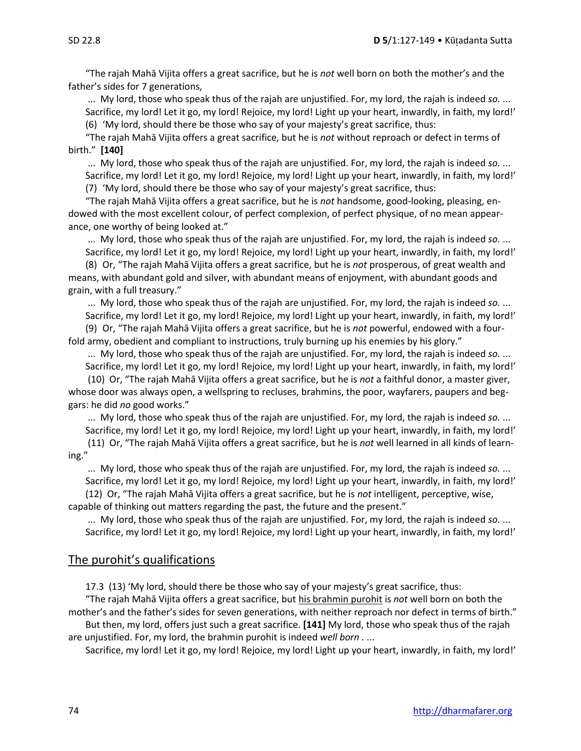"The rajah Mahā Vijita offers a great sacrifice, but he is *not* well born on both the mother's and the father's sides for 7 generations,

... My lord, those who speak thus of the rajah are unjustified. For, my lord, the rajah is indeed *so.* ... Sacrifice, my lord! Let it go, my lord! Rejoice, my lord! Light up your heart, inwardly, in faith, my lord!' (6) 'My lord, should there be those who say of your majesty's great sacrifice, thus:

"The rajah Mahā Vijita offers a great sacrifice, but he is *not* without reproach or defect in terms of birth." **[140]**

... My lord, those who speak thus of the rajah are unjustified. For, my lord, the rajah is indeed *so.* ... Sacrifice, my lord! Let it go, my lord! Rejoice, my lord! Light up your heart, inwardly, in faith, my lord!' (7) 'My lord, should there be those who say of your majesty's great sacrifice, thus:

"The rajah Mahā Vijita offers a great sacrifice, but he is *not* handsome, good-looking, pleasing, endowed with the most excellent colour, of perfect complexion, of perfect physique, of no mean appearance, one worthy of being looked at."

... My lord, those who speak thus of the rajah are unjustified. For, my lord, the rajah is indeed *so.* ... Sacrifice, my lord! Let it go, my lord! Rejoice, my lord! Light up your heart, inwardly, in faith, my lord!'

(8) Or, "The rajah Mahā Vijita offers a great sacrifice, but he is *not* prosperous, of great wealth and means, with abundant gold and silver, with abundant means of enjoyment, with abundant goods and grain, with a full treasury."

... My lord, those who speak thus of the rajah are unjustified. For, my lord, the rajah is indeed *so.* ... Sacrifice, my lord! Let it go, my lord! Rejoice, my lord! Light up your heart, inwardly, in faith, my lord!' (9) Or, "The rajah Mahā Vijita offers a great sacrifice, but he is *not* powerful, endowed with a four-

fold army, obedient and compliant to instructions, truly burning up his enemies by his glory."

... My lord, those who speak thus of the rajah are unjustified. For, my lord, the rajah is indeed *so.* ... Sacrifice, my lord! Let it go, my lord! Rejoice, my lord! Light up your heart, inwardly, in faith, my lord!'

(10) Or, "The rajah Mahā Vijita offers a great sacrifice, but he is *not* a faithful donor, a master giver, whose door was always open, a wellspring to recluses, brahmins, the poor, wayfarers, paupers and beggars: he did *no* good works."

... My lord, those who speak thus of the rajah are unjustified. For, my lord, the rajah is indeed *so.* ... Sacrifice, my lord! Let it go, my lord! Rejoice, my lord! Light up your heart, inwardly, in faith, my lord!'

(11) Or, "The rajah Mahā Vijita offers a great sacrifice, but he is *not* well learned in all kinds of learning."

... My lord, those who speak thus of the rajah are unjustified. For, my lord, the rajah is indeed *so.* ... Sacrifice, my lord! Let it go, my lord! Rejoice, my lord! Light up your heart, inwardly, in faith, my lord!'

(12) Or, "The rajah Mahā Vijita offers a great sacrifice, but he is *not* intelligent, perceptive, wise, capable of thinking out matters regarding the past, the future and the present."

... My lord, those who speak thus of the rajah are unjustified. For, my lord, the rajah is indeed *so.* ... Sacrifice, my lord! Let it go, my lord! Rejoice, my lord! Light up your heart, inwardly, in faith, my lord!'

## The purohit's qualifications

17.3 (13) 'My lord, should there be those who say of your majesty's great sacrifice, thus:

"The rajah Mahā Vijita offers a great sacrifice, but his brahmin purohit is *not* well born on both the mother's and the father's sides for seven generations, with neither reproach nor defect in terms of birth." But then, my lord, offers just such a great sacrifice. **[141]** My lord, those who speak thus of the rajah

are unjustified. For, my lord, the brahmin purohit is indeed *well born .* ... Sacrifice, my lord! Let it go, my lord! Rejoice, my lord! Light up your heart, inwardly, in faith, my lord!'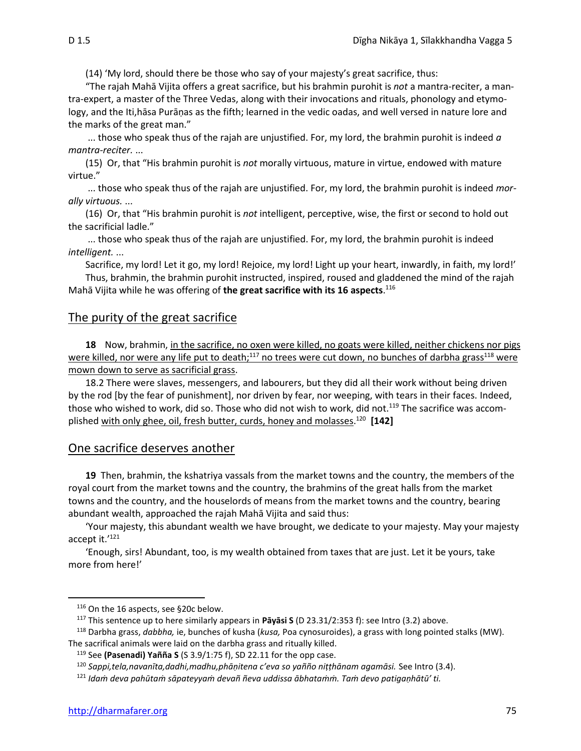(14) 'My lord, should there be those who say of your majesty's great sacrifice, thus:

"The rajah Mahā Vijita offers a great sacrifice, but his brahmin purohit is *not* a mantra-reciter, a mantra-expert, a master of the Three Vedas, along with their invocations and rituals, phonology and etymology, and the Iti,hāsa Purāṇas as the fifth; learned in the vedic oadas, and well versed in nature lore and the marks of the great man."

... those who speak thus of the rajah are unjustified. For, my lord, the brahmin purohit is indeed *a mantra-reciter.* ...

(15) Or, that "His brahmin purohit is *not* morally virtuous, mature in virtue, endowed with mature virtue."

... those who speak thus of the rajah are unjustified. For, my lord, the brahmin purohit is indeed *morally virtuous.* ...

(16) Or, that "His brahmin purohit is *not* intelligent, perceptive, wise, the first or second to hold out the sacrificial ladle."

... those who speak thus of the rajah are unjustified. For, my lord, the brahmin purohit is indeed *intelligent.* ...

Sacrifice, my lord! Let it go, my lord! Rejoice, my lord! Light up your heart, inwardly, in faith, my lord!'

Thus, brahmin, the brahmin purohit instructed, inspired, roused and gladdened the mind of the rajah Mahā Vijita while he was offering of **the great sacrifice with its 16 aspects**. 116

## The purity of the great sacrifice

**18** Now, brahmin, in the sacrifice, no oxen were killed, no goats were killed, neither chickens nor pigs were killed, nor were any life put to death;<sup>117</sup> no trees were cut down, no bunches of darbha grass<sup>118</sup> were mown down to serve as sacrificial grass.

18.2 There were slaves, messengers, and labourers, but they did all their work without being driven by the rod [by the fear of punishment], nor driven by fear, nor weeping, with tears in their faces. Indeed, those who wished to work, did so. Those who did not wish to work, did not.<sup>119</sup> The sacrifice was accomplished with only ghee, oil, fresh butter, curds, honey and molasses. 120 **[142]**

#### One sacrifice deserves another

**19** Then, brahmin, the kshatriya vassals from the market towns and the country, the members of the royal court from the market towns and the country, the brahmins of the great halls from the market towns and the country, and the houselords of means from the market towns and the country, bearing abundant wealth, approached the rajah Mahā Vijita and said thus:

'Your majesty, this abundant wealth we have brought, we dedicate to your majesty. May your majesty accept it.'<sup>121</sup>

'Enough, sirs! Abundant, too, is my wealth obtained from taxes that are just. Let it be yours, take more from here!'

<sup>116</sup> On the 16 aspects, see §20c below.

<sup>117</sup> This sentence up to here similarly appears in **Pāyāsi S** (D 23.31/2:353 f): see Intro (3.2) above.

<sup>118</sup> Darbha grass, *dabbha,* ie, bunches of kusha (*kusa,* Poa cynosuroides), a grass with long pointed stalks (MW). The sacrifical animals were laid on the darbha grass and ritually killed.

<sup>119</sup> See **(Pasenadi) Yañña S** (S 3.9/1:75 f), SD 22.11 for the opp case.

<sup>120</sup> *Sappi,tela,navanīta,dadhi,madhu,phāṇitena c'eva so yañño niṭṭhānam agamāsi.* See Intro (3.4).

<sup>121</sup> *Idaṁ deva pahūtaṁ sāpateyyaṁ devañ ñeva uddissa ābhataṁṁ. Taṁ devo patigaṇhātū' ti.*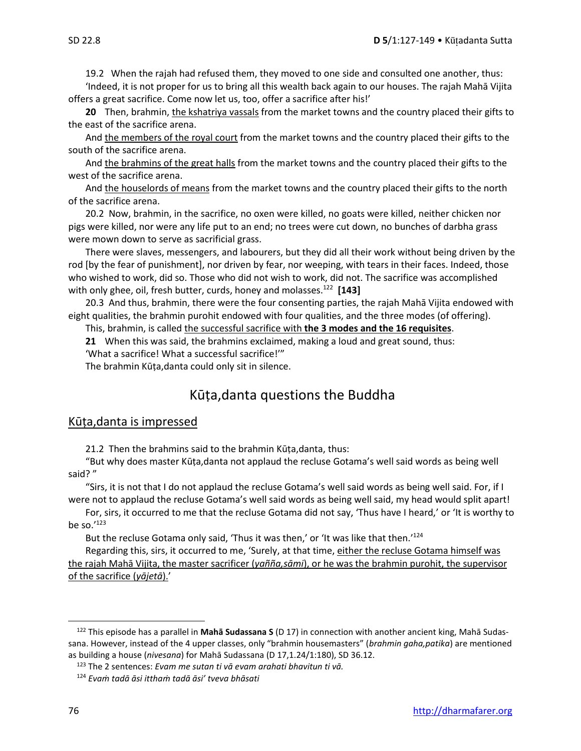19.2 When the rajah had refused them, they moved to one side and consulted one another, thus:

'Indeed, it is not proper for us to bring all this wealth back again to our houses. The rajah Mahā Vijita offers a great sacrifice. Come now let us, too, offer a sacrifice after his!'

**20** Then, brahmin, the kshatriya vassals from the market towns and the country placed their gifts to the east of the sacrifice arena.

And the members of the royal court from the market towns and the country placed their gifts to the south of the sacrifice arena.

And the brahmins of the great halls from the market towns and the country placed their gifts to the west of the sacrifice arena.

And the houselords of means from the market towns and the country placed their gifts to the north of the sacrifice arena.

20.2Now, brahmin, in the sacrifice, no oxen were killed, no goats were killed, neither chicken nor pigs were killed, nor were any life put to an end; no trees were cut down, no bunches of darbha grass were mown down to serve as sacrificial grass.

There were slaves, messengers, and labourers, but they did all their work without being driven by the rod [by the fear of punishment], nor driven by fear, nor weeping, with tears in their faces. Indeed, those who wished to work, did so. Those who did not wish to work, did not. The sacrifice was accomplished with only ghee, oil, fresh butter, curds, honey and molasses.<sup>122</sup> [143]

20.3 And thus, brahmin, there were the four consenting parties, the rajah Mahā Vijita endowed with eight qualities, the brahmin purohit endowed with four qualities, and the three modes (of offering).

This, brahmin, is called the successful sacrifice with **the 3 modes and the 16 requisites**.

**21** When this was said, the brahmins exclaimed, making a loud and great sound, thus: 'What a sacrifice! What a successful sacrifice!'"

The brahmin Kūṭa,danta could only sit in silence.

## Kūṭa,danta questions the Buddha

### Kūṭa,danta is impressed

21.2 Then the brahmins said to the brahmin Kūṭa,danta, thus:

"But why does master Kūṭa,danta not applaud the recluse Gotama's well said words as being well said? "

"Sirs, it is not that I do not applaud the recluse Gotama's well said words as being well said. For, if I were not to applaud the recluse Gotama's well said words as being well said, my head would split apart!

For, sirs, it occurred to me that the recluse Gotama did not say, 'Thus have I heard,' or 'It is worthy to be so. $123$ 

But the recluse Gotama only said, 'Thus it was then,' or 'It was like that then.'<sup>124</sup>

Regarding this, sirs, it occurred to me, 'Surely, at that time, either the recluse Gotama himself was the rajah Mahā Vijita, the master sacrificer (*yañña,sāmi*), or he was the brahmin purohit, the supervisor of the sacrifice (*yājetā*).'

<sup>122</sup> This episode has a parallel in **Mahā Sudassana S** (D 17) in connection with another ancient king, Mahā Sudassana. However, instead of the 4 upper classes, only "brahmin housemasters" (*brahmin gaha,patika*) are mentioned as building a house (*nivesana*) for Mahā Sudassana (D 17,1.24/1:180), SD 36.12.

<sup>123</sup> The 2 sentences: *Evam me sutan ti vā evam arahati bhavitun ti vā.*

<sup>124</sup> *Evaṁ tadā āsi itthaṁ tadā āsi' tveva bhāsati*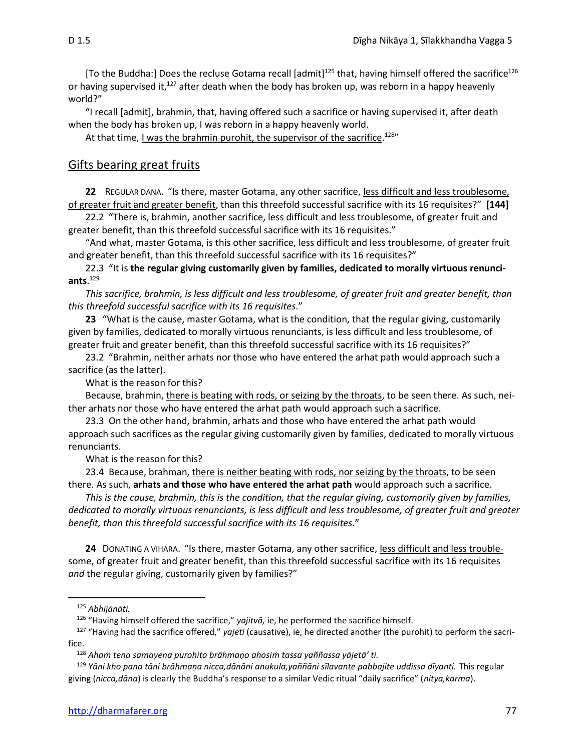[To the Buddha:] Does the recluse Gotama recall [admit]<sup>125</sup> that, having himself offered the sacrifice<sup>126</sup> or having supervised it,<sup>127</sup> after death when the body has broken up, was reborn in a happy heavenly world?"

"I recall [admit], brahmin, that, having offered such a sacrifice or having supervised it, after death when the body has broken up, I was reborn in a happy heavenly world.

At that time, <u>I was the brahmin purohit, the supervisor of the sacrifice</u>.<sup>128</sup>

## Gifts bearing great fruits

**22** REGULAR DANA. "Is there, master Gotama, any other sacrifice, less difficult and less troublesome, of greater fruit and greater benefit, than this threefold successful sacrifice with its 16 requisites?" **[144]**

22.2 "There is, brahmin, another sacrifice, less difficult and less troublesome, of greater fruit and greater benefit, than this threefold successful sacrifice with its 16 requisites."

"And what, master Gotama, is this other sacrifice, less difficult and less troublesome, of greater fruit and greater benefit, than this threefold successful sacrifice with its 16 requisites?"

22.3 "It is **the regular giving customarily given by families, dedicated to morally virtuous renunciants**. 129

*This sacrifice, brahmin, is less difficult and less troublesome, of greater fruit and greater benefit, than this threefold successful sacrifice with its 16 requisites*."

**23** "What is the cause, master Gotama, what is the condition, that the regular giving, customarily given by families, dedicated to morally virtuous renunciants, is less difficult and less troublesome, of greater fruit and greater benefit, than this threefold successful sacrifice with its 16 requisites?"

23.2 "Brahmin, neither arhats nor those who have entered the arhat path would approach such a sacrifice (as the latter).

What is the reason for this?

Because, brahmin, there is beating with rods, or seizing by the throats, to be seen there. As such, neither arhats nor those who have entered the arhat path would approach such a sacrifice.

23.3 On the other hand, brahmin, arhats and those who have entered the arhat path would approach such sacrifices as the regular giving customarily given by families, dedicated to morally virtuous renunciants.

What is the reason for this?

23.4 Because, brahman, there is neither beating with rods, nor seizing by the throats, to be seen there. As such, **arhats and those who have entered the arhat path** would approach such a sacrifice.

*This is the cause, brahmin, this is the condition, that the regular giving, customarily given by families, dedicated to morally virtuous renunciants, is less difficult and less troublesome, of greater fruit and greater benefit, than this threefold successful sacrifice with its 16 requisites*."

**24** DONATING A VIHARA. "Is there, master Gotama, any other sacrifice, less difficult and less troublesome, of greater fruit and greater benefit, than this threefold successful sacrifice with its 16 requisites *and* the regular giving, customarily given by families?"

<sup>125</sup> *Abhijānāti.*

<sup>126</sup> "Having himself offered the sacrifice," *yajitvā,* ie, he performed the sacrifice himself.

<sup>127</sup> "Having had the sacrifice offered," *yajeti* (causative), ie, he directed another (the purohit) to perform the sacrifice.

<sup>128</sup> *Ahaṁ tena samayena purohito brāhmaṇo ahosiṁ tassa yaññassa yājetā' ti.*

<sup>129</sup> *Yāni kho pana tāni brāhmaṇa nicca,dānāni anukula,yaññāni sīlavante pabbajite uddissa dīyanti.* This regular giving (*nicca,dāna*) is clearly the Buddha's response to a similar Vedic ritual "daily sacrifice" (*nitya,karma*).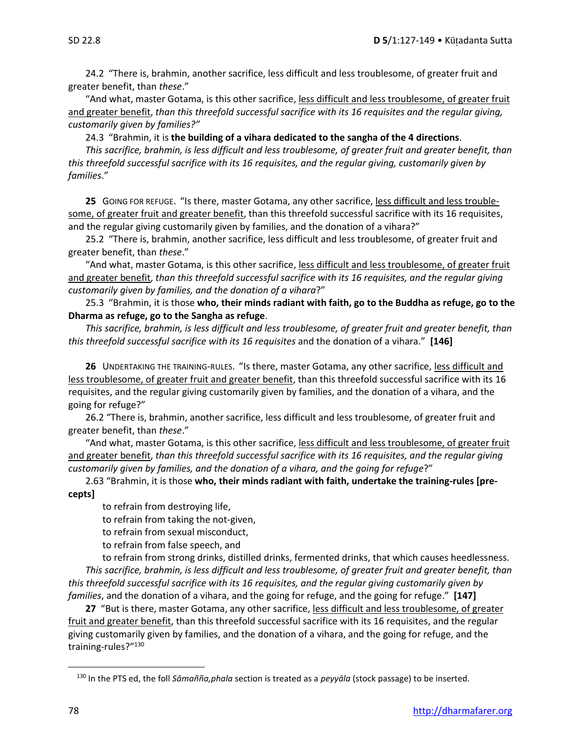24.2 "There is, brahmin, another sacrifice, less difficult and less troublesome, of greater fruit and greater benefit, than *these*."

"And what, master Gotama, is this other sacrifice, less difficult and less troublesome, of greater fruit and greater benefit, *than this threefold successful sacrifice with its 16 requisites and the regular giving, customarily given by families?"*

24.3 "Brahmin, it is **the building of a vihara dedicated to the sangha of the 4 directions**.

*This sacrifice, brahmin, is less difficult and less troublesome, of greater fruit and greater benefit, than this threefold successful sacrifice with its 16 requisites, and the regular giving, customarily given by families*."

**25** GOING FOR REFUGE. "Is there, master Gotama, any other sacrifice, less difficult and less troublesome, of greater fruit and greater benefit, than this threefold successful sacrifice with its 16 requisites, and the regular giving customarily given by families, and the donation of a vihara?"

25.2 "There is, brahmin, another sacrifice, less difficult and less troublesome, of greater fruit and greater benefit, than *these*."

"And what, master Gotama, is this other sacrifice, less difficult and less troublesome, of greater fruit and greater benefit, *than this threefold successful sacrifice with its 16 requisites, and the regular giving customarily given by families, and the donation of a vihara*?"

25.3 "Brahmin, it is those **who, their minds radiant with faith, go to the Buddha as refuge, go to the Dharma as refuge, go to the Sangha as refuge**.

*This sacrifice, brahmin, is less difficult and less troublesome, of greater fruit and greater benefit, than this threefold successful sacrifice with its 16 requisites* and the donation of a vihara." **[146]**

**26** UNDERTAKING THE TRAINING-RULES. "Is there, master Gotama, any other sacrifice, less difficult and less troublesome, of greater fruit and greater benefit, than this threefold successful sacrifice with its 16 requisites, and the regular giving customarily given by families, and the donation of a vihara, and the going for refuge?"

26.2 "There is, brahmin, another sacrifice, less difficult and less troublesome, of greater fruit and greater benefit, than *these*."

"And what, master Gotama, is this other sacrifice, less difficult and less troublesome, of greater fruit and greater benefit, *than this threefold successful sacrifice with its 16 requisites, and the regular giving customarily given by families, and the donation of a vihara, and the going for refuge*?"

2.63 "Brahmin, it is those **who, their minds radiant with faith, undertake the training-rules [precepts]**

to refrain from destroying life,

to refrain from taking the not-given,

to refrain from sexual misconduct,

to refrain from false speech, and

to refrain from strong drinks, distilled drinks, fermented drinks, that which causes heedlessness. *This sacrifice, brahmin, is less difficult and less troublesome, of greater fruit and greater benefit, than this threefold successful sacrifice with its 16 requisites, and the regular giving customarily given by families*, and the donation of a vihara, and the going for refuge, and the going for refuge." **[147]**

27 "But is there, master Gotama, any other sacrifice, less difficult and less troublesome, of greater fruit and greater benefit, than this threefold successful sacrifice with its 16 requisites, and the regular giving customarily given by families, and the donation of a vihara, and the going for refuge, and the training-rules?"<sup>130</sup>

<sup>130</sup> In the PTS ed, the foll *Sāmañña,phala* section is treated as a *peyyāla* (stock passage) to be inserted.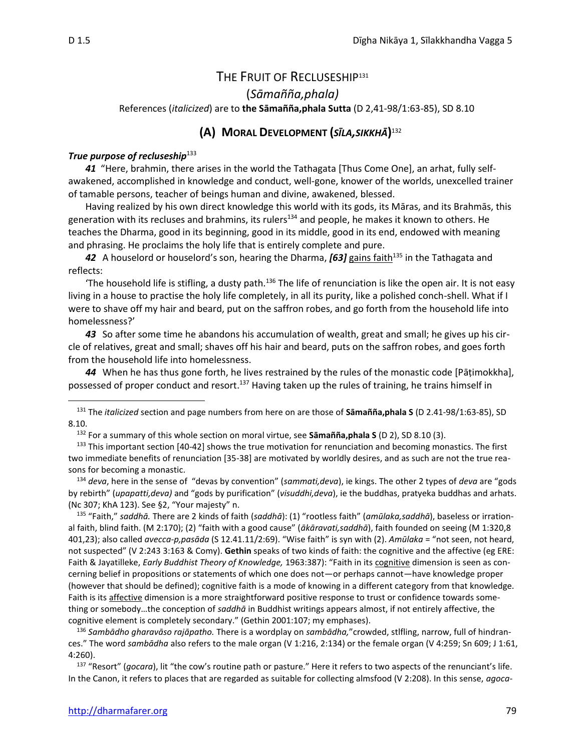## THE FRUIT OF RECLUSESHIP<sup>131</sup>

(*Sāmañña,phala)*

References (*italicized*) are to **the Sāmañña,phala Sutta** (D 2,41-98/1:63-85), SD 8.10

## **(A) MORAL DEVELOPMENT (***SĪLA,SIKKHĀ***)** 132

#### *True purpose of recluseship*<sup>133</sup>

*41* "Here, brahmin, there arises in the world the Tathagata [Thus Come One], an arhat, fully selfawakened, accomplished in knowledge and conduct, well-gone, knower of the worlds, unexcelled trainer of tamable persons, teacher of beings human and divine, awakened, blessed.

Having realized by his own direct knowledge this world with its gods, its Māras, and its Brahmās, this generation with its recluses and brahmins, its rulers<sup>134</sup> and people, he makes it known to others. He teaches the Dharma, good in its beginning, good in its middle, good in its end, endowed with meaning and phrasing. He proclaims the holy life that is entirely complete and pure.

**42** A houselord or houselord's son, hearing the Dharma, **[63]** gains faith<sup>135</sup> in the Tathagata and reflects:

'The household life is stifling, a dusty path.<sup>136</sup> The life of renunciation is like the open air. It is not easy living in a house to practise the holy life completely, in all its purity, like a polished conch-shell. What if I were to shave off my hair and beard, put on the saffron robes, and go forth from the household life into homelessness?'

*43* So after some time he abandons his accumulation of wealth, great and small; he gives up his circle of relatives, great and small; shaves off his hair and beard, puts on the saffron robes, and goes forth from the household life into homelessness.

*44* When he has thus gone forth, he lives restrained by the rules of the monastic code [Pāṭimokkha], possessed of proper conduct and resort.<sup>137</sup> Having taken up the rules of training, he trains himself in

<sup>131</sup> The *italicized* section and page numbers from here on are those of **Sāmañña,phala S** (D 2.41-98/1:63-85), SD 8.10.

<sup>132</sup> For a summary of this whole section on moral virtue, see **Sāmañña,phala S** (D 2), SD 8.10 (3).

 $133$  This important section [40-42] shows the true motivation for renunciation and becoming monastics. The first two immediate benefits of renunciation [35-38] are motivated by worldly desires, and as such are not the true reasons for becoming a monastic.

<sup>134</sup> *deva*, here in the sense of "devas by convention" (*sammati,deva*), ie kings. The other 2 types of *deva* are "gods by rebirth" (*upapatti,deva)* and "gods by purification" (*visuddhi,deva*), ie the buddhas, pratyeka buddhas and arhats. (Nc 307; KhA 123). See §2, "Your majesty" n.

<sup>135</sup> "Faith," *saddhā.* There are 2 kinds of faith (*saddhā*): (1) "rootless faith" (*amūlaka,saddhā*), baseless or irrational faith, blind faith. (M 2:170); (2) "faith with a good cause" (*ākāravati,saddhā*), faith founded on seeing (M 1:320,8 401,23); also called *avecca-p,pasāda* (S 12.41.11/2:69). "Wise faith" is syn with (2). *Amūlaka* = "not seen, not heard, not suspected" (V 2:243 3:163 & Comy). **Gethin** speaks of two kinds of faith: the cognitive and the affective (eg ERE: Faith & Jayatilleke, *Early Buddhist Theory of Knowledge,* 1963:387): "Faith in its cognitive dimension is seen as concerning belief in propositions or statements of which one does not—or perhaps cannot—have knowledge proper (however that should be defined); cognitive faith is a mode of knowing in a different category from that knowledge. Faith is its affective dimension is a more straightforward positive response to trust or confidence towards something or somebody…the conception of *saddhā* in Buddhist writings appears almost, if not entirely affective, the cognitive element is completely secondary." (Gethin 2001:107; my emphases).

<sup>136</sup> *Sambādho gharavāso rajāpatho.* There is a wordplay on *sambādha,*"crowded, stlfling, narrow, full of hindrances." The word *sambādha* also refers to the male organ (V 1:216, 2:134) or the female organ (V 4:259; Sn 609; J 1:61, 4:260).

<sup>137</sup> "Resort" (*gocara*), lit "the cow's routine path or pasture." Here it refers to two aspects of the renunciant's life. In the Canon, it refers to places that are regarded as suitable for collecting almsfood (V 2:208). In this sense, *agoca-*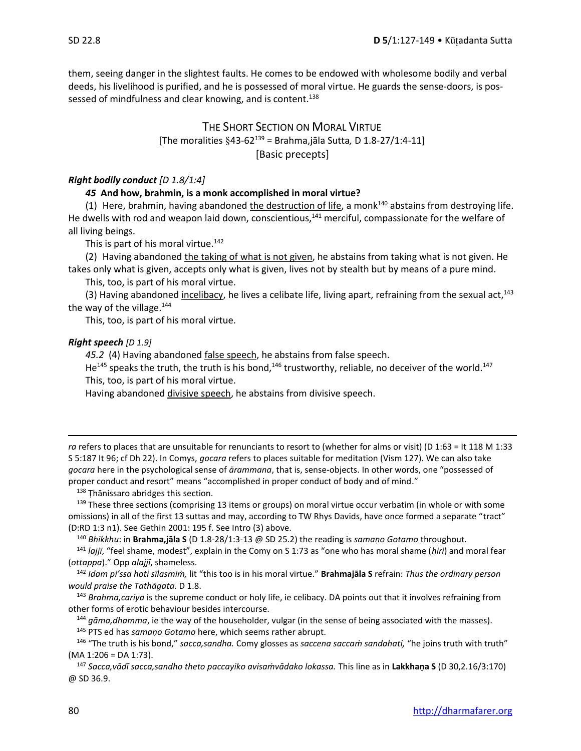them, seeing danger in the slightest faults. He comes to be endowed with wholesome bodily and verbal deeds, his livelihood is purified, and he is possessed of moral virtue. He guards the sense-doors, is possessed of mindfulness and clear knowing, and is content.<sup>138</sup>

## THE SHORT SECTION ON MORAL VIRTUE [The moralities 43-62<sup>139</sup> = Brahma,jāla Sutta*,* D 1.8-27/1:4-11] [Basic precepts]

#### *Right bodily conduct [D 1.8/1:4]*

#### *45* **And how, brahmin, is a monk accomplished in moral virtue?**

(1) Here, brahmin, having abandoned the destruction of life, a monk<sup>140</sup> abstains from destroying life. He dwells with rod and weapon laid down, conscientious, $141$  merciful, compassionate for the welfare of all living beings.

This is part of his moral virtue.<sup>142</sup>

(2) Having abandoned the taking of what is not given, he abstains from taking what is not given. He takes only what is given, accepts only what is given, lives not by stealth but by means of a pure mind.

This, too, is part of his moral virtue.

(3) Having abandoned incelibacy, he lives a celibate life, living apart, refraining from the sexual act,<sup>143</sup> the way of the village.<sup>144</sup>

This, too, is part of his moral virtue.

#### *Right speech [D 1.9]*

*45.2* (4) Having abandoned false speech, he abstains from false speech.

He<sup>145</sup> speaks the truth, the truth is his bond,<sup>146</sup> trustworthy, reliable, no deceiver of the world.<sup>147</sup> This, too, is part of his moral virtue.

Having abandoned divisive speech, he abstains from divisive speech.

*ra* refers to places that are unsuitable for renunciants to resort to (whether for alms or visit) (D 1:63 = It 118 M 1:33 S 5:187 It 96; cf Dh 22). In Comys, *gocara* refers to places suitable for meditation (Vism 127). We can also take *gocara* here in the psychological sense of *ārammana*, that is, sense-objects. In other words, one "possessed of proper conduct and resort" means "accomplished in proper conduct of body and of mind."

138 Thānissaro abridges this section.

<sup>139</sup> These three sections (comprising 13 items or groups) on moral virtue occur verbatim (in whole or with some omissions) in all of the first 13 suttas and may, according to TW Rhys Davids, have once formed a separate "tract" (D:RD 1:3 n1). See Gethin 2001: 195 f. See Intro (3) above.

<sup>140</sup> *Bhikkhu*: in **Brahma,jāla S** (D 1.8-28/1:3-13 @ SD 25.2) the reading is *samaṇo Gotamo* throughout*.*

<sup>141</sup> *lajjī*, "feel shame, modest", explain in the Comy on S 1:73 as "one who has moral shame (*hiri*) and moral fear (*ottappa*)." Opp *alajjī*, shameless.

<sup>142</sup> *Idam pi'ssa hoti sīlasmiṁ,* lit "this too is in his moral virtue." **Brahmajāla S** refrain: *Thus the ordinary person would praise the Tathāgata.* D 1.8.

<sup>143</sup> *Brahma,cariya* is the supreme conduct or holy life, ie celibacy. DA points out that it involves refraining from other forms of erotic behaviour besides intercourse.

<sup>144</sup> *gāma,dhamma*, ie the way of the householder, vulgar (in the sense of being associated with the masses). <sup>145</sup> PTS ed has *samaṇo Gotamo* here, which seems rather abrupt.

<sup>146</sup> "The truth is his bond," *sacca,sandha.* Comy glosses as *saccena saccaṁ sandahati,* "he joins truth with truth" (MA 1:206 = DA 1:73).

<sup>147</sup> *Sacca,vādī sacca,sandho theto paccayiko avisaṁvādako lokassa.* This line as in **Lakkhaṇa S** (D 30,2.16/3:170) @ SD 36.9.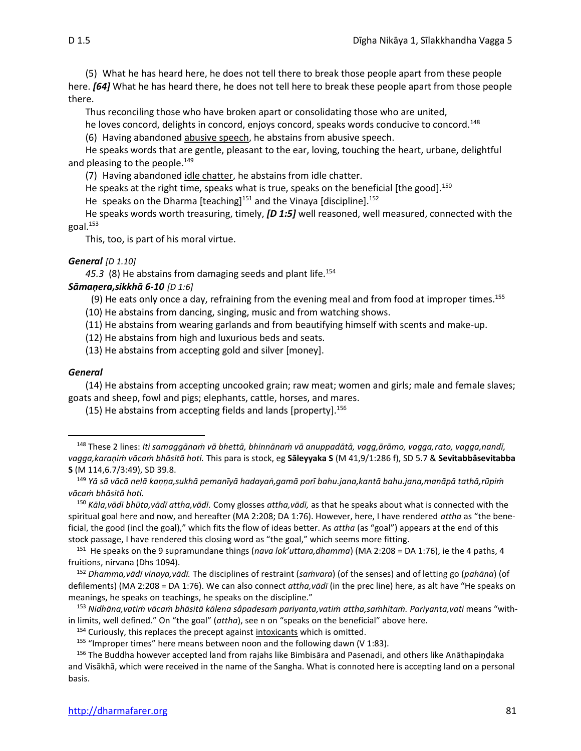(5) What he has heard here, he does not tell there to break those people apart from these people here. *[64]* What he has heard there, he does not tell here to break these people apart from those people there.

Thus reconciling those who have broken apart or consolidating those who are united,

he loves concord, delights in concord, enjoys concord, speaks words conducive to concord.<sup>148</sup>

(6) Having abandoned abusive speech, he abstains from abusive speech.

He speaks words that are gentle, pleasant to the ear, loving, touching the heart, urbane, delightful and pleasing to the people.<sup>149</sup>

(7) Having abandoned idle chatter, he abstains from idle chatter.

He speaks at the right time, speaks what is true, speaks on the beneficial [the good].<sup>150</sup>

He speaks on the Dharma [teaching]<sup>151</sup> and the Vinaya [discipline].<sup>152</sup>

He speaks words worth treasuring, timely, *[D 1:5]* well reasoned, well measured, connected with the goal.<sup>153</sup>

This, too, is part of his moral virtue.

#### *General [D 1.10]*

45.3 (8) He abstains from damaging seeds and plant life.<sup>154</sup>

#### *Sāmaṇera,sikkhā 6-10 [D 1:6]*

(9) He eats only once a day, refraining from the evening meal and from food at improper times.<sup>155</sup>

(10) He abstains from dancing, singing, music and from watching shows.

(11) He abstains from wearing garlands and from beautifying himself with scents and make-up.

(12) He abstains from high and luxurious beds and seats.

(13) He abstains from accepting gold and silver [money].

#### *General*

(14) He abstains from accepting uncooked grain; raw meat; women and girls; male and female slaves; goats and sheep, fowl and pigs; elephants, cattle, horses, and mares.

 $(15)$  He abstains from accepting fields and lands [property].<sup>156</sup>

<sup>148</sup> These 2 lines: *Iti samaggānaṁ vā bhettā, bhinnānaṁ vā anuppadātā, vagg,ārāmo, vagga,rato, vagga,nandī, vagga,karaṇiṁ vācaṁ bhāsitā hoti.* This para is stock, eg **Sāleyyaka S** (M 41,9/1:286 f), SD 5.7 & **Sevitabbâsevitabba S** (M 114,6.7/3:49), SD 39.8.

<sup>149</sup> *Yā sā vācā nelā kaṇṇa,sukhā pemanīyā hadayaṅ,gamā porī bahu.jana,kantā bahu.jana,manāpā tathā,rūpiṁ vācaṁ bhāsitā hoti.*

<sup>150</sup> *Kāla,vādī bhūta,vādī attha,vādī.* Comy glosses *attha,vādī,* as that he speaks about what is connected with the spiritual goal here and now, and hereafter (MA 2:208; DA 1:76). However, here, I have rendered *attha* as "the beneficial, the good (incl the goal)," which fits the flow of ideas better. As *attha* (as "goal") appears at the end of this stock passage, I have rendered this closing word as "the goal," which seems more fitting.

<sup>&</sup>lt;sup>151</sup> He speaks on the 9 supramundane things (*nava lok'uttara,dhamma*) (MA 2:208 = DA 1:76), ie the 4 paths, 4 fruitions, nirvana (Dhs 1094).

<sup>152</sup> *Dhamma,vādī vinaya,vādī.* The disciplines of restraint (*saṁvara*) (of the senses) and of letting go (*pahāna*) (of defilements) (MA 2:208 = DA 1:76). We can also connect *attha,vādī* (in the prec line) here, as alt have "He speaks on meanings, he speaks on teachings, he speaks on the discipline."

<sup>153</sup> *Nidhāna,vatiṁ vācaṁ bhāsitā kālena sâpadesaṁ pariyanta,vatiṁ attha,saṁhitaṁ. Pariyanta,vati* means "within limits, well defined." On "the goal" (*attha*), see n on "speaks on the beneficial" above here.

<sup>&</sup>lt;sup>154</sup> Curiously, this replaces the precept against intoxicants which is omitted.

<sup>&</sup>lt;sup>155</sup> "Improper times" here means between noon and the following dawn (V 1:83).

<sup>&</sup>lt;sup>156</sup> The Buddha however accepted land from rajahs like Bimbisāra and Pasenadi, and others like Anāthapiṇḍaka and Visākhā, which were received in the name of the Sangha. What is connoted here is accepting land on a personal basis.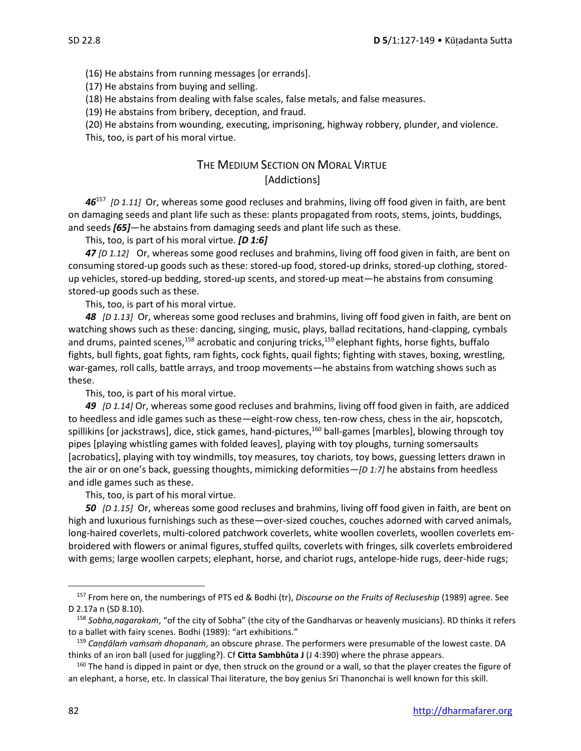(16) He abstains from running messages [or errands].

(17) He abstains from buying and selling.

(18) He abstains from dealing with false scales, false metals, and false measures.

(19) He abstains from bribery, deception, and fraud.

(20) He abstains from wounding, executing, imprisoning, highway robbery, plunder, and violence.

This, too, is part of his moral virtue.

## THE MEDIUM SECTION ON MORAL VIRTUE [Addictions]

*46*<sup>157</sup> *[D 1.11]* Or, whereas some good recluses and brahmins, living off food given in faith, are bent on damaging seeds and plant life such as these: plants propagated from roots, stems, joints, buddings, and seeds *[65]*—he abstains from damaging seeds and plant life such as these.

This, too, is part of his moral virtue. *[D 1:6]*

*47 [D 1.12]* Or, whereas some good recluses and brahmins, living off food given in faith, are bent on consuming stored-up goods such as these: stored-up food, stored-up drinks, stored-up clothing, storedup vehicles, stored-up bedding, stored-up scents, and stored-up meat—he abstains from consuming stored-up goods such as these.

This, too, is part of his moral virtue.

*48 [D 1.13]* Or, whereas some good recluses and brahmins, living off food given in faith, are bent on watching shows such as these: dancing, singing, music, plays, ballad recitations, hand-clapping, cymbals and drums, painted scenes,<sup>158</sup> acrobatic and conjuring tricks,<sup>159</sup> elephant fights, horse fights, buffalo fights, bull fights, goat fights, ram fights, cock fights, quail fights; fighting with staves, boxing, wrestling, war-games, roll calls, battle arrays, and troop movements—he abstains from watching shows such as these.

This, too, is part of his moral virtue.

*49 [D 1.14]* Or, whereas some good recluses and brahmins, living off food given in faith, are addiced to heedless and idle games such as these—eight-row chess, ten-row chess, chess in the air, hopscotch, spillikins [or jackstraws], dice, stick games, hand-pictures,<sup>160</sup> ball-games [marbles], blowing through toy pipes [playing whistling games with folded leaves], playing with toy ploughs, turning somersaults [acrobatics], playing with toy windmills, toy measures, toy chariots, toy bows, guessing letters drawn in the air or on one's back, guessing thoughts, mimicking deformities—*[D 1:7]* he abstains from heedless and idle games such as these.

This, too, is part of his moral virtue.

*50 [D 1.15]* Or, whereas some good recluses and brahmins, living off food given in faith, are bent on high and luxurious furnishings such as these—over-sized couches, couches adorned with carved animals, long-haired coverlets, multi-colored patchwork coverlets, white woollen coverlets, woollen coverlets embroidered with flowers or animal figures, stuffed quilts, coverlets with fringes, silk coverlets embroidered with gems; large woollen carpets; elephant, horse, and chariot rugs, antelope-hide rugs, deer-hide rugs;

<sup>157</sup> From here on, the numberings of PTS ed & Bodhi (tr), *Discourse on the Fruits of Recluseship* (1989) agree. See D 2.17a n (SD 8.10).

<sup>158</sup> *Sobha,nagarakaṁ*, "of the city of Sobha" (the city of the Gandharvas or heavenly musicians). RD thinks it refers to a ballet with fairy scenes. Bodhi (1989): "art exhibitions."

<sup>159</sup> *Caṇḍālaṁ vaṁsaṁ dhopanaṁ*, an obscure phrase. The performers were presumable of the lowest caste. DA thinks of an iron ball (used for juggling?). Cf **Citta Sambhūta J** (J 4:390) where the phrase appears.

<sup>&</sup>lt;sup>160</sup> The hand is dipped in paint or dye, then struck on the ground or a wall, so that the player creates the figure of an elephant, a horse, etc. In classical Thai literature, the boy genius Sri Thanonchai is well known for this skill.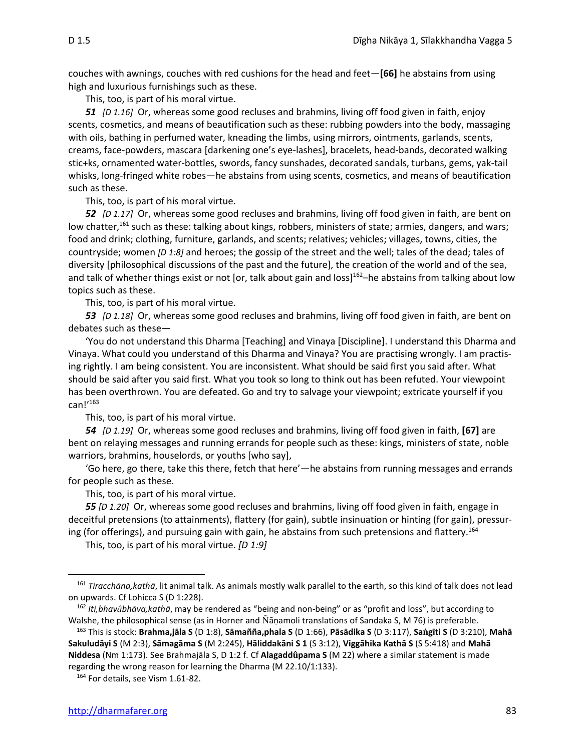couches with awnings, couches with red cushions for the head and feet—**[66]** he abstains from using high and luxurious furnishings such as these.

This, too, is part of his moral virtue.

*51 [D 1.16]* Or, whereas some good recluses and brahmins, living off food given in faith, enjoy scents, cosmetics, and means of beautification such as these: rubbing powders into the body, massaging with oils, bathing in perfumed water, kneading the limbs, using mirrors, ointments, garlands, scents, creams, face-powders, mascara [darkening one's eye-lashes], bracelets, head-bands, decorated walking stic+ks, ornamented water-bottles, swords, fancy sunshades, decorated sandals, turbans, gems, yak-tail whisks, long-fringed white robes—he abstains from using scents, cosmetics, and means of beautification such as these.

This, too, is part of his moral virtue.

*52 [D 1.17]* Or, whereas some good recluses and brahmins, living off food given in faith, are bent on low chatter,<sup>161</sup> such as these: talking about kings, robbers, ministers of state; armies, dangers, and wars; food and drink; clothing, furniture, garlands, and scents; relatives; vehicles; villages, towns, cities, the countryside; women *[D 1:8]* and heroes; the gossip of the street and the well; tales of the dead; tales of diversity [philosophical discussions of the past and the future], the creation of the world and of the sea, and talk of whether things exist or not [or, talk about gain and loss] $162$ –he abstains from talking about low topics such as these.

This, too, is part of his moral virtue.

*53 [D 1.18]* Or, whereas some good recluses and brahmins, living off food given in faith, are bent on debates such as these—

'You do not understand this Dharma [Teaching] and Vinaya [Discipline]. I understand this Dharma and Vinaya. What could you understand of this Dharma and Vinaya? You are practising wrongly. I am practising rightly. I am being consistent. You are inconsistent. What should be said first you said after. What should be said after you said first. What you took so long to think out has been refuted. Your viewpoint has been overthrown. You are defeated. Go and try to salvage your viewpoint; extricate yourself if you can! $^{\prime}$ <sup>163</sup>

This, too, is part of his moral virtue.

*54 [D 1.19]* Or, whereas some good recluses and brahmins, living off food given in faith, **[67]** are bent on relaying messages and running errands for people such as these: kings, ministers of state, noble warriors, brahmins, houselords, or youths [who say],

'Go here, go there, take this there, fetch that here'—he abstains from running messages and errands for people such as these.

This, too, is part of his moral virtue.

*55 [D 1.20]* Or, whereas some good recluses and brahmins, living off food given in faith, engage in deceitful pretensions (to attainments), flattery (for gain), subtle insinuation or hinting (for gain), pressuring (for offerings), and pursuing gain with gain, he abstains from such pretensions and flattery.<sup>164</sup>

This, too, is part of his moral virtue. *[D 1:9]*

<sup>161</sup> *Tiracchāna,kathā*, lit animal talk. As animals mostly walk parallel to the earth, so this kind of talk does not lead on upwards. Cf Lohicca S (D 1:228).

<sup>162</sup> *Iti,bhavbhāva,kathā*, may be rendered as "being and non-being" or as "profit and loss", but according to Walshe, the philosophical sense (as in Horner and Ñānamoli translations of Sandaka S, M 76) is preferable.

<sup>&</sup>lt;sup>163</sup> This is stock: Brahma,jāla S (D 1:8), Sāmañña,phala S (D 1:66), Pāsādika S (D 3:117), Saṅgīti S (D 3:210), Mahā Sakuludāyi S (M 2:3), Sāmagāma S (M 2:245), Hāliddakāni S 1 (S 3:12), Viggāhika Kathā S (S 5:418) and Mahā **Niddesa** (Nm 1:173). See Brahmajāla S, D 1:2 f. Cf **Alagaddpama S** (M 22) where a similar statement is made regarding the wrong reason for learning the Dharma (M 22.10/1:133).

<sup>164</sup> For details, see Vism 1.61-82.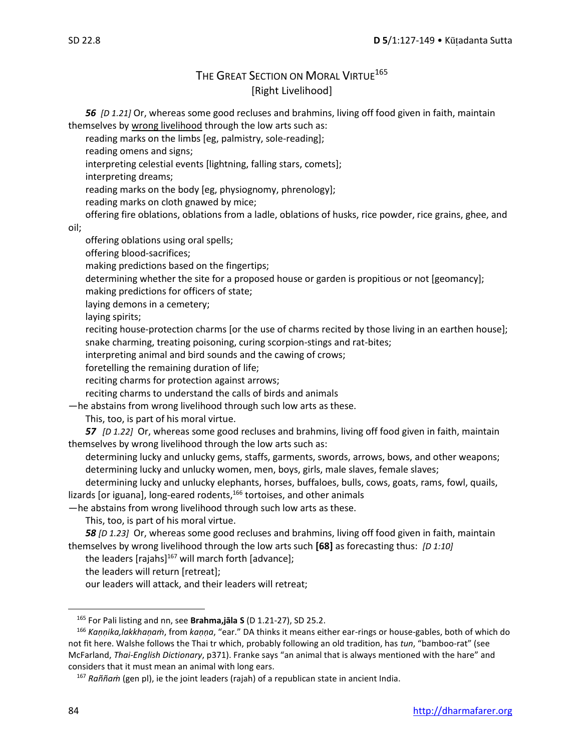## THE GREAT SECTION ON MORAL VIRTUE<sup>165</sup> [Right Livelihood]

*56 [D 1.21]* Or, whereas some good recluses and brahmins, living off food given in faith, maintain themselves by wrong livelihood through the low arts such as:

reading marks on the limbs [eg, palmistry, sole-reading];

reading omens and signs;

interpreting celestial events [lightning, falling stars, comets];

interpreting dreams;

reading marks on the body [eg, physiognomy, phrenology];

reading marks on cloth gnawed by mice;

offering fire oblations, oblations from a ladle, oblations of husks, rice powder, rice grains, ghee, and

oil;

offering oblations using oral spells;

offering blood-sacrifices;

making predictions based on the fingertips;

determining whether the site for a proposed house or garden is propitious or not [geomancy];

making predictions for officers of state;

laying demons in a cemetery;

laying spirits;

reciting house-protection charms [or the use of charms recited by those living in an earthen house]; snake charming, treating poisoning, curing scorpion-stings and rat-bites;

interpreting animal and bird sounds and the cawing of crows;

foretelling the remaining duration of life;

reciting charms for protection against arrows;

reciting charms to understand the calls of birds and animals

—he abstains from wrong livelihood through such low arts as these.

This, too, is part of his moral virtue.

*57 [D 1.22]* Or, whereas some good recluses and brahmins, living off food given in faith, maintain themselves by wrong livelihood through the low arts such as:

determining lucky and unlucky gems, staffs, garments, swords, arrows, bows, and other weapons; determining lucky and unlucky women, men, boys, girls, male slaves, female slaves;

determining lucky and unlucky elephants, horses, buffaloes, bulls, cows, goats, rams, fowl, quails, lizards [or iguana], long-eared rodents,<sup>166</sup> tortoises, and other animals

—he abstains from wrong livelihood through such low arts as these.

This, too, is part of his moral virtue.

*58 [D 1.23]* Or, whereas some good recluses and brahmins, living off food given in faith, maintain themselves by wrong livelihood through the low arts such **[68]** as forecasting thus: *[D 1:10]*

the leaders [rajahs] $167$  will march forth [advance];

the leaders will return [retreat];

our leaders will attack, and their leaders will retreat;

<sup>165</sup> For Pali listing and nn, see **Brahma,jāla S** (D 1.21-27), SD 25.2.

<sup>166</sup> *Kaṇṇika,lakkhaṇaṁ*, from *kaṇṇa*, "ear." DA thinks it means either ear-rings or house-gables, both of which do not fit here. Walshe follows the Thai tr which, probably following an old tradition, has *tun*, "bamboo-rat" (see McFarland, *Thai-English Dictionary*, p371). Franke says "an animal that is always mentioned with the hare" and considers that it must mean an animal with long ears.

<sup>167</sup> *Raññaṁ* (gen pl), ie the joint leaders (rajah) of a republican state in ancient India.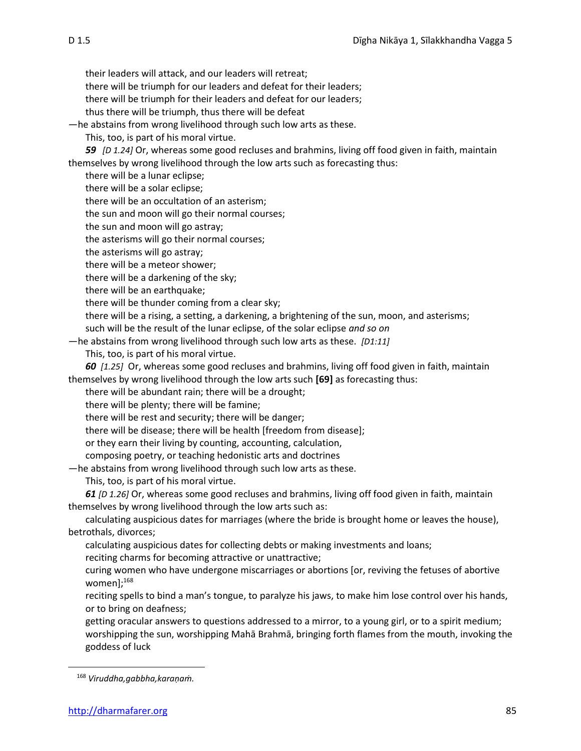their leaders will attack, and our leaders will retreat;

there will be triumph for our leaders and defeat for their leaders;

there will be triumph for their leaders and defeat for our leaders;

thus there will be triumph, thus there will be defeat

—he abstains from wrong livelihood through such low arts as these.

This, too, is part of his moral virtue.

*59 [D 1.24]* Or, whereas some good recluses and brahmins, living off food given in faith, maintain themselves by wrong livelihood through the low arts such as forecasting thus:

there will be a lunar eclipse;

there will be a solar eclipse;

there will be an occultation of an asterism;

the sun and moon will go their normal courses;

the sun and moon will go astray;

the asterisms will go their normal courses;

the asterisms will go astray;

there will be a meteor shower;

there will be a darkening of the sky;

there will be an earthquake;

there will be thunder coming from a clear sky;

there will be a rising, a setting, a darkening, a brightening of the sun, moon, and asterisms;

such will be the result of the lunar eclipse, of the solar eclipse *and so on*

—he abstains from wrong livelihood through such low arts as these. *[D1:11]*

This, too, is part of his moral virtue.

*60**[1.25]* Or, whereas some good recluses and brahmins, living off food given in faith, maintain themselves by wrong livelihood through the low arts such **[69]** as forecasting thus:

there will be abundant rain; there will be a drought;

there will be plenty; there will be famine;

there will be rest and security; there will be danger;

there will be disease; there will be health [freedom from disease];

or they earn their living by counting, accounting, calculation,

composing poetry, or teaching hedonistic arts and doctrines

—he abstains from wrong livelihood through such low arts as these.

This, too, is part of his moral virtue.

*61 [D 1.26]* Or, whereas some good recluses and brahmins, living off food given in faith, maintain themselves by wrong livelihood through the low arts such as:

calculating auspicious dates for marriages (where the bride is brought home or leaves the house), betrothals, divorces;

calculating auspicious dates for collecting debts or making investments and loans;

reciting charms for becoming attractive or unattractive;

curing women who have undergone miscarriages or abortions [or, reviving the fetuses of abortive women];<sup>168</sup>

reciting spells to bind a man's tongue, to paralyze his jaws, to make him lose control over his hands, or to bring on deafness;

getting oracular answers to questions addressed to a mirror, to a young girl, or to a spirit medium; worshipping the sun, worshipping Mahā Brahmā, bringing forth flames from the mouth, invoking the goddess of luck

<sup>168</sup> *Viruddha,gabbha,karaṇaṁ.*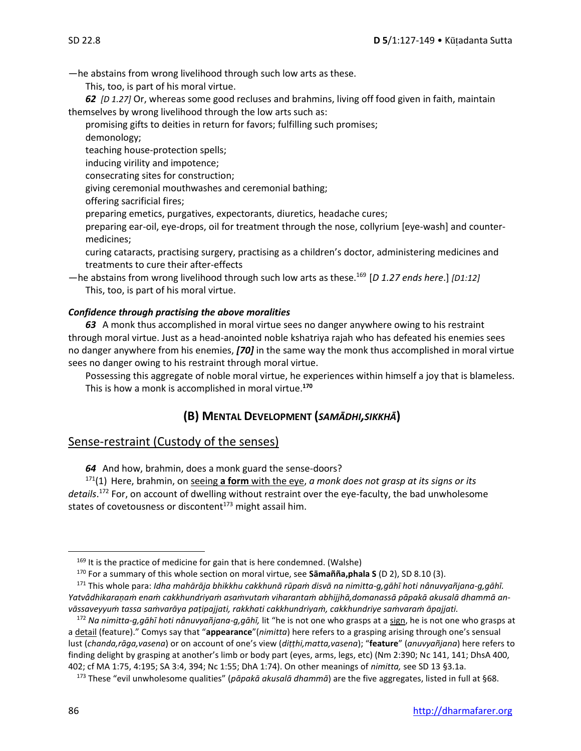—he abstains from wrong livelihood through such low arts as these.

This, too, is part of his moral virtue.

*62**[D 1.27]* Or, whereas some good recluses and brahmins, living off food given in faith, maintain themselves by wrong livelihood through the low arts such as:

promising gifts to deities in return for favors; fulfilling such promises;

demonology;

teaching house-protection spells;

inducing virility and impotence;

consecrating sites for construction;

giving ceremonial mouthwashes and ceremonial bathing;

offering sacrificial fires;

preparing emetics, purgatives, expectorants, diuretics, headache cures;

preparing ear-oil, eye-drops, oil for treatment through the nose, collyrium [eye-wash] and countermedicines;

curing cataracts, practising surgery, practising as a children's doctor, administering medicines and treatments to cure their after-effects

—he abstains from wrong livelihood through such low arts as these.<sup>169</sup>[*D 1.27 ends here*.] *[D1:12]* This, too, is part of his moral virtue.

#### *Confidence through practising the above moralities*

*63* A monk thus accomplished in moral virtue sees no danger anywhere owing to his restraint through moral virtue. Just as a head-anointed noble kshatriya rajah who has defeated his enemies sees no danger anywhere from his enemies, *[70]* in the same way the monk thus accomplished in moral virtue sees no danger owing to his restraint through moral virtue.

Possessing this aggregate of noble moral virtue, he experiences within himself a joy that is blameless. This is how a monk is accomplished in moral virtue.**<sup>170</sup>**

## **(B) MENTAL DEVELOPMENT (***SAMĀDHI,SIKKHĀ***)**

## Sense-restraint (Custody of the senses)

*64* And how, brahmin, does a monk guard the sense-doors?

<sup>171</sup>(1) Here, brahmin, on seeing **a form** with the eye, *a monk does not grasp at its signs or its details*. <sup>172</sup> For, on account of dwelling without restraint over the eye-faculty, the bad unwholesome states of covetousness or discontent $173$  might assail him.

 $169$  It is the practice of medicine for gain that is here condemned. (Walshe)

<sup>170</sup> For a summary of this whole section on moral virtue, see **Sāmañña,phala S** (D 2), SD 8.10 (3).

<sup>&</sup>lt;sup>171</sup> This whole para: Idha mahārāja bhikkhu cakkhunā rūpam disvā na nimitta-g,gāhī hoti nânuvyañjana-g,gāhī. Yatvâdhikaranam enam cakkhundriyam asamvutam viharantam abhijihā,domanassā pāpakā akusalā dhammā an*vāssaveyyuṁ tassa saṁvarāya paṭipajjati, rakkhati cakkhundriyaṁ, cakkhundriye saṁvaraṁ āpajjati.*

<sup>172</sup> *Na nimitta-g,gāhī hoti nânuvyañjana-g,gāhī,* lit "he is not one who grasps at a sign, he is not one who grasps at a detail (feature)." Comys say that "**appearance**"(*nimitta*) here refers to a grasping arising through one's sensual lust (*chanda,rāga,vasena*) or on account of one's view (*diṭṭhi,matta,vasena*); "**feature**" (*anuvyañjana*) here refers to finding delight by grasping at another's limb or body part (eyes, arms, legs, etc) (Nm 2:390; Nc 141, 141; DhsA 400, 402; cf MA 1:75, 4:195; SA 3:4, 394; Nc 1:55; DhA 1:74). On other meanings of *nimitta,* see SD 13 §3.1a.

<sup>173</sup> These "evil unwholesome qualities" (*pāpakā akusalā dhammā*) are the five aggregates, listed in full at §68.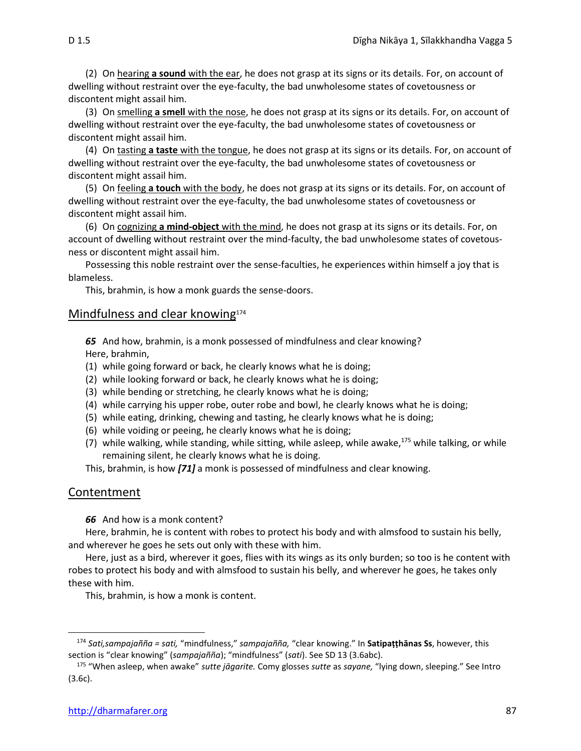(2) On hearing **a sound** with the ear, he does not grasp at its signs or its details. For, on account of dwelling without restraint over the eye-faculty, the bad unwholesome states of covetousness or discontent might assail him.

(3) On smelling **a smell** with the nose, he does not grasp at its signs or its details. For, on account of dwelling without restraint over the eye-faculty, the bad unwholesome states of covetousness or discontent might assail him.

(4) On tasting **a taste** with the tongue, he does not grasp at its signs or its details. For, on account of dwelling without restraint over the eye-faculty, the bad unwholesome states of covetousness or discontent might assail him.

(5) On feeling **a touch** with the body, he does not grasp at its signs or its details. For, on account of dwelling without restraint over the eye-faculty, the bad unwholesome states of covetousness or discontent might assail him.

(6) On cognizing **a mind-object** with the mind, he does not grasp at its signs or its details. For, on account of dwelling without restraint over the mind-faculty, the bad unwholesome states of covetousness or discontent might assail him.

Possessing this noble restraint over the sense-faculties, he experiences within himself a joy that is blameless.

This, brahmin, is how a monk guards the sense-doors.

#### Mindfulness and clear knowing<sup>174</sup>

*65* And how, brahmin, is a monk possessed of mindfulness and clear knowing? Here, brahmin,

- (1) while going forward or back, he clearly knows what he is doing;
- (2) while looking forward or back, he clearly knows what he is doing;
- (3) while bending or stretching, he clearly knows what he is doing;
- (4) while carrying his upper robe, outer robe and bowl, he clearly knows what he is doing;
- (5) while eating, drinking, chewing and tasting, he clearly knows what he is doing;
- (6) while voiding or peeing, he clearly knows what he is doing;
- (7) while walking, while standing, while sitting, while asleep, while awake, $175$  while talking, or while remaining silent, he clearly knows what he is doing.

This, brahmin, is how *[71]* a monk is possessed of mindfulness and clear knowing.

#### **Contentment**

*66* And how is a monk content?

Here, brahmin, he is content with robes to protect his body and with almsfood to sustain his belly, and wherever he goes he sets out only with these with him.

Here, just as a bird, wherever it goes, flies with its wings as its only burden; so too is he content with robes to protect his body and with almsfood to sustain his belly, and wherever he goes, he takes only these with him.

This, brahmin, is how a monk is content.

<sup>174</sup> *Sati,sampajañña = sati,* "mindfulness," *sampajañña,* "clear knowing." In **Satipaṭṭhānas Ss**, however, this section is "clear knowing" (*sampajañña*); "mindfulness" (*sati*). See SD 13 (3.6abc).

<sup>175</sup> "When asleep, when awake" *sutte jāgarite.* Comy glosses *sutte* as *sayane,* "lying down, sleeping." See Intro (3.6c).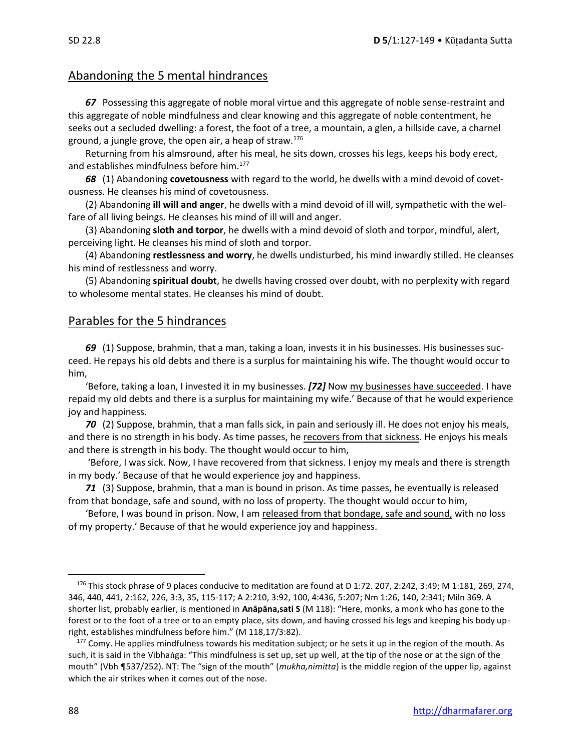## Abandoning the 5 mental hindrances

*67* Possessing this aggregate of noble moral virtue and this aggregate of noble sense-restraint and this aggregate of noble mindfulness and clear knowing and this aggregate of noble contentment, he seeks out a secluded dwelling: a forest, the foot of a tree, a mountain, a glen, a hillside cave, a charnel ground, a jungle grove, the open air, a heap of straw.<sup>176</sup>

Returning from his almsround, after his meal, he sits down, crosses his legs, keeps his body erect, and establishes mindfulness before him.<sup>177</sup>

*68* (1) Abandoning **covetousness** with regard to the world, he dwells with a mind devoid of covetousness. He cleanses his mind of covetousness.

(2) Abandoning **ill will and anger**, he dwells with a mind devoid of ill will, sympathetic with the welfare of all living beings. He cleanses his mind of ill will and anger.

(3) Abandoning **sloth and torpor**, he dwells with a mind devoid of sloth and torpor, mindful, alert, perceiving light. He cleanses his mind of sloth and torpor.

(4) Abandoning **restlessness and worry**, he dwells undisturbed, his mind inwardly stilled. He cleanses his mind of restlessness and worry.

(5) Abandoning **spiritual doubt**, he dwells having crossed over doubt, with no perplexity with regard to wholesome mental states. He cleanses his mind of doubt.

## Parables for the 5 hindrances

*69* (1) Suppose, brahmin, that a man, taking a loan, invests it in his businesses. His businesses succeed. He repays his old debts and there is a surplus for maintaining his wife. The thought would occur to him,

'Before, taking a loan, I invested it in my businesses. *[72]* Now my businesses have succeeded. I have repaid my old debts and there is a surplus for maintaining my wife.' Because of that he would experience joy and happiness.

*70* (2) Suppose, brahmin, that a man falls sick, in pain and seriously ill. He does not enjoy his meals, and there is no strength in his body. As time passes, he recovers from that sickness. He enjoys his meals and there is strength in his body. The thought would occur to him,

'Before, I was sick. Now, I have recovered from that sickness. I enjoy my meals and there is strength in my body.' Because of that he would experience joy and happiness.

*71* (3) Suppose, brahmin, that a man is bound in prison. As time passes, he eventually is released from that bondage, safe and sound, with no loss of property. The thought would occur to him,

'Before, I was bound in prison. Now, I am released from that bondage, safe and sound, with no loss of my property.' Because of that he would experience joy and happiness.

<sup>176</sup> This stock phrase of 9 places conducive to meditation are found at D 1:72. 207, 2:242, 3:49; M 1:181, 269, 274, 346, 440, 441, 2:162, 226, 3:3, 35, 115-117; A 2:210, 3:92, 100, 4:436, 5:207; Nm 1:26, 140, 2:341; Miln 369. A shorter list, probably earlier, is mentioned in **Anāpāna,sati S** (M 118): "Here, monks, a monk who has gone to the forest or to the foot of a tree or to an empty place, sits down, and having crossed his legs and keeping his body upright, establishes mindfulness before him." (M 118,17/3:82).

<sup>&</sup>lt;sup>177</sup> Comy. He applies mindfulness towards his meditation subject; or he sets it up in the region of the mouth. As such, it is said in the Vibhaga: "This mindfulness is set up, set up well, at the tip of the nose or at the sign of the mouth" (Vbh ¶537/252). NṬ: The "sign of the mouth" (*mukha,nimitta*) is the middle region of the upper lip, against which the air strikes when it comes out of the nose.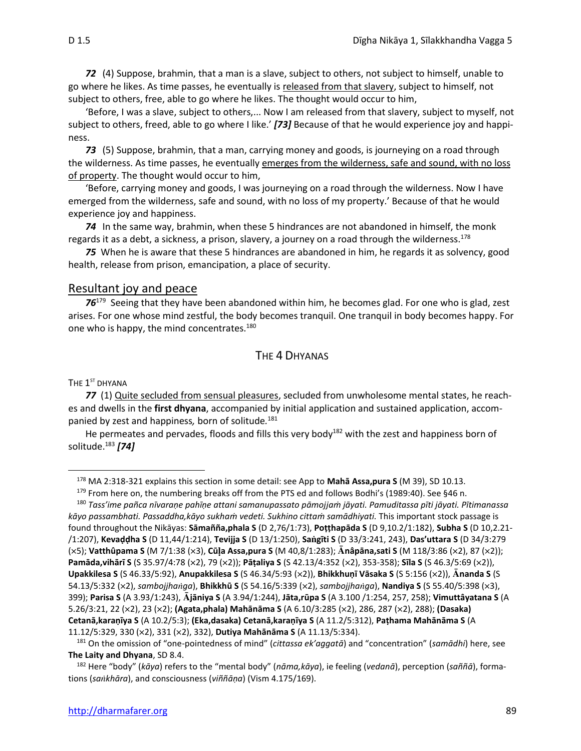*72* (4) Suppose, brahmin, that a man is a slave, subject to others, not subject to himself, unable to go where he likes. As time passes, he eventually is released from that slavery, subject to himself, not subject to others, free, able to go where he likes. The thought would occur to him,

'Before, I was a slave, subject to others,... Now I am released from that slavery, subject to myself, not subject to others, freed, able to go where I like.' *[73]* Because of that he would experience joy and happiness.

*73* (5) Suppose, brahmin, that a man, carrying money and goods, is journeying on a road through the wilderness. As time passes, he eventually emerges from the wilderness, safe and sound, with no loss of property. The thought would occur to him,

'Before, carrying money and goods, I was journeying on a road through the wilderness. Now I have emerged from the wilderness, safe and sound, with no loss of my property.' Because of that he would experience joy and happiness.

*74* In the same way, brahmin, when these 5 hindrances are not abandoned in himself, the monk regards it as a debt, a sickness, a prison, slavery, a journey on a road through the wilderness.<sup>178</sup>

*75*When he is aware that these 5 hindrances are abandoned in him, he regards it as solvency, good health, release from prison, emancipation, a place of security.

### Resultant joy and peace

76<sup>179</sup> Seeing that they have been abandoned within him, he becomes glad. For one who is glad, zest arises. For one whose mind zestful, the body becomes tranquil. One tranquil in body becomes happy. For one who is happy, the mind concentrates.<sup>180</sup>

## THE 4 DHYANAS

#### The  $\boldsymbol{1}^{\text{st}}$  dhyana

77 (1) Quite secluded from sensual pleasures, secluded from unwholesome mental states, he reaches and dwells in the **first dhyana**, accompanied by initial application and sustained application, accompanied by zest and happiness*,* born of solitude*.* 181

He permeates and pervades, floods and fills this very body<sup>182</sup> with the zest and happiness born of solitude.<sup>183</sup> *[74]*

179 From here on, the numbering breaks off from the PTS ed and follows Bodhi's (1989:40). See §46 n. <sup>180</sup> *Tass'ime pañca nīvaraṇe pahīṇe attani samanupassato pāmojjaṁ jāyati. Pamuditassa pīti jāyati. Pītimanassa kāyo passambhati. Passaddha,kāyo sukhaṁ vedeti. Sukhino cittaṁ samādhiyati.* This important stock passage is found throughout the Nikāyas: **Sāmañña,phala S** (D 2,76/1:73), **Poṭṭhapāda S** (D 9,10.2/1:182), **Subha S** (D 10,2.21- /1:207), **Kevaḍḍha S** (D 11,44/1:214), **Tevijja S** (D 13/1:250), **Sagīti S** (D 33/3:241, 243), **Das'uttara S** (D 34/3:279 (5); **Vatthûpama S** (M 7/1:38 (3), **Cūa Assa,pura S** (M 40,8/1:283); **nâpāna,sati S** (M 118/3:86 (2), 87 (2)); **Pamāda,vihārī S** (S 35.97/4:78 (2), 79 (2)); **Pāṭaliya S** (S 42.13/4:352 (2), 353-358); **Sīla S** (S 46.3/5:69 (2)), **Upakkilesa S** (S 46.33/5:92), **Anupakkilesa S** (S 46.34/5:93 (2)), **Bhikkhuṇī Vāsaka S** (S 5:156 (2)), **nanda S** (S 54.13/5:332 (2), *sambojjhaga*), **Bhikkhū S** (S 54.16/5:339 (2), *sambojjhaga*), **Nandiya S** (S 55.40/5:398 (3), 399); **Parisa S** (A 3.93/1:243), **jāniya S** (A 3.94/1:244), **Jāta,rūpa S** (A 3.100 /1:254, 257, 258); **Vimuttâyatana S** (A 5.26/3:21, 22 (2), 23 (2); **(Agata,phala) Mahānāma S** (A 6.10/3:285 (2), 286, 287 (2), 288); **(Dasaka) Cetanā,karaṇīya S** (A 10.2/5:3); **(Eka,dasaka) Cetanā,karaṇīya S** (A 11.2/5:312), **Paṭhama Mahānāma S** (A 11.12/5:329, 330 (2), 331 (2), 332), **Dutiya Mahānāma S** (A 11.13/5:334).

<sup>178</sup> MA 2:318-321 explains this section in some detail: see App to **Mahā Assa,pura S** (M 39), SD 10.13.

<sup>181</sup> On the omission of "one-pointedness of mind" (*cittassa ek'aggatā*) and "concentration" (*samādhi*) here, see **The Laity and Dhyana**, SD 8.4.

<sup>182</sup> Here "body" (*kāya*) refers to the "mental body" (*nāma,kāya*), ie feeling (*vedanā*), perception (*saññā*), formations (*sakhāra*), and consciousness (*viññāṇa*) (Vism 4.175/169).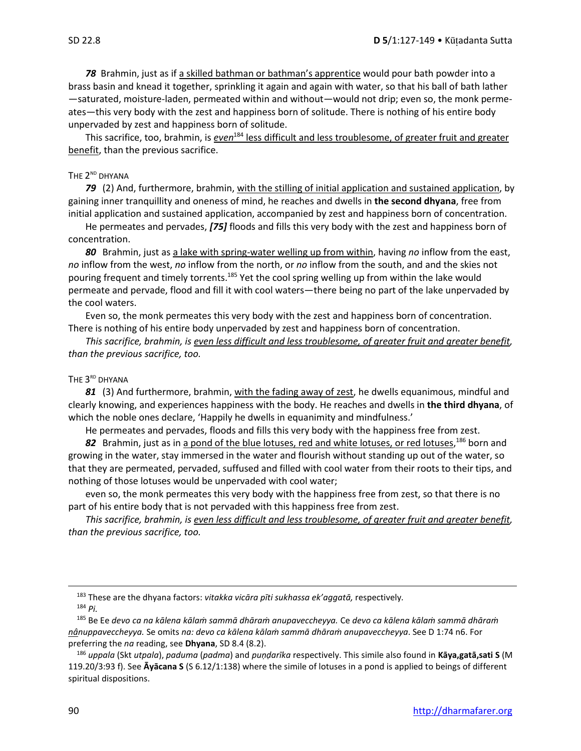*78* Brahmin, just as if a skilled bathman or bathman's apprentice would pour bath powder into a brass basin and knead it together, sprinkling it again and again with water, so that his ball of bath lather —saturated, moisture-laden, permeated within and without—would not drip; even so, the monk permeates—this very body with the zest and happiness born of solitude. There is nothing of his entire body unpervaded by zest and happiness born of solitude.

This sacrifice, too, brahmin, is *even*<sup>184</sup> less difficult and less troublesome, of greater fruit and greater benefit, than the previous sacrifice.

#### The  $2^{\text{nd}}$  dhyana

*79* (2) And, furthermore, brahmin, with the stilling of initial application and sustained application, by gaining inner tranquillity and oneness of mind, he reaches and dwells in **the second dhyana**, free from initial application and sustained application, accompanied by zest and happiness born of concentration.

He permeates and pervades, *[75]* floods and fills this very body with the zest and happiness born of concentration.

*80* Brahmin, just as a lake with spring-water welling up from within, having *no* inflow from the east, *no* inflow from the west, *no* inflow from the north, or *no* inflow from the south, and and the skies not pouring frequent and timely torrents.<sup>185</sup> Yet the cool spring welling up from within the lake would permeate and pervade, flood and fill it with cool waters—there being no part of the lake unpervaded by the cool waters.

Even so, the monk permeates this very body with the zest and happiness born of concentration. There is nothing of his entire body unpervaded by zest and happiness born of concentration.

*This sacrifice, brahmin, is even less difficult and less troublesome, of greater fruit and greater benefit, than the previous sacrifice, too.*

#### The  $3^{\text{\tiny RD}}$  Dhyana

*81* (3) And furthermore, brahmin, with the fading away of zest, he dwells equanimous, mindful and clearly knowing, and experiences happiness with the body. He reaches and dwells in **the third dhyana**, of which the noble ones declare, 'Happily he dwells in equanimity and mindfulness.'

He permeates and pervades, floods and fills this very body with the happiness free from zest.

82 Brahmin, just as in a pond of the blue lotuses, red and white lotuses, or red lotuses,<sup>186</sup> born and growing in the water, stay immersed in the water and flourish without standing up out of the water, so that they are permeated, pervaded, suffused and filled with cool water from their roots to their tips, and nothing of those lotuses would be unpervaded with cool water;

even so, the monk permeates this very body with the happiness free from zest, so that there is no part of his entire body that is not pervaded with this happiness free from zest.

*This sacrifice, brahmin, is even less difficult and less troublesome, of greater fruit and greater benefit, than the previous sacrifice, too.*

<sup>183</sup> These are the dhyana factors: *vitakka vicāra pīti sukhassa ek'aggatā,* respectively*.* <sup>184</sup> *Pi.*

<sup>185</sup> Be Ee *devo ca na kālena kālaṁ sammā dhāraṁ anupaveccheyya.* Ce *devo ca kālena kālaṁ sammā dhāraṁ nânuppaveccheyya.* Se omits *na: devo ca kālena kālaṁ sammā dhāraṁ anupaveccheyya*. See D 1:74 n6. For preferring the *na* reading, see **Dhyana**, SD 8.4 (8.2).

<sup>186</sup> *uppala* (Skt *utpala*), *paduma* (*padma*) and *puṇḍarīka* respectively. This simile also found in **Kāya,gatā,sati S** (M 119.20/3:93 f). See **Āyācana S** (S 6.12/1:138) where the simile of lotuses in a pond is applied to beings of different spiritual dispositions.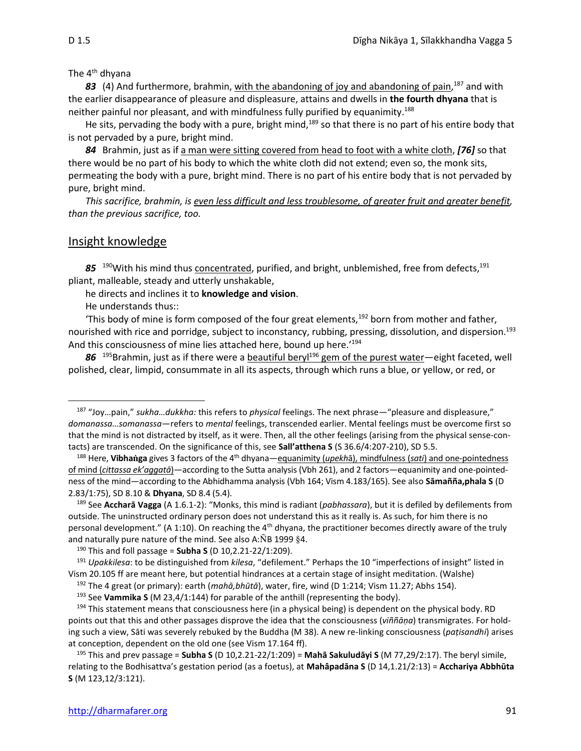The 4<sup>th</sup> dhyana

83 (4) And furthermore, brahmin, with the abandoning of joy and abandoning of pain,<sup>187</sup> and with the earlier disappearance of pleasure and displeasure, attains and dwells in **the fourth dhyana** that is neither painful nor pleasant, and with mindfulness fully purified by equanimity.<sup>188</sup>

He sits, pervading the body with a pure, bright mind,<sup>189</sup> so that there is no part of his entire body that is not pervaded by a pure, bright mind.

*84* Brahmin, just as if a man were sitting covered from head to foot with a white cloth, *[76]* so that there would be no part of his body to which the white cloth did not extend; even so, the monk sits, permeating the body with a pure, bright mind. There is no part of his entire body that is not pervaded by pure, bright mind.

*This sacrifice, brahmin, is even less difficult and less troublesome, of greater fruit and greater benefit, than the previous sacrifice, too.*

## Insight knowledge

85<sup>190</sup>With his mind thus concentrated, purified, and bright, unblemished, free from defects,<sup>191</sup> pliant, malleable, steady and utterly unshakable,

he directs and inclines it to **knowledge and vision**.

He understands thus::

'This body of mine is form composed of the four great elements, $192$  born from mother and father, nourished with rice and porridge, subject to inconstancy, rubbing, pressing, dissolution, and dispersion.<sup>193</sup> And this consciousness of mine lies attached here, bound up here.<sup>'194</sup>

86<sup>195</sup>Brahmin, just as if there were a beautiful beryl<sup>196</sup> gem of the purest water—eight faceted, well polished, clear, limpid, consummate in all its aspects, through which runs a blue, or yellow, or red, or

<sup>192</sup> The 4 great (or primary): earth (*mahā,bhūtā*), water, fire, wind (D 1:214; Vism 11.27; Abhs 154).

<sup>187</sup> "Joy…pain," *sukha…dukkha:* this refers to *physical* feelings. The next phrase—"pleasure and displeasure," *domanassa…somanassa*—refers to *mental* feelings, transcended earlier. Mental feelings must be overcome first so that the mind is not distracted by itself, as it were. Then, all the other feelings (arising from the physical sense-contacts) are transcended. On the significance of this, see **Sall'atthena S** (S 36.6/4:207-210), SD 5.5.

<sup>188</sup> Here, **Vibhaga** gives 3 factors of the 4th dhyana—equanimity (*upekh*ā), mindfulness (*sati*) and one-pointedness of mind (*cittassa ek'aggatā*)—according to the Sutta analysis (Vbh 261), and 2 factors—equanimity and one-pointedness of the mind—according to the Abhidhamma analysis (Vbh 164; Vism 4.183/165). See also **Sāmañña,phala S** (D 2.83/1:75), SD 8.10 & **Dhyana**, SD 8.4 (5.4).

<sup>189</sup> See **Accharā Vagga** (A 1.6.1-2): "Monks, this mind is radiant (*pabhassara*), but it is defiled by defilements from outside. The uninstructed ordinary person does not understand this as it really is. As such, for him there is no personal development." (A 1:10). On reaching the 4<sup>th</sup> dhyana, the practitioner becomes directly aware of the truly and naturally pure nature of the mind. See also A: $\tilde{N}B$  1999 §4.

<sup>190</sup> This and foll passage = **Subha S** (D 10,2.21-22/1:209).

<sup>191</sup> *Upakkilesa*: to be distinguished from *kilesa*, "defilement." Perhaps the 10 "imperfections of insight" listed in Vism 20.105 ff are meant here, but potential hindrances at a certain stage of insight meditation. (Walshe)

<sup>&</sup>lt;sup>193</sup> See Vammika S (M 23,4/1:144) for parable of the anthill (representing the body).

<sup>&</sup>lt;sup>194</sup> This statement means that consciousness here (in a physical being) is dependent on the physical body. RD points out that this and other passages disprove the idea that the consciousness (*viññāṇa*) transmigrates. For holding such a view, Sāti was severely rebuked by the Buddha (M 38). A new re-linking consciousness (*paṭisandhi*) arises at conception, dependent on the old one (see Vism 17.164 ff).

<sup>195</sup> This and prev passage = **Subha S** (D 10,2.21-22/1:209) = **Mahā Sakuludāyi S** (M 77,29/2:17). The beryl simile, relating to the Bodhisattva's gestation period (as a foetus), at **Mahâpadāna S** (D 14,1.21/2:13) = **Acchariya Abbhūta S** (M 123,12/3:121).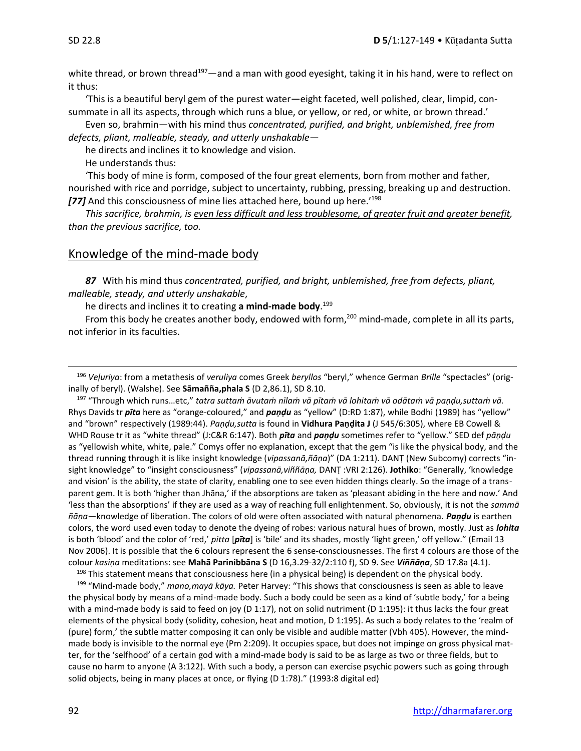white thread, or brown thread<sup>197</sup>—and a man with good eyesight, taking it in his hand, were to reflect on it thus:

'This is a beautiful beryl gem of the purest water—eight faceted, well polished, clear, limpid, consummate in all its aspects, through which runs a blue, or yellow, or red, or white, or brown thread.'

Even so, brahmin—with his mind thus *concentrated, purified, and bright, unblemished, free from defects, pliant, malleable, steady, and utterly unshakable*—

he directs and inclines it to knowledge and vision.

He understands thus:

'This body of mine is form, composed of the four great elements, born from mother and father, nourished with rice and porridge, subject to uncertainty, rubbing, pressing, breaking up and destruction. *[77]* And this consciousness of mine lies attached here, bound up here.'<sup>198</sup>

*This sacrifice, brahmin, is even less difficult and less troublesome, of greater fruit and greater benefit, than the previous sacrifice, too.*

#### Knowledge of the mind-made body

*87* With his mind thus *concentrated, purified, and bright, unblemished, free from defects, pliant, malleable, steady, and utterly unshakable*,

he directs and inclines it to creating **a mind-made body**. 199

From this body he creates another body, endowed with form,<sup>200</sup> mind-made, complete in all its parts, not inferior in its faculties.

<sup>196</sup> *Veḷuriya*: from a metathesis of *veruliya* comes Greek *beryllos* "beryl," whence German *Brille* "spectacles" (originally of beryl). (Walshe). See **Sāmañña,phala S** (D 2,86.1), SD 8.10.

<sup>197</sup> "Through which runs…etc," *tatra suttaṁ āvutaṁ nīlaṁ vā pītaṁ vā lohitaṁ vā odātaṁ vā paṇḍu,suttaṁ vā.* Rhys Davids tr *pīta* here as "orange-coloured," and *paṇḍu* as "yellow" (D:RD 1:87), while Bodhi (1989) has "yellow" and "brown" respectively (1989:44). *Paṇḍu,sutta* is found in **Vidhura Paṇḍita J** (J 545/6:305), where EB Cowell & WHD Rouse tr it as "white thread" (J:C&R 6:147). Both *pīta* and *paṇḍu* sometimes refer to "yellow." SED def *pāṇḍu*  as "yellowish white, white, pale." Comys offer no explanation, except that the gem "is like the physical body, and the thread running through it is like insight knowledge (*vipassanā,ñāṇa*)" (DA 1:211). DANṬ (New Subcomy) corrects "insight knowledge" to "insight consciousness" (*vipassanā,viññāṇa,* DANṬ :VRI 2:126). **Jothiko**: "Generally, 'knowledge and vision' is the ability, the state of clarity, enabling one to see even hidden things clearly. So the image of a transparent gem. It is both 'higher than Jhāna,' if the absorptions are taken as 'pleasant abiding in the here and now.' And 'less than the absorptions' if they are used as a way of reaching full enlightenment. So, obviously, it is not the *sammā ñāṇa*—knowledge of liberation. The colors of old were often associated with natural phenomena. *Paṇḍu* is earthen colors, the word used even today to denote the dyeing of robes: various natural hues of brown, mostly. Just as *lohita* is both 'blood' and the color of 'red,' *pitta* [*pīta*] is 'bile' and its shades, mostly 'light green,' off yellow." (Email 13 Nov 2006). It is possible that the 6 colours represent the 6 sense-consciousnesses. The first 4 colours are those of the colour *kasiṇa* meditations: see **Mahā Parinibbāna S** (D 16,3.29-32/2:110 f), SD 9. See *Viññāṇa*, SD 17.8a (4.1).

<sup>198</sup> This statement means that consciousness here (in a physical being) is dependent on the physical body. <sup>199</sup> "Mind-made body," *mano,mayā kāya.* Peter Harvey: "This shows that consciousness is seen as able to leave the physical body by means of a mind-made body. Such a body could be seen as a kind of 'subtle body,' for a being with a mind-made body is said to feed on joy (D 1:17), not on solid nutriment (D 1:195): it thus lacks the four great elements of the physical body (solidity, cohesion, heat and motion, D 1:195). As such a body relates to the 'realm of (pure) form,' the subtle matter composing it can only be visible and audible matter (Vbh 405). However, the mindmade body is invisible to the normal eye (Pm 2:209). It occupies space, but does not impinge on gross physical matter, for the 'selfhood' of a certain god with a mind-made body is said to be as large as two or three fields, but to cause no harm to anyone (A 3:122). With such a body, a person can exercise psychic powers such as going through solid objects, being in many places at once, or flying (D 1:78)." (1993:8 digital ed)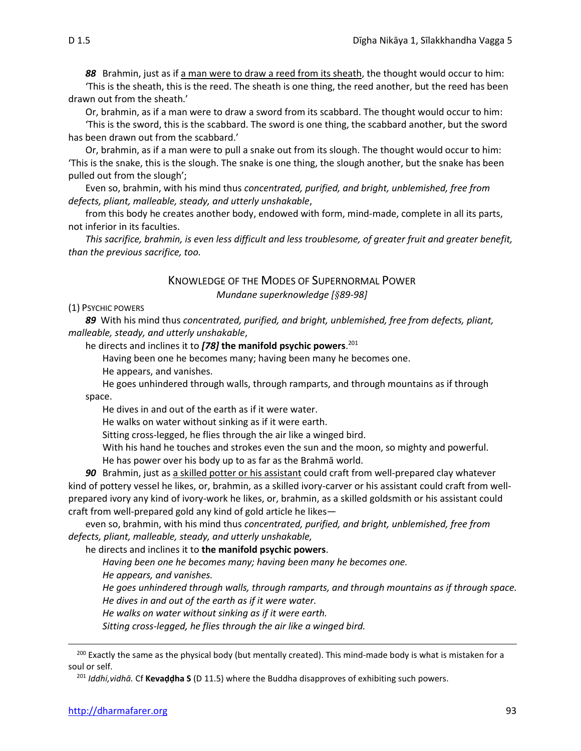*88* Brahmin, just as if a man were to draw a reed from its sheath, the thought would occur to him:

'This is the sheath, this is the reed. The sheath is one thing, the reed another, but the reed has been drawn out from the sheath.'

Or, brahmin, as if a man were to draw a sword from its scabbard. The thought would occur to him:

'This is the sword, this is the scabbard. The sword is one thing, the scabbard another, but the sword has been drawn out from the scabbard.'

Or, brahmin, as if a man were to pull a snake out from its slough. The thought would occur to him: 'This is the snake, this is the slough. The snake is one thing, the slough another, but the snake has been pulled out from the slough';

Even so, brahmin, with his mind thus *concentrated, purified, and bright, unblemished, free from defects, pliant, malleable, steady, and utterly unshakable*,

from this body he creates another body, endowed with form, mind-made, complete in all its parts, not inferior in its faculties.

*This sacrifice, brahmin, is even less difficult and less troublesome, of greater fruit and greater benefit, than the previous sacrifice, too.*

#### KNOWLEDGE OF THE MODES OF SUPERNORMAL POWER *Mundane superknowledge [89-98]*

#### (1) PSYCHIC POWERS

*89* With his mind thus *concentrated, purified, and bright, unblemished, free from defects, pliant, malleable, steady, and utterly unshakable*,

he directs and inclines it to *[78]* **the manifold psychic powers**. 201

Having been one he becomes many; having been many he becomes one.

He appears, and vanishes.

He goes unhindered through walls, through ramparts, and through mountains as if through space.

He dives in and out of the earth as if it were water.

He walks on water without sinking as if it were earth.

Sitting cross-legged, he flies through the air like a winged bird.

With his hand he touches and strokes even the sun and the moon, so mighty and powerful. He has power over his body up to as far as the Brahmā world.

*90* Brahmin, just as a skilled potter or his assistant could craft from well-prepared clay whatever kind of pottery vessel he likes, or, brahmin, as a skilled ivory-carver or his assistant could craft from wellprepared ivory any kind of ivory-work he likes, or, brahmin, as a skilled goldsmith or his assistant could craft from well-prepared gold any kind of gold article he likes—

even so, brahmin, with his mind thus *concentrated, purified, and bright, unblemished, free from defects, pliant, malleable, steady, and utterly unshakable,* 

he directs and inclines it to **the manifold psychic powers**.

*Having been one he becomes many; having been many he becomes one.* 

*He appears, and vanishes.* 

*He goes unhindered through walls, through ramparts, and through mountains as if through space. He dives in and out of the earth as if it were water.* 

*He walks on water without sinking as if it were earth.* 

*Sitting cross-legged, he flies through the air like a winged bird.* 

<sup>200</sup> Exactly the same as the physical body (but mentally created). This mind-made body is what is mistaken for a soul or self.

<sup>201</sup> *Iddhi,vidhā.* Cf **Kevaḍḍha S** (D 11.5) where the Buddha disapproves of exhibiting such powers.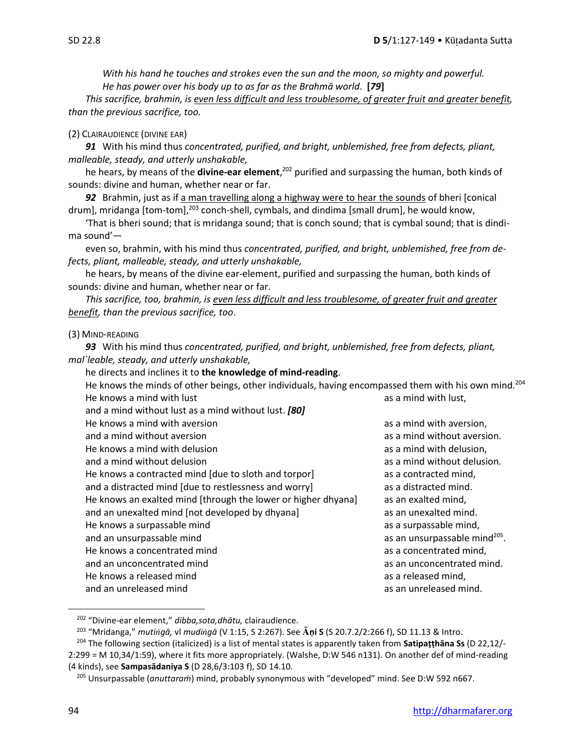*With his hand he touches and strokes even the sun and the moon, so mighty and powerful. He has power over his body up to as far as the Brahmā world*. **[***79***]**

*This sacrifice, brahmin, is even less difficult and less troublesome, of greater fruit and greater benefit, than the previous sacrifice, too.*

#### (2) CLAIRAUDIENCE (DIVINE EAR)

*91* With his mind thus *concentrated, purified, and bright, unblemished, free from defects, pliant, malleable, steady, and utterly unshakable,* 

he hears, by means of the **divine-ear element**, <sup>202</sup> purified and surpassing the human, both kinds of sounds: divine and human, whether near or far.

92 Brahmin, just as if a man travelling along a highway were to hear the sounds of bheri [conical drum], mridanga [tom-tom],<sup>203</sup> conch-shell, cymbals, and dindima [small drum], he would know,

'That is bheri sound; that is mridanga sound; that is conch sound; that is cymbal sound; that is dindima sound'—

even so, brahmin, with his mind thus *concentrated, purified, and bright, unblemished, free from defects, pliant, malleable, steady, and utterly unshakable,*

he hears, by means of the divine ear-element, purified and surpassing the human, both kinds of sounds: divine and human, whether near or far.

*This sacrifice, too, brahmin, is even less difficult and less troublesome, of greater fruit and greater benefit, than the previous sacrifice, too*.

#### (3) MIND-READING

*93* With his mind thus *concentrated, purified, and bright, unblemished, free from defects, pliant, mal`leable, steady, and utterly unshakable,* 

he directs and inclines it to **the knowledge of mind-reading**.

| He knows the minds of other beings, other individuals, having encompassed them with his own mind. <sup>204</sup> |                                           |
|------------------------------------------------------------------------------------------------------------------|-------------------------------------------|
| He knows a mind with lust                                                                                        | as a mind with lust,                      |
| and a mind without lust as a mind without lust. [80]                                                             |                                           |
| He knows a mind with aversion                                                                                    | as a mind with aversion,                  |
| and a mind without aversion                                                                                      | as a mind without aversion.               |
| He knows a mind with delusion                                                                                    | as a mind with delusion,                  |
| and a mind without delusion                                                                                      | as a mind without delusion.               |
| He knows a contracted mind [due to sloth and torpor]                                                             | as a contracted mind,                     |
| and a distracted mind [due to restlessness and worry]                                                            | as a distracted mind.                     |
| He knows an exalted mind [through the lower or higher dhyana]                                                    | as an exalted mind,                       |
| and an unexalted mind [not developed by dhyana]                                                                  | as an unexalted mind.                     |
| He knows a surpassable mind                                                                                      | as a surpassable mind,                    |
| and an unsurpassable mind                                                                                        | as an unsurpassable mind <sup>205</sup> . |
| He knows a concentrated mind                                                                                     | as a concentrated mind,                   |
| and an unconcentrated mind                                                                                       | as an unconcentrated mind.                |
| He knows a released mind                                                                                         | as a released mind,                       |
| and an unreleased mind                                                                                           | as an unreleased mind.                    |
|                                                                                                                  |                                           |

<sup>202</sup> "Divine-ear element," *dibba,sota,dhātu,* clairaudience.

<sup>203</sup> "Mridanga," *mutigā,* vl *mudigā* (V 1:15, S 2:267). See **ṇi S** (S 20.7.2/2:266 f), SD 11.13 & Intro.

<sup>204</sup> The following section (italicized) is a list of mental states is apparently taken from **Satipaṭṭhāna Ss** (D 22,12/- 2:299 = M 10,34/1:59), where it fits more appropriately. (Walshe, D:W 546 n131). On another def of mind-reading (4 kinds), see **Sampasādaniya S** (D 28,6/3:103 f), SD 14.10.

<sup>205</sup> Unsurpassable (*anuttaraṁ*) mind, probably synonymous with "developed" mind. See D:W 592 n667.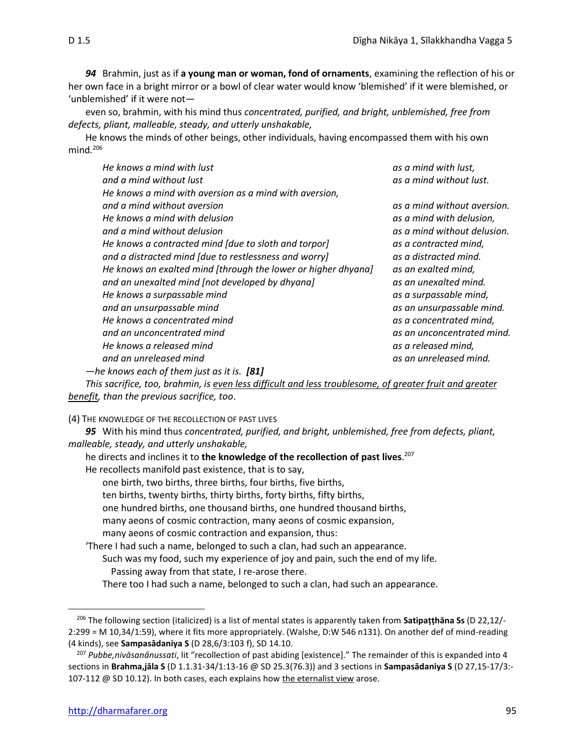*94* Brahmin, just as if **a young man or woman, fond of ornaments**, examining the reflection of his or her own face in a bright mirror or a bowl of clear water would know 'blemished' if it were blemished, or 'unblemished' if it were not—

even so, brahmin, with his mind thus *concentrated, purified, and bright, unblemished, free from defects, pliant, malleable, steady, and utterly unshakable,*

He knows the minds of other beings, other individuals, having encompassed them with his own mind*.* 206

| He knows a mind with lust                                     | as a mind with lust,        |
|---------------------------------------------------------------|-----------------------------|
| and a mind without lust                                       | as a mind without lust.     |
| He knows a mind with aversion as a mind with aversion,        |                             |
| and a mind without aversion                                   | as a mind without aversion. |
| He knows a mind with delusion                                 | as a mind with delusion,    |
| and a mind without delusion                                   | as a mind without delusion. |
| He knows a contracted mind [due to sloth and torpor]          | as a contracted mind,       |
| and a distracted mind [due to restlessness and worry]         | as a distracted mind.       |
| He knows an exalted mind [through the lower or higher dhyana] | as an exalted mind,         |
| and an unexalted mind [not developed by dhyana]               | as an unexalted mind.       |
| He knows a surpassable mind                                   | as a surpassable mind,      |
| and an unsurpassable mind                                     | as an unsurpassable mind.   |
| He knows a concentrated mind                                  | as a concentrated mind,     |
| and an unconcentrated mind                                    | as an unconcentrated mind.  |
| He knows a released mind                                      | as a released mind,         |
| and an unreleased mind                                        | as an unreleased mind.      |
| -he knows each of them just as it is. [81]                    |                             |

*This sacrifice, too, brahmin, is even less difficult and less troublesome, of greater fruit and greater benefit, than the previous sacrifice, too*.

(4) THE KNOWLEDGE OF THE RECOLLECTION OF PAST LIVES

*95* With his mind thus *concentrated, purified, and bright, unblemished, free from defects, pliant, malleable, steady, and utterly unshakable,*

| he directs and inclines it to the knowledge of the recollection of past lives. <sup>207</sup> |
|-----------------------------------------------------------------------------------------------|
| He recollects manifold past existence, that is to say,                                        |
| one birth, two births, three births, four births, five births,                                |
| ten births, twenty births, thirty births, forty births, fifty births,                         |
| one hundred births, one thousand births, one hundred thousand births,                         |
| many aeons of cosmic contraction, many aeons of cosmic expansion,                             |
| many aeons of cosmic contraction and expansion, thus:                                         |
| There I had such a name, belonged to such a clan, had such an appearance.                     |
| Such was my food, such my experience of joy and pain, such the end of my life.                |
| Passing away from that state, I re-arose there.                                               |
| There too I had such a name, belonged to such a clan, had such an appearance.                 |

<sup>206</sup> The following section (italicized) is a list of mental states is apparently taken from **Satipaṭṭhāna Ss** (D 22,12/- 2:299 = M 10,34/1:59), where it fits more appropriately. (Walshe, D:W 546 n131). On another def of mind-reading (4 kinds), see **Sampasādaniya S** (D 28,6/3:103 f), SD 14.10.

<sup>207</sup> *Pubbe,nivāsanânussati*, lit "recollection of past abiding [existence]." The remainder of this is expanded into 4 sections in **Brahma,jāla S** (D 1.1.31-34/1:13-16 @ SD 25.3(76.3)) and 3 sections in **Sampasādaniya S** (D 27,15-17/3:- 107-112 @ SD 10.12). In both cases, each explains how the eternalist view arose.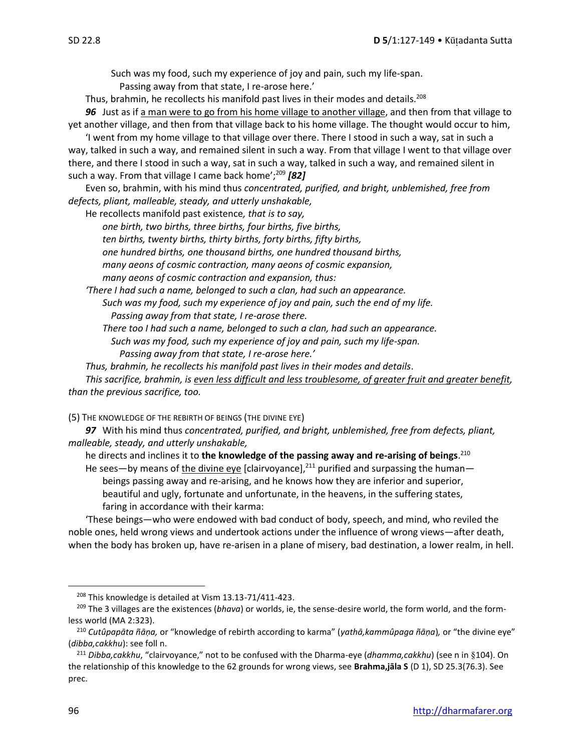Such was my food, such my experience of joy and pain, such my life-span.

Passing away from that state, I re-arose here.'

Thus, brahmin, he recollects his manifold past lives in their modes and details.<sup>208</sup>

*96* Just as if a man were to go from his home village to another village, and then from that village to yet another village, and then from that village back to his home village. The thought would occur to him,

'I went from my home village to that village over there. There I stood in such a way, sat in such a way, talked in such a way, and remained silent in such a way. From that village I went to that village over there, and there I stood in such a way, sat in such a way, talked in such a way, and remained silent in such a way. From that village I came back home';<sup>209</sup> **[82]** 

Even so, brahmin, with his mind thus *concentrated, purified, and bright, unblemished, free from defects, pliant, malleable, steady, and utterly unshakable,* 

He recollects manifold past existence*, that is to say,* 

*one birth, two births, three births, four births, five births, ten births, twenty births, thirty births, forty births, fifty births, one hundred births, one thousand births, one hundred thousand births, many aeons of cosmic contraction, many aeons of cosmic expansion, many aeons of cosmic contraction and expansion, thus:* 

*'There I had such a name, belonged to such a clan, had such an appearance. Such was my food, such my experience of joy and pain, such the end of my life. Passing away from that state, I re-arose there.* 

*There too I had such a name, belonged to such a clan, had such an appearance. Such was my food, such my experience of joy and pain, such my life-span. Passing away from that state, I re-arose here.'* 

*Thus, brahmin, he recollects his manifold past lives in their modes and details*.

*This sacrifice, brahmin, is even less difficult and less troublesome, of greater fruit and greater benefit, than the previous sacrifice, too.*

(5) THE KNOWLEDGE OF THE REBIRTH OF BEINGS (THE DIVINE EYE)

*97* With his mind thus *concentrated, purified, and bright, unblemished, free from defects, pliant, malleable, steady, and utterly unshakable,*

he directs and inclines it to **the knowledge of the passing away and re-arising of beings**. 210

He sees—by means of the divine eye [clairvoyance],<sup>211</sup> purified and surpassing the human beings passing away and re-arising, and he knows how they are inferior and superior, beautiful and ugly, fortunate and unfortunate, in the heavens, in the suffering states, faring in accordance with their karma:

'These beings—who were endowed with bad conduct of body, speech, and mind, who reviled the noble ones, held wrong views and undertook actions under the influence of wrong views—after death, when the body has broken up, have re-arisen in a plane of misery, bad destination, a lower realm, in hell.

<sup>208</sup> This knowledge is detailed at Vism 13.13-71/411-423.

<sup>209</sup> The 3 villages are the existences (*bhava*) or worlds, ie, the sense-desire world, the form world, and the formless world (MA 2:323).

<sup>210</sup> *Cutûpapāta ñāṇa,* or "knowledge of rebirth according to karma" (*yathā,kammûpaga ñāṇa*)*,* or "the divine eye" (*dibba,cakkhu*): see foll n.

<sup>&</sup>lt;sup>211</sup> Dibba, cakkhu, "clairvoyance," not to be confused with the Dharma-eye (dhamma, cakkhu) (see n in §104). On the relationship of this knowledge to the 62 grounds for wrong views, see **Brahma,jāla S** (D 1), SD 25.3(76.3). See prec.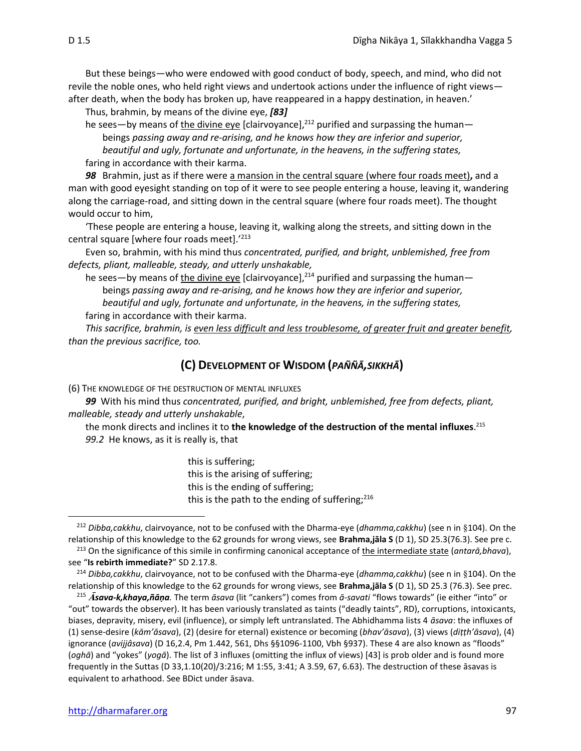But these beings—who were endowed with good conduct of body, speech, and mind, who did not revile the noble ones, who held right views and undertook actions under the influence of right views after death, when the body has broken up, have reappeared in a happy destination, in heaven.'

Thus, brahmin, by means of the divine eye, *[83]*

he sees—by means of the divine eye [clairvoyance],<sup>212</sup> purified and surpassing the human beings *passing away and re-arising, and he knows how they are inferior and superior, beautiful and ugly, fortunate and unfortunate, in the heavens, in the suffering states,*  faring in accordance with their karma.

*98* Brahmin, just as if there were a mansion in the central square (where four roads meet)**,** and a man with good eyesight standing on top of it were to see people entering a house, leaving it, wandering along the carriage-road, and sitting down in the central square (where four roads meet). The thought would occur to him,

'These people are entering a house, leaving it, walking along the streets, and sitting down in the central square [where four roads meet].'213

Even so, brahmin, with his mind thus *concentrated, purified, and bright, unblemished, free from defects, pliant, malleable, steady, and utterly unshakable,*

he sees—by means of the divine eye [clairvoyance],<sup>214</sup> purified and surpassing the human beings *passing away and re-arising, and he knows how they are inferior and superior, beautiful and ugly, fortunate and unfortunate, in the heavens, in the suffering states,*  faring in accordance with their karma.

*This sacrifice, brahmin, is even less difficult and less troublesome, of greater fruit and greater benefit, than the previous sacrifice, too.*

#### **(C) DEVELOPMENT OF WISDOM (***PAÑÑĀ,SIKKHĀ***)**

(6) THE KNOWLEDGE OF THE DESTRUCTION OF MENTAL INFLUXES

*99*With his mind thus *concentrated, purified, and bright, unblemished, free from defects, pliant, malleable, steady and utterly unshakable*,

the monk directs and inclines it to **the knowledge of the destruction of the mental influxes**. 215 *99.2*He knows, as it is really is, that

> this is suffering; this is the arising of suffering; this is the ending of suffering; this is the path to the ending of suffering; $^{216}$

<sup>&</sup>lt;sup>212</sup> *Dibba,cakkhu*, clairvoyance, not to be confused with the Dharma-eye (*dhamma,cakkhu*) (see n in §104). On the relationship of this knowledge to the 62 grounds for wrong views, see **Brahma,jāla S** (D 1), SD 25.3(76.3). See pre c.

<sup>213</sup> On the significance of this simile in confirming canonical acceptance of the intermediate state (*antarā,bhava*), see "**Is rebirth immediate?**" SD 2.17.8.

<sup>&</sup>lt;sup>214</sup> *Dibba,cakkhu*, clairvoyance, not to be confused with the Dharma-eye (*dhamma,cakkhu*) (see n in §104). On the relationship of this knowledge to the 62 grounds for wrong views, see **Brahma,jāla S** (D 1), SD 25.3 (76.3). See prec.

<sup>215</sup> *sava-k,khaya,ñāṇa.* The term *āsava* (lit "cankers") comes from *ā-savati* "flows towards" (ie either "into" or "out" towards the observer). It has been variously translated as taints ("deadly taints", RD), corruptions, intoxicants, biases, depravity, misery, evil (influence), or simply left untranslated. The Abhidhamma lists 4 *āsava*: the influxes of (1) sense-desire (*kām'āsava*), (2) (desire for eternal) existence or becoming (*bhav'āsava*), (3) views (*diṭṭh'āsava*), (4) ignorance (*avijjâsava*) (D 16,2.4, Pm 1.442, 561, Dhs §§1096-1100, Vbh §937). These 4 are also known as "floods" (*oghā*) and "yokes" (*yogā*). The list of 3 influxes (omitting the influx of views) [43] is prob older and is found more frequently in the Suttas (D 33,1.10(20)/3:216; M 1:55, 3:41; A 3.59, 67, 6.63). The destruction of these āsavas is equivalent to arhathood. See BDict under āsava.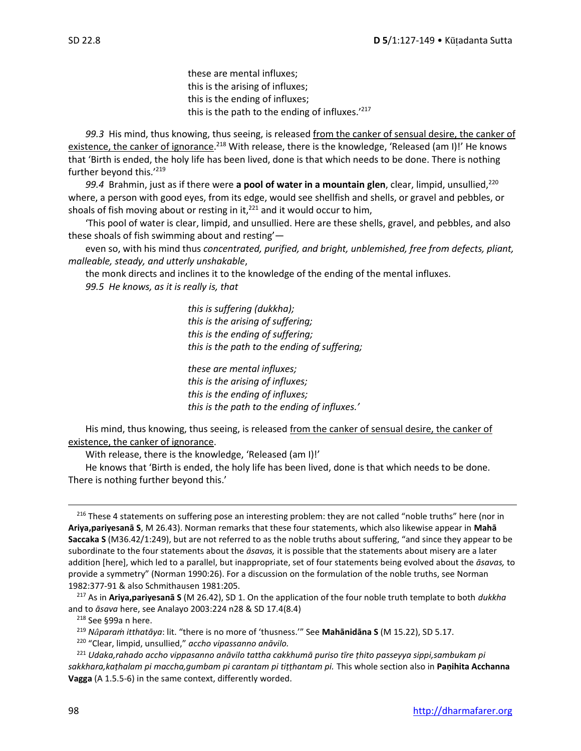these are mental influxes; this is the arising of influxes; this is the ending of influxes; this is the path to the ending of influxes.'<sup>217</sup>

*99.3*His mind, thus knowing, thus seeing, is released from the canker of sensual desire, the canker of existence, the canker of ignorance.<sup>218</sup> With release, there is the knowledge, 'Released (am I)!' He knows that 'Birth is ended, the holy life has been lived, done is that which needs to be done. There is nothing further beyond this.'219

*99.4* Brahmin, just as if there were **a pool of water in a mountain glen**, clear, limpid, unsullied,<sup>220</sup> where, a person with good eyes, from its edge, would see shellfish and shells, or gravel and pebbles, or shoals of fish moving about or resting in it, $^{221}$  and it would occur to him,

'This pool of water is clear, limpid, and unsullied. Here are these shells, gravel, and pebbles, and also these shoals of fish swimming about and resting'—

even so, with his mind thus *concentrated, purified, and bright, unblemished, free from defects, pliant, malleable, steady, and utterly unshakable*,

the monk directs and inclines it to the knowledge of the ending of the mental influxes. *99.5 He knows, as it is really is, that* 

> *this is suffering (dukkha); this is the arising of suffering; this is the ending of suffering; this is the path to the ending of suffering;*

*these are mental influxes; this is the arising of influxes; this is the ending of influxes; this is the path to the ending of influxes.'* 

His mind, thus knowing, thus seeing, is released from the canker of sensual desire, the canker of existence, the canker of ignorance.

With release, there is the knowledge, 'Released (am I)!'

He knows that 'Birth is ended, the holy life has been lived, done is that which needs to be done. There is nothing further beyond this.'

<sup>216</sup> These 4 statements on suffering pose an interesting problem: they are not called "noble truths" here (nor in **Ariya,pariyesanā S**, M 26.43). Norman remarks that these four statements, which also likewise appear in **Mahā Saccaka S** (M36.42/1:249), but are not referred to as the noble truths about suffering, "and since they appear to be subordinate to the four statements about the *āsavas,* it is possible that the statements about misery are a later addition [here], which led to a parallel, but inappropriate, set of four statements being evolved about the *āsavas,* to provide a symmetry" (Norman 1990:26). For a discussion on the formulation of the noble truths, see Norman 1982:377-91 & also Schmithausen 1981:205.

<sup>217</sup> As in **Ariya,pariyesanā S** (M 26.42), SD 1. On the application of the four noble truth template to both *dukkha* and to *āsava* here, see Analayo 2003:224 n28 & SD 17.4(8.4)

<sup>218</sup> See §99a n here.

<sup>219</sup> *Nparaṁ itthatāya*: lit. "there is no more of 'thusness.'" See **Mahānidāna S** (M 15.22), SD 5.17.

<sup>220</sup> "Clear, limpid, unsullied," *accho vipassanno anāvilo.*

<sup>221</sup> *Udaka,rahado accho vippasanno anāvilo tattha cakkhumā puriso tīre ṭhito passeyya sippi,sambukam pi sakkhara,kaṭhalam pi maccha,gumbam pi carantam pi tiṭṭhantam pi.* This whole section also in **Paṇihita Acchanna Vagga** (A 1.5.5-6) in the same context, differently worded.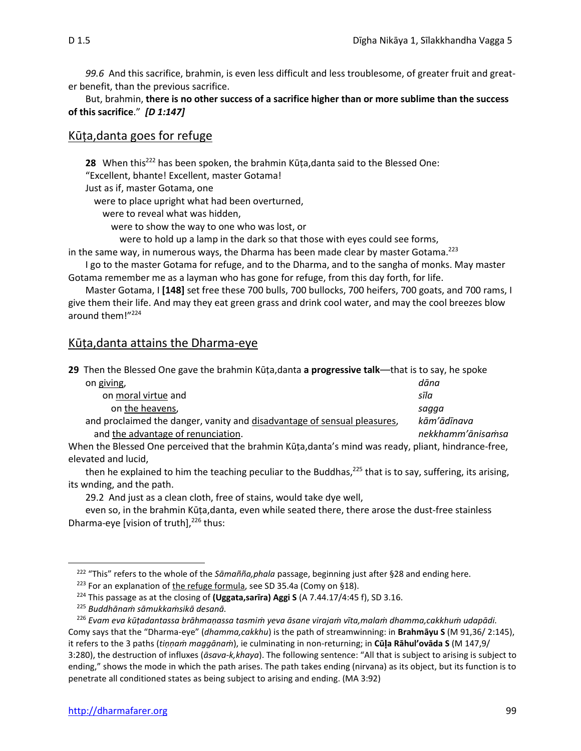*99.6* And this sacrifice, brahmin, is even less difficult and less troublesome, of greater fruit and greater benefit, than the previous sacrifice.

#### But, brahmin, **there is no other success of a sacrifice higher than or more sublime than the success of this sacrifice**." *[D 1:147]*

## Kūṭa,danta goes for refuge

**28** When this<sup>222</sup> has been spoken, the brahmin Kūṭa,danta said to the Blessed One: "Excellent, bhante! Excellent, master Gotama!

Just as if, master Gotama, one

were to place upright what had been overturned,

were to reveal what was hidden,

were to show the way to one who was lost, or

were to hold up a lamp in the dark so that those with eyes could see forms,

in the same way, in numerous ways, the Dharma has been made clear by master Gotama.<sup>223</sup>

I go to the master Gotama for refuge, and to the Dharma, and to the sangha of monks. May master Gotama remember me as a layman who has gone for refuge, from this day forth, for life.

Master Gotama, I **[148]** set free these 700 bulls, 700 bullocks, 700 heifers, 700 goats, and 700 rams, I give them their life. And may they eat green grass and drink cool water, and may the cool breezes blow around them!"<sup>224</sup>

## Kūṭa,danta attains the Dharma-eye

| 29 Then the Blessed One gave the brahmin Kūța, danta a progressive talk—that is to say, he spoke      |                   |
|-------------------------------------------------------------------------------------------------------|-------------------|
| on giving,                                                                                            | dāna              |
| on moral virtue and                                                                                   | sīla              |
| on the heavens,                                                                                       | sagga             |
| and proclaimed the danger, vanity and disadvantage of sensual pleasures,                              | kām'ādīnava       |
| and the advantage of renunciation.                                                                    | nekkhamm'ānisamsa |
| When the Blessed One perceived that the brahmin Kūța, danta's mind was ready, pliant, hindrance-free, |                   |

elevated and lucid,

then he explained to him the teaching peculiar to the Buddhas,  $225$  that is to say, suffering, its arising, its wnding, and the path.

29.2 And just as a clean cloth, free of stains, would take dye well,

even so, in the brahmin Kūṭa,danta, even while seated there, there arose the dust-free stainless Dharma-eye [vision of truth], $^{226}$  thus:

<sup>222</sup> "This" refers to the whole of the *Sāmañña,phala* passage, beginning just after §28 and ending here.

<sup>&</sup>lt;sup>223</sup> For an explanation of the refuge formula, see SD 35.4a (Comy on §18).

<sup>224</sup> This passage as at the closing of **(Uggata,sarīra) Aggi S** (A 7.44.17/4:45 f), SD 3.16.

<sup>225</sup> *Buddhānaṁ sāmukkaṁsikā desanā.*

<sup>226</sup> *Evam eva kūṭadantassa brāhmaṇassa tasmiṁ yeva āsane virajaṁ vīta,malaṁ dhamma,cakkhuṁ udapādi.* Comy says that the "Dharma-eye" (*dhamma,cakkhu*) is the path of streamwinning: in **Brahmāyu S** (M 91,36/ 2:145), it refers to the 3 paths (*tiṇṇaṁ maggānaṁ*), ie culminating in non-returning; in **Cūa Rāhul'ovāda S** (M 147,9/ 3:280), the destruction of influxes (*āsava-k,khaya*). The following sentence: "All that is subject to arising is subject to ending," shows the mode in which the path arises. The path takes ending (nirvana) as its object, but its function is to penetrate all conditioned states as being subject to arising and ending. (MA 3:92)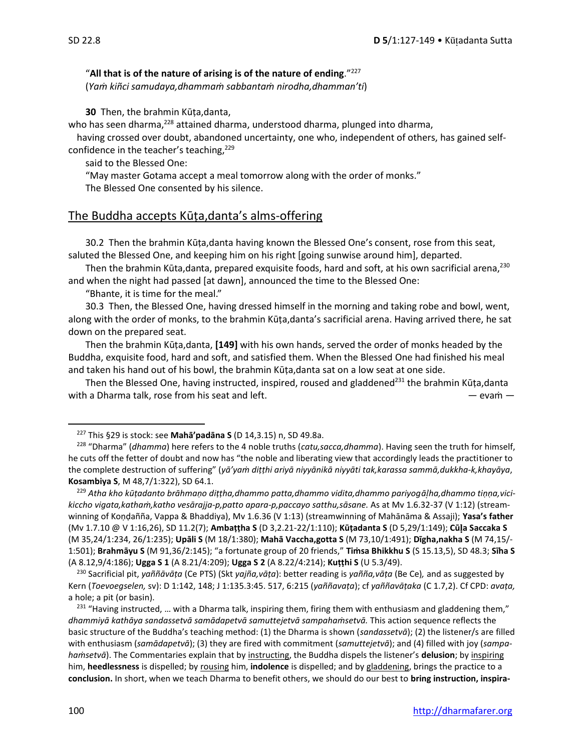#### "**All that is of the nature of arising is of the nature of ending**."<sup>227</sup>

(*Yaṁ kiñci samudaya,dhammaṁ sabbantaṁ nirodha,dhamman'ti*)

**30** Then, the brahmin Kūṭa,danta,

who has seen dharma,<sup>228</sup> attained dharma, understood dharma, plunged into dharma,

having crossed over doubt, abandoned uncertainty, one who, independent of others, has gained selfconfidence in the teacher's teaching,<sup>229</sup>

said to the Blessed One:

"May master Gotama accept a meal tomorrow along with the order of monks." The Blessed One consented by his silence.

## The Buddha accepts Kūṭa,danta's alms-offering

30.2Then the brahmin Kūṭa,danta having known the Blessed One's consent, rose from this seat, saluted the Blessed One, and keeping him on his right [going sunwise around him], departed.

Then the brahmin Kūta,danta, prepared exquisite foods, hard and soft, at his own sacrificial arena,<sup>230</sup> and when the night had passed [at dawn], announced the time to the Blessed One:

"Bhante, it is time for the meal."

30.3 Then, the Blessed One, having dressed himself in the morning and taking robe and bowl, went, along with the order of monks, to the brahmin Kūṭa,danta's sacrificial arena. Having arrived there, he sat down on the prepared seat.

Then the brahmin Kūṭa,danta, **[149]** with his own hands, served the order of monks headed by the Buddha, exquisite food, hard and soft, and satisfied them. When the Blessed One had finished his meal and taken his hand out of his bowl, the brahmin Kūṭa,danta sat on a low seat at one side.

Then the Blessed One, having instructed, inspired, roused and gladdened<sup>231</sup> the brahmin Kūṭa,danta with a Dharma talk, rose from his seat and left. — evam — evam — evam —

<sup>227</sup> This §29 is stock: see **Mahā'padāna S** (D 14,3.15) n, SD 49.8a.

<sup>228</sup> "Dharma" (*dhamma*) here refers to the 4 noble truths (*catu,sacca,dhamma*). Having seen the truth for himself, he cuts off the fetter of doubt and now has "the noble and liberating view that accordingly leads the practitioner to the complete destruction of suffering" (*yā'yaṁ diṭṭhi ariyā niyyānikā niyyāti tak,karassa sammā,dukkha-k,khayāya*, **Kosambiya S**, M 48,7/1:322), SD 64.1.

<sup>229</sup> *Atha kho kūṭadanto brāhmaṇo diṭṭha,dhammo patta,dhammo vidita,dhammo pariyogāha,dhammo tiṇṇa,vicikiccho vigata,kathaṁ,katho vesārajja-p,patto apara-p,paccayo satthu,sāsane.* As at Mv 1.6.32-37 (V 1:12) (streamwinning of Koṇḍañña, Vappa & Bhaddiya), Mv 1.6.36 (V 1:13) (streamwinning of Mahānāma & Assaji); **Yasa's father**  (Mv 1.7.10 @ V 1:16,26), SD 11.2(7); **Ambaṭṭha S** (D 3,2.21-22/1:110); **Kūṭadanta S** (D 5,29/1:149); **Cūa Saccaka S**  (M 35,24/1:234, 26/1:235); **Upāli S** (M 18/1:380); **Mahā Vaccha,gotta S** (M 73,10/1:491); **Dīgha,nakha S** (M 74,15/- 1:501); **Brahmāyu S** (M 91,36/2:145); "a fortunate group of 20 friends," **Tiṁsa Bhikkhu S** (S 15.13,5), SD 48.3; **Sīha S**  (A 8.12,9/4:186); **Ugga S 1** (A 8.21/4:209); **Ugga S 2** (A 8.22/4:214); **Kuṭṭhi S** (U 5.3/49).

<sup>230</sup> Sacrificial pit, *yaññāvāṭa* (Ce PTS) (Skt *yajña,vāṭa*): better reading is *yañña,vāṭa* (Be Ce)*,* and as suggested by Kern (*Toevoegselen,* sv): D 1:142, 148; J 1:135.3:45. 517, 6:215 (*yaññavaṭa*); cf *yaññavāṭaka* (C 1.7,2). Cf CPD: *avaṭa,*  a hole; a pit (or basin).

 $231$  "Having instructed, ... with a Dharma talk, inspiring them, firing them with enthusiasm and gladdening them," *dhammiyā kathāya sandassetvā samādapetvā samuttejetvā sampahaṁsetvā.* This action sequence reflects the basic structure of the Buddha's teaching method: (1) the Dharma is shown (*sandassetvā*); (2) the listener/s are filled with enthusiasm (*samādapetvā*); (3) they are fired with commitment (*samuttejetvā*); and (4) filled with joy (*sampahaṁsetvā*). The Commentaries explain that by instructing, the Buddha dispels the listener's **delusion**; by inspiring him, **heedlessness** is dispelled; by rousing him, **indolence** is dispelled; and by gladdening, brings the practice to a **conclusion.** In short, when we teach Dharma to benefit others, we should do our best to **bring instruction, inspira-**